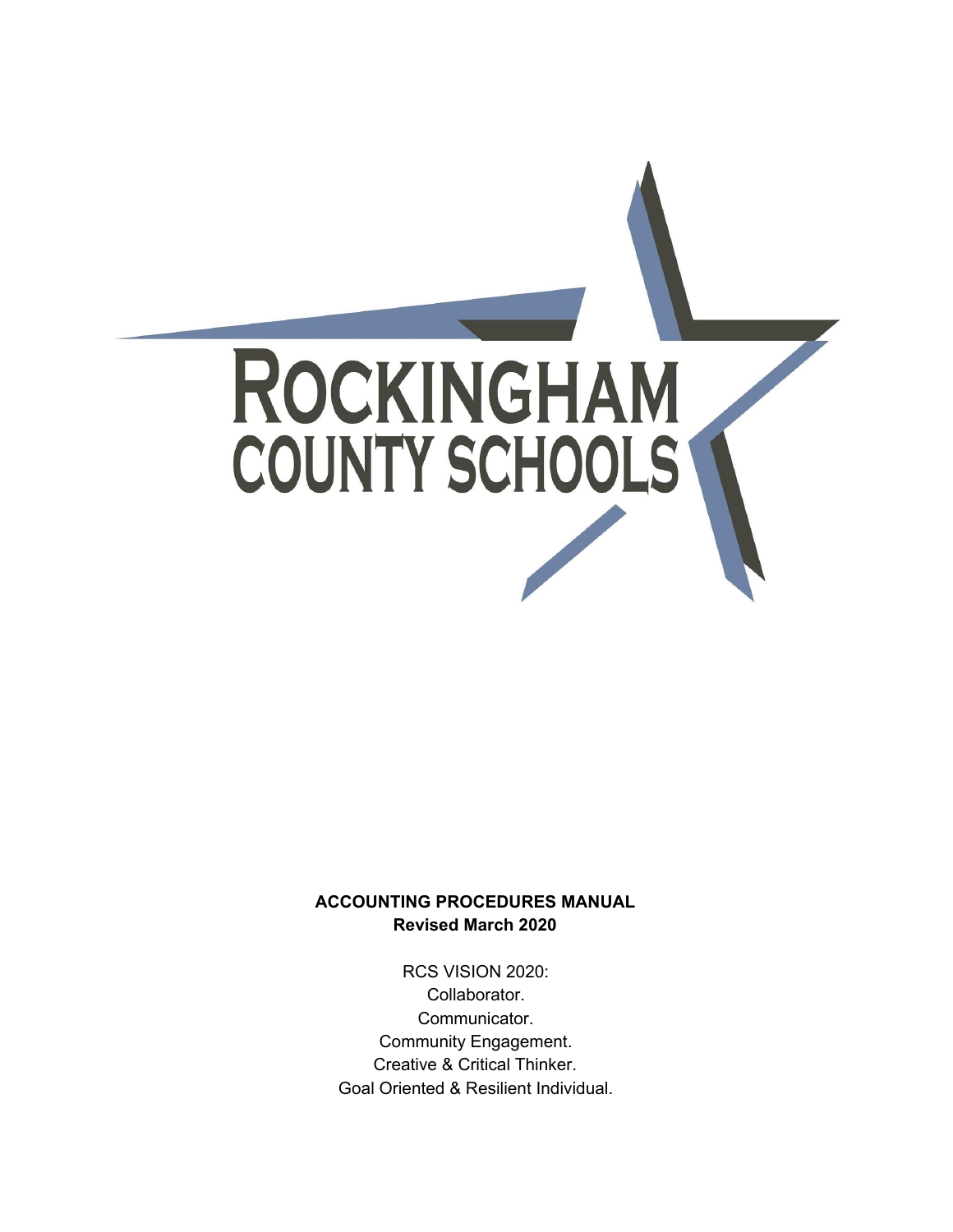

### **ACCOUNTING PROCEDURES MANUAL Revised March 2020**

RCS VISION 2020: Collaborator. Communicator. Community Engagement. Creative & Critical Thinker. Goal Oriented & Resilient Individual.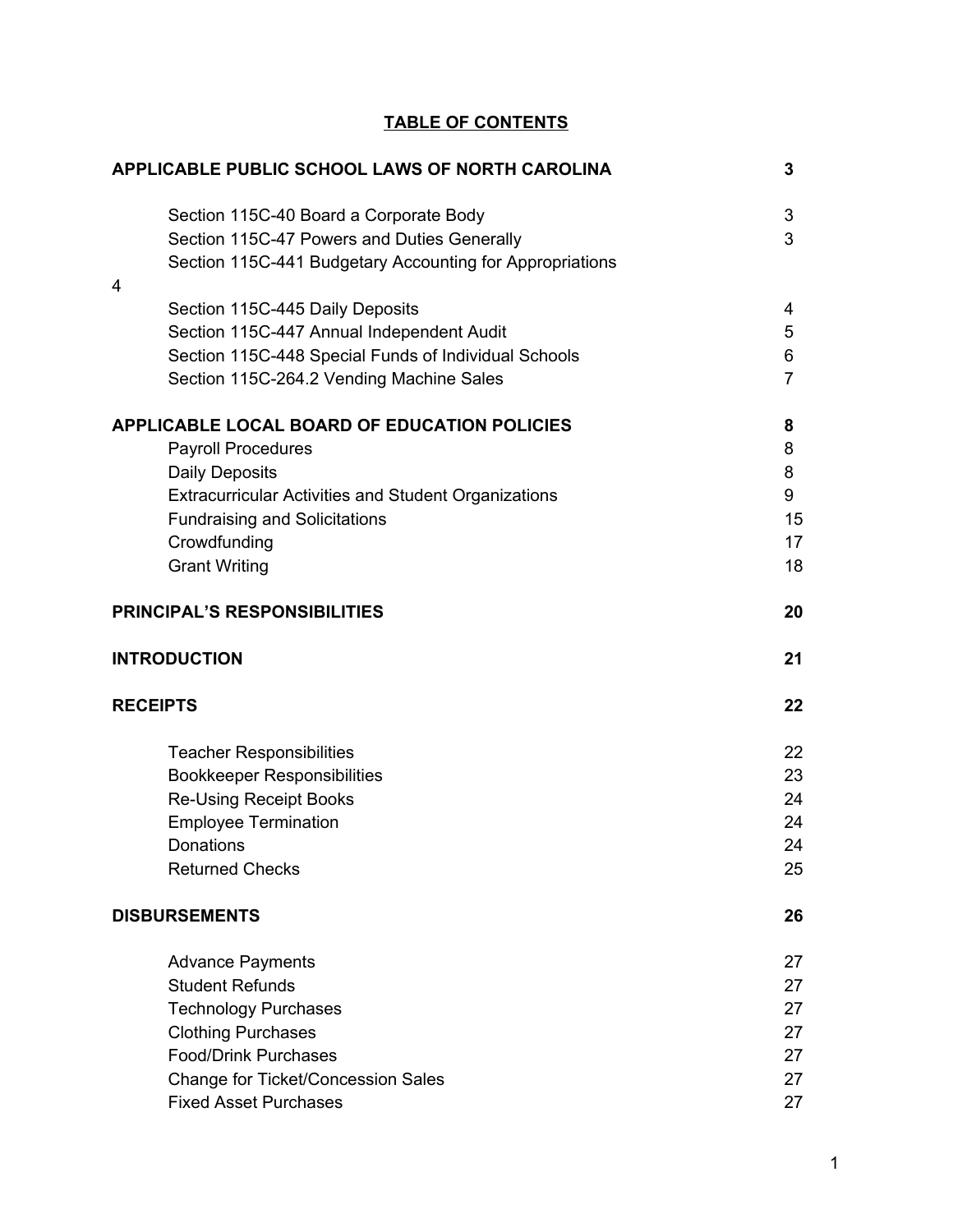## **TABLE OF CONTENTS**

|                                                                                                                                                                              | APPLICABLE PUBLIC SCHOOL LAWS OF NORTH CAROLINA                                                             | 3                                  |
|------------------------------------------------------------------------------------------------------------------------------------------------------------------------------|-------------------------------------------------------------------------------------------------------------|------------------------------------|
| Section 115C-40 Board a Corporate Body<br>4                                                                                                                                  | Section 115C-47 Powers and Duties Generally<br>Section 115C-441 Budgetary Accounting for Appropriations     | 3<br>3                             |
| Section 115C-445 Daily Deposits<br>Section 115C-264.2 Vending Machine Sales                                                                                                  | Section 115C-447 Annual Independent Audit<br>Section 115C-448 Special Funds of Individual Schools           | 4<br>5<br>6<br>$\overline{7}$      |
| <b>Payroll Procedures</b><br><b>Daily Deposits</b><br><b>Fundraising and Solicitations</b><br>Crowdfunding<br><b>Grant Writing</b>                                           | APPLICABLE LOCAL BOARD OF EDUCATION POLICIES<br><b>Extracurricular Activities and Student Organizations</b> | 8<br>8<br>8<br>9<br>15<br>17<br>18 |
| <b>PRINCIPAL'S RESPONSIBILITIES</b>                                                                                                                                          |                                                                                                             | 20                                 |
| <b>INTRODUCTION</b>                                                                                                                                                          |                                                                                                             | 21                                 |
| <b>RECEIPTS</b>                                                                                                                                                              |                                                                                                             | 22                                 |
| <b>Teacher Responsibilities</b><br><b>Bookkeeper Responsibilities</b><br><b>Re-Using Receipt Books</b><br><b>Employee Termination</b><br>Donations<br><b>Returned Checks</b> |                                                                                                             | 22<br>23<br>24<br>24<br>24<br>25   |
| <b>DISBURSEMENTS</b>                                                                                                                                                         |                                                                                                             | 26                                 |
|                                                                                                                                                                              |                                                                                                             |                                    |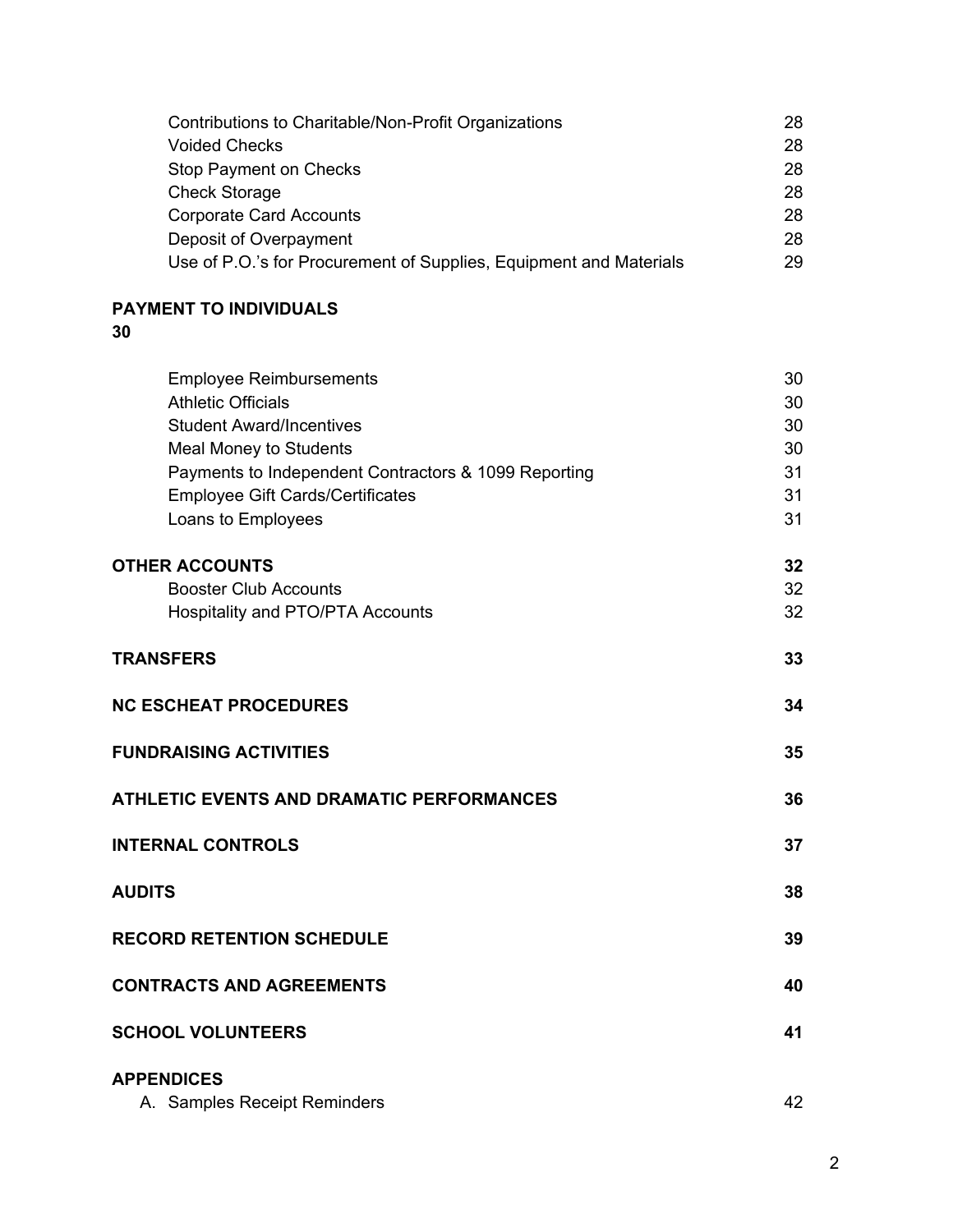| Contributions to Charitable/Non-Profit Organizations               | 28 |
|--------------------------------------------------------------------|----|
| <b>Voided Checks</b>                                               | 28 |
| Stop Payment on Checks                                             | 28 |
| <b>Check Storage</b>                                               | 28 |
| <b>Corporate Card Accounts</b>                                     | 28 |
| Deposit of Overpayment                                             | 28 |
| Use of P.O.'s for Procurement of Supplies, Equipment and Materials | 29 |

# **PAYMENT TO INDIVIDUALS**

## **30**

| <b>Employee Reimbursements</b><br><b>Athletic Officials</b><br><b>Student Award/Incentives</b><br>Meal Money to Students<br>Payments to Independent Contractors & 1099 Reporting<br><b>Employee Gift Cards/Certificates</b><br>Loans to Employees | 30<br>30<br>30<br>30<br>31<br>31<br>31 |
|---------------------------------------------------------------------------------------------------------------------------------------------------------------------------------------------------------------------------------------------------|----------------------------------------|
| <b>OTHER ACCOUNTS</b><br><b>Booster Club Accounts</b><br>Hospitality and PTO/PTA Accounts                                                                                                                                                         | 32<br>32<br>32                         |
| <b>TRANSFERS</b>                                                                                                                                                                                                                                  | 33                                     |
| <b>NC ESCHEAT PROCEDURES</b>                                                                                                                                                                                                                      | 34                                     |
| <b>FUNDRAISING ACTIVITIES</b>                                                                                                                                                                                                                     | 35                                     |
| <b>ATHLETIC EVENTS AND DRAMATIC PERFORMANCES</b>                                                                                                                                                                                                  | 36                                     |
| <b>INTERNAL CONTROLS</b>                                                                                                                                                                                                                          | 37                                     |
| <b>AUDITS</b>                                                                                                                                                                                                                                     | 38                                     |
| <b>RECORD RETENTION SCHEDULE</b>                                                                                                                                                                                                                  | 39                                     |
| <b>CONTRACTS AND AGREEMENTS</b>                                                                                                                                                                                                                   | 40                                     |
| <b>SCHOOL VOLUNTEERS</b>                                                                                                                                                                                                                          | 41                                     |
| <b>APPENDICES</b><br>A. Samples Receipt Reminders                                                                                                                                                                                                 | 42                                     |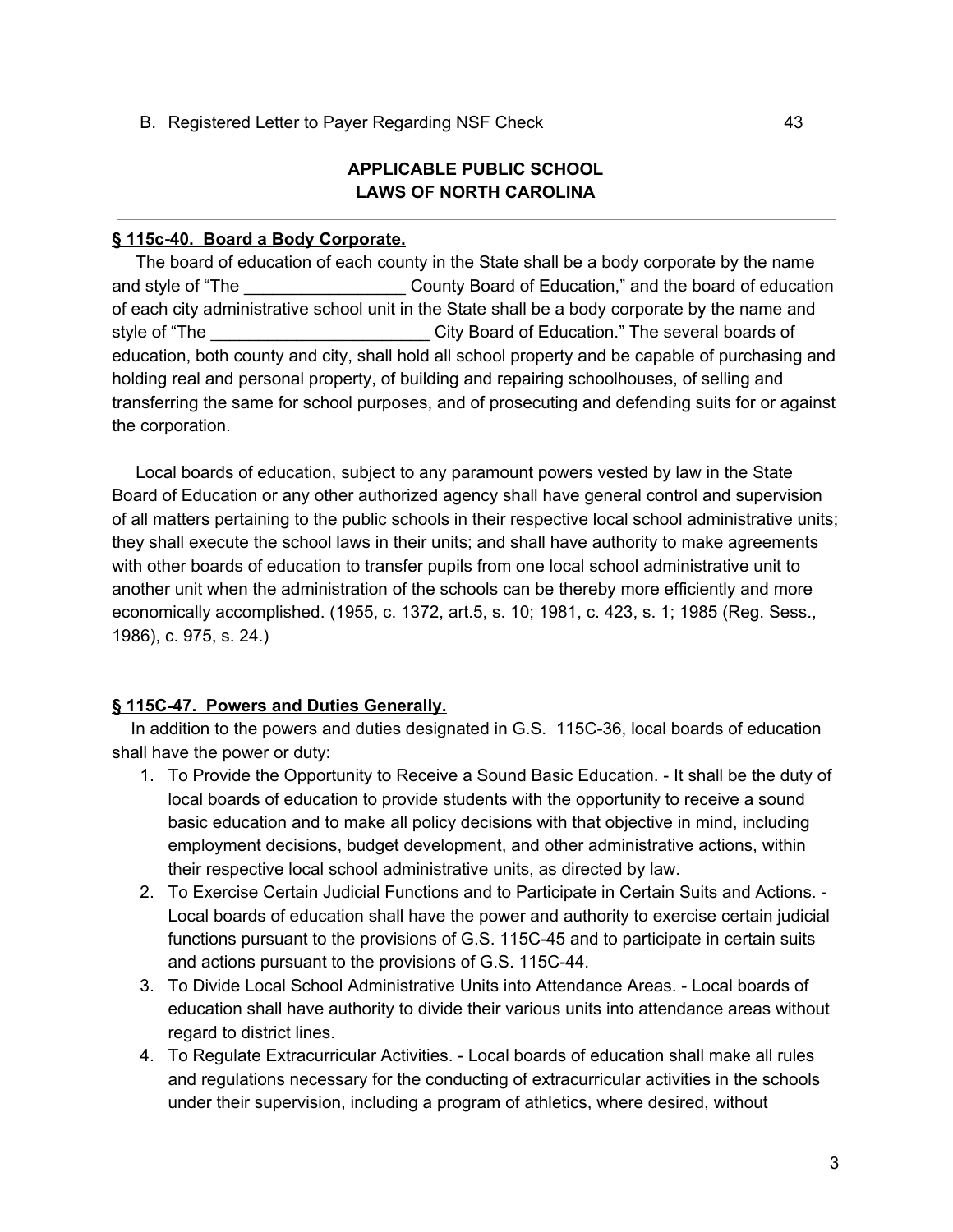B. Registered Letter to Payer Regarding NSF Check 43

### **APPLICABLE PUBLIC SCHOOL LAWS OF NORTH CAROLINA**

### **§ 115c-40. Board a Body Corporate.**

The board of education of each county in the State shall be a body corporate by the name and style of "The The County Board of Education," and the board of education of each city administrative school unit in the State shall be a body corporate by the name and style of "The **Example 2018** Style of "The several boards of Education." The several boards of education, both county and city, shall hold all school property and be capable of purchasing and holding real and personal property, of building and repairing schoolhouses, of selling and transferring the same for school purposes, and of prosecuting and defending suits for or against the corporation.

Local boards of education, subject to any paramount powers vested by law in the State Board of Education or any other authorized agency shall have general control and supervision of all matters pertaining to the public schools in their respective local school administrative units; they shall execute the school laws in their units; and shall have authority to make agreements with other boards of education to transfer pupils from one local school administrative unit to another unit when the administration of the schools can be thereby more efficiently and more economically accomplished. (1955, c. 1372, art.5, s. 10; 1981, c. 423, s. 1; 1985 (Reg. Sess., 1986), c. 975, s. 24.)

### **§ 115C-47. Powers and Duties Generally.**

In addition to the powers and duties designated in G.S. 115C-36, local boards of education shall have the power or duty:

- 1. To Provide the Opportunity to Receive a Sound Basic Education. It shall be the duty of local boards of education to provide students with the opportunity to receive a sound basic education and to make all policy decisions with that objective in mind, including employment decisions, budget development, and other administrative actions, within their respective local school administrative units, as directed by law.
- 2. To Exercise Certain Judicial Functions and to Participate in Certain Suits and Actions. Local boards of education shall have the power and authority to exercise certain judicial functions pursuant to the provisions of G.S. 115C-45 and to participate in certain suits and actions pursuant to the provisions of G.S. 115C-44.
- 3. To Divide Local School Administrative Units into Attendance Areas. Local boards of education shall have authority to divide their various units into attendance areas without regard to district lines.
- 4. To Regulate Extracurricular Activities. Local boards of education shall make all rules and regulations necessary for the conducting of extracurricular activities in the schools under their supervision, including a program of athletics, where desired, without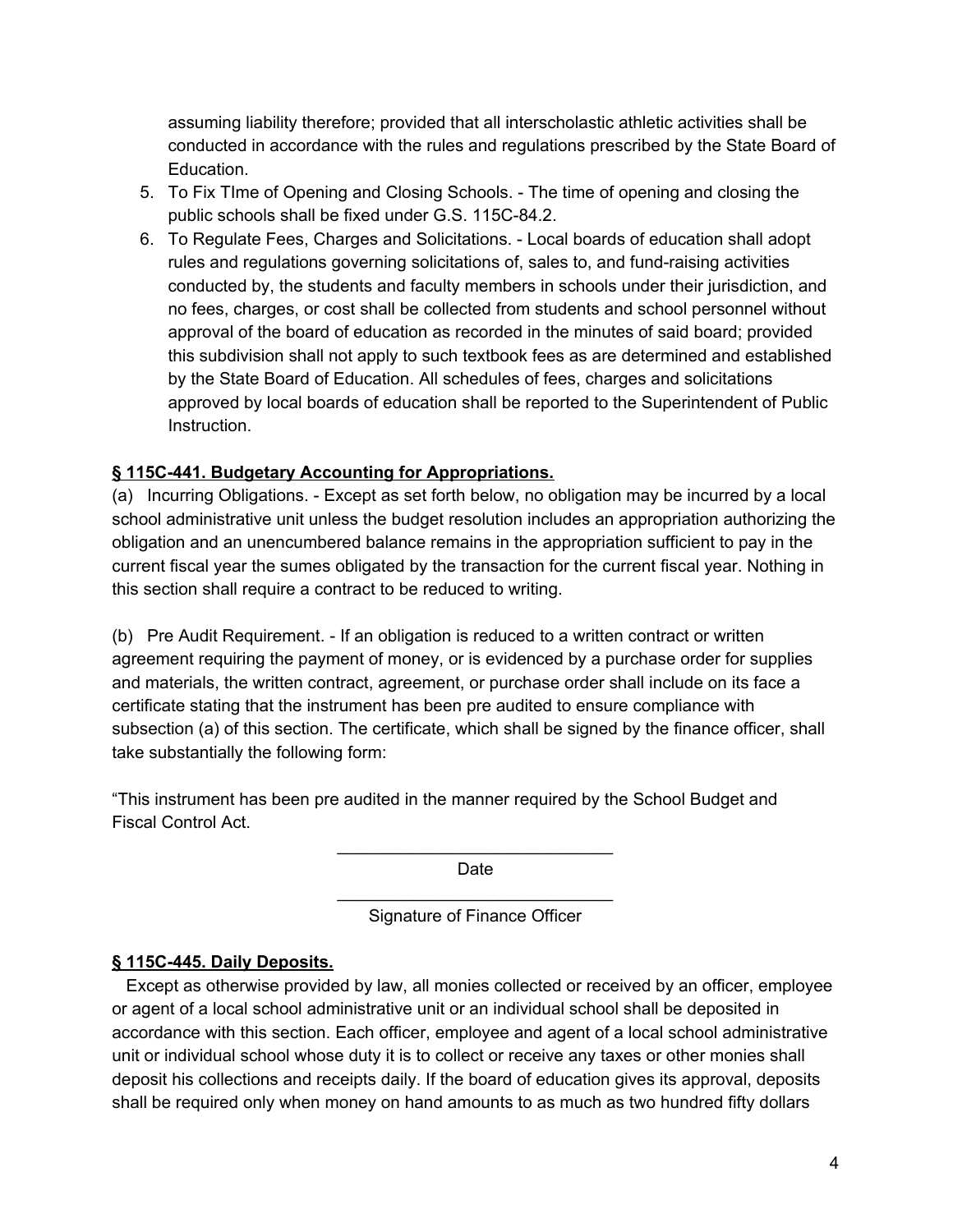assuming liability therefore; provided that all interscholastic athletic activities shall be conducted in accordance with the rules and regulations prescribed by the State Board of Education.

- 5. To Fix TIme of Opening and Closing Schools. The time of opening and closing the public schools shall be fixed under G.S. 115C-84.2.
- 6. To Regulate Fees, Charges and Solicitations. Local boards of education shall adopt rules and regulations governing solicitations of, sales to, and fund-raising activities conducted by, the students and faculty members in schools under their jurisdiction, and no fees, charges, or cost shall be collected from students and school personnel without approval of the board of education as recorded in the minutes of said board; provided this subdivision shall not apply to such textbook fees as are determined and established by the State Board of Education. All schedules of fees, charges and solicitations approved by local boards of education shall be reported to the Superintendent of Public Instruction.

## **§ 115C-441. Budgetary Accounting for Appropriations.**

(a) Incurring Obligations. - Except as set forth below, no obligation may be incurred by a local school administrative unit unless the budget resolution includes an appropriation authorizing the obligation and an unencumbered balance remains in the appropriation sufficient to pay in the current fiscal year the sumes obligated by the transaction for the current fiscal year. Nothing in this section shall require a contract to be reduced to writing.

(b) Pre Audit Requirement. - If an obligation is reduced to a written contract or written agreement requiring the payment of money, or is evidenced by a purchase order for supplies and materials, the written contract, agreement, or purchase order shall include on its face a certificate stating that the instrument has been pre audited to ensure compliance with subsection (a) of this section. The certificate, which shall be signed by the finance officer, shall take substantially the following form:

"This instrument has been pre audited in the manner required by the School Budget and Fiscal Control Act.

> \_\_\_\_\_\_\_\_\_\_\_\_\_\_\_\_\_\_\_\_\_\_\_\_\_\_\_\_\_ Date

> \_\_\_\_\_\_\_\_\_\_\_\_\_\_\_\_\_\_\_\_\_\_\_\_\_\_\_\_\_ Signature of Finance Officer

### **§ 115C-445. Daily Deposits.**

Except as otherwise provided by law, all monies collected or received by an officer, employee or agent of a local school administrative unit or an individual school shall be deposited in accordance with this section. Each officer, employee and agent of a local school administrative unit or individual school whose duty it is to collect or receive any taxes or other monies shall deposit his collections and receipts daily. If the board of education gives its approval, deposits shall be required only when money on hand amounts to as much as two hundred fifty dollars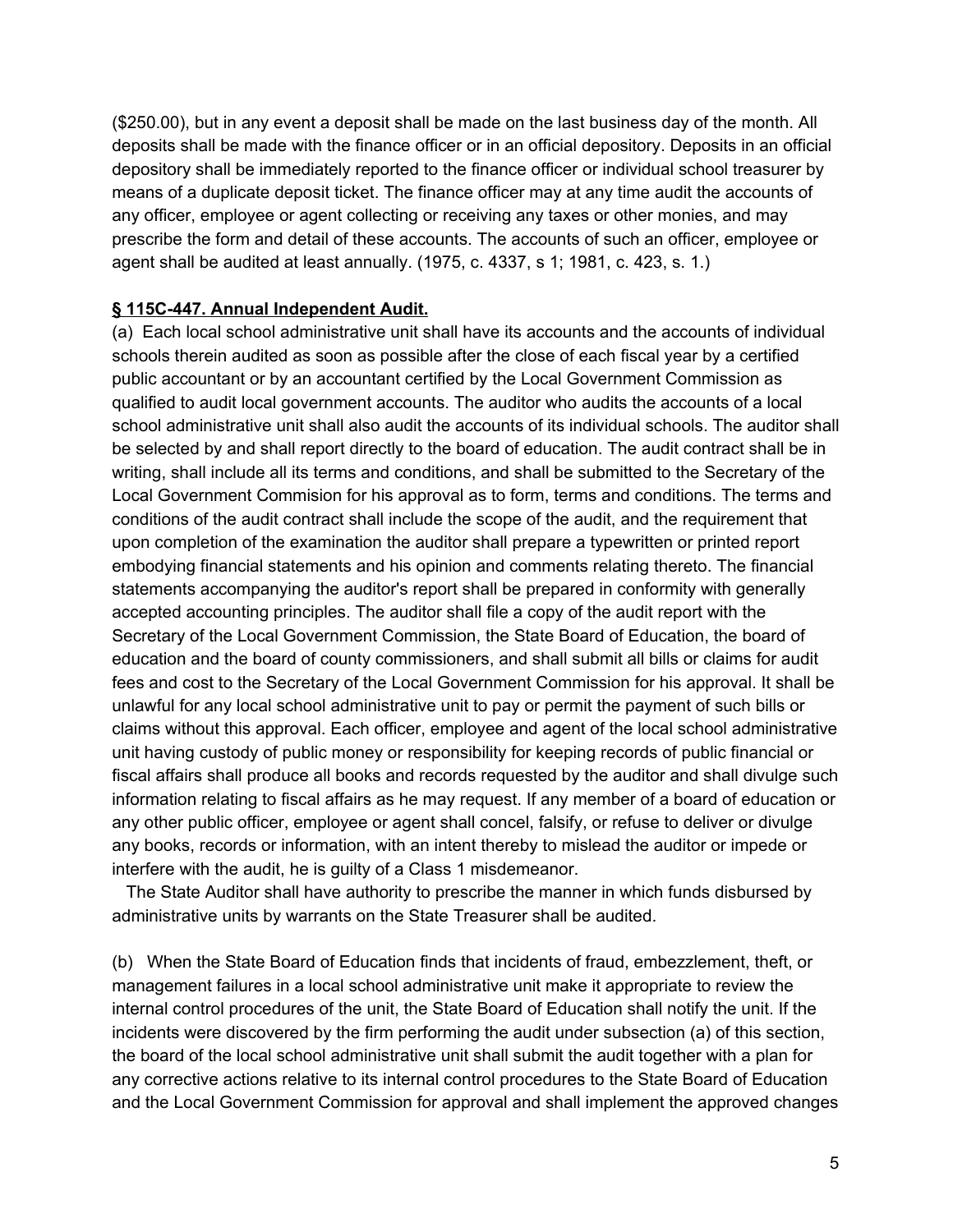(\$250.00), but in any event a deposit shall be made on the last business day of the month. All deposits shall be made with the finance officer or in an official depository. Deposits in an official depository shall be immediately reported to the finance officer or individual school treasurer by means of a duplicate deposit ticket. The finance officer may at any time audit the accounts of any officer, employee or agent collecting or receiving any taxes or other monies, and may prescribe the form and detail of these accounts. The accounts of such an officer, employee or agent shall be audited at least annually. (1975, c. 4337, s 1; 1981, c. 423, s. 1.)

### **§ 115C-447. Annual Independent Audit.**

(a) Each local school administrative unit shall have its accounts and the accounts of individual schools therein audited as soon as possible after the close of each fiscal year by a certified public accountant or by an accountant certified by the Local Government Commission as qualified to audit local government accounts. The auditor who audits the accounts of a local school administrative unit shall also audit the accounts of its individual schools. The auditor shall be selected by and shall report directly to the board of education. The audit contract shall be in writing, shall include all its terms and conditions, and shall be submitted to the Secretary of the Local Government Commision for his approval as to form, terms and conditions. The terms and conditions of the audit contract shall include the scope of the audit, and the requirement that upon completion of the examination the auditor shall prepare a typewritten or printed report embodying financial statements and his opinion and comments relating thereto. The financial statements accompanying the auditor's report shall be prepared in conformity with generally accepted accounting principles. The auditor shall file a copy of the audit report with the Secretary of the Local Government Commission, the State Board of Education, the board of education and the board of county commissioners, and shall submit all bills or claims for audit fees and cost to the Secretary of the Local Government Commission for his approval. It shall be unlawful for any local school administrative unit to pay or permit the payment of such bills or claims without this approval. Each officer, employee and agent of the local school administrative unit having custody of public money or responsibility for keeping records of public financial or fiscal affairs shall produce all books and records requested by the auditor and shall divulge such information relating to fiscal affairs as he may request. If any member of a board of education or any other public officer, employee or agent shall concel, falsify, or refuse to deliver or divulge any books, records or information, with an intent thereby to mislead the auditor or impede or interfere with the audit, he is guilty of a Class 1 misdemeanor.

The State Auditor shall have authority to prescribe the manner in which funds disbursed by administrative units by warrants on the State Treasurer shall be audited.

(b) When the State Board of Education finds that incidents of fraud, embezzlement, theft, or management failures in a local school administrative unit make it appropriate to review the internal control procedures of the unit, the State Board of Education shall notify the unit. If the incidents were discovered by the firm performing the audit under subsection (a) of this section, the board of the local school administrative unit shall submit the audit together with a plan for any corrective actions relative to its internal control procedures to the State Board of Education and the Local Government Commission for approval and shall implement the approved changes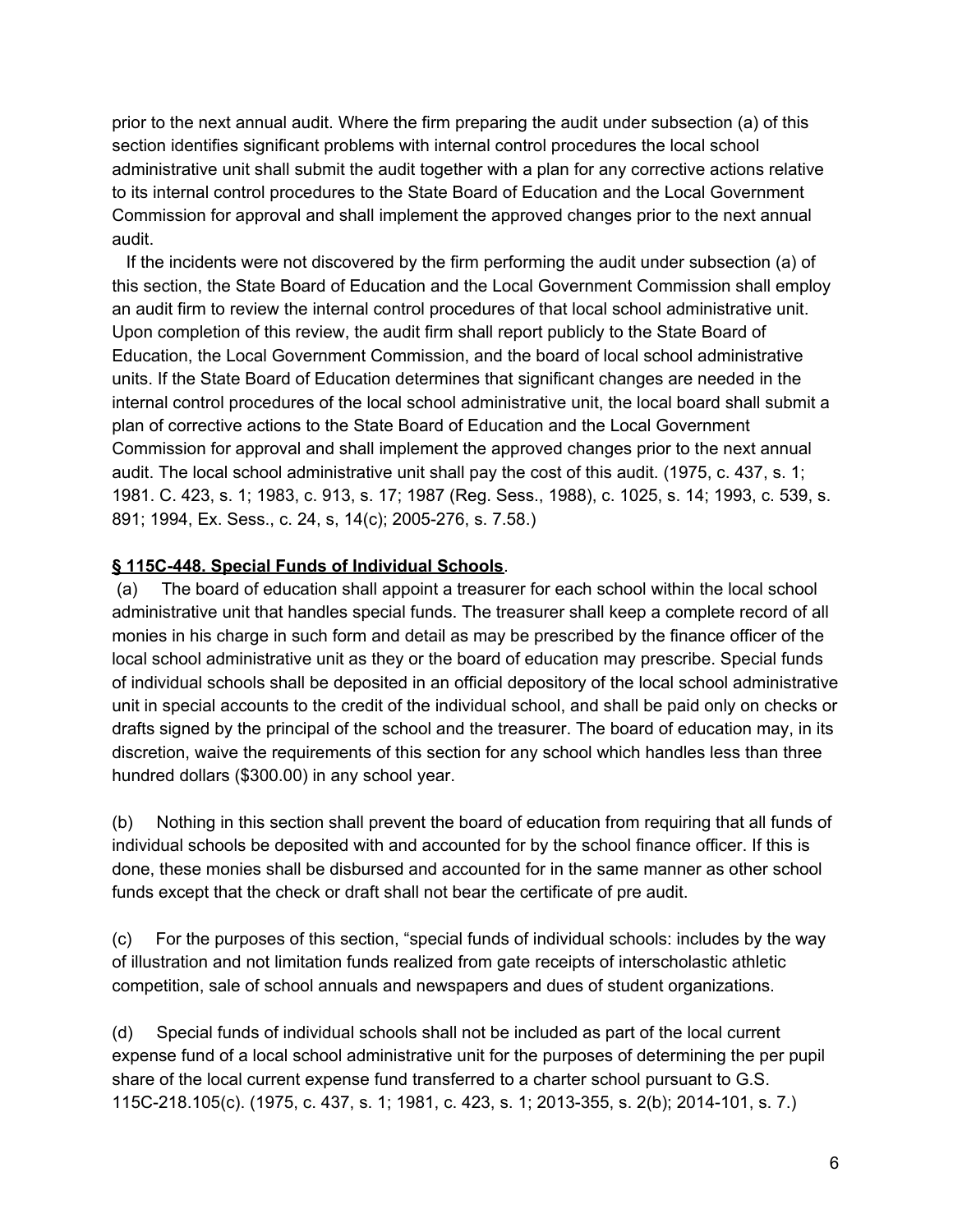prior to the next annual audit. Where the firm preparing the audit under subsection (a) of this section identifies significant problems with internal control procedures the local school administrative unit shall submit the audit together with a plan for any corrective actions relative to its internal control procedures to the State Board of Education and the Local Government Commission for approval and shall implement the approved changes prior to the next annual audit.

If the incidents were not discovered by the firm performing the audit under subsection (a) of this section, the State Board of Education and the Local Government Commission shall employ an audit firm to review the internal control procedures of that local school administrative unit. Upon completion of this review, the audit firm shall report publicly to the State Board of Education, the Local Government Commission, and the board of local school administrative units. If the State Board of Education determines that significant changes are needed in the internal control procedures of the local school administrative unit, the local board shall submit a plan of corrective actions to the State Board of Education and the Local Government Commission for approval and shall implement the approved changes prior to the next annual audit. The local school administrative unit shall pay the cost of this audit. (1975, c. 437, s. 1; 1981. C. 423, s. 1; 1983, c. 913, s. 17; 1987 (Reg. Sess., 1988), c. 1025, s. 14; 1993, c. 539, s. 891; 1994, Ex. Sess., c. 24, s, 14(c); 2005-276, s. 7.58.)

### **§ 115C-448. Special Funds of Individual Schools**.

(a) The board of education shall appoint a treasurer for each school within the local school administrative unit that handles special funds. The treasurer shall keep a complete record of all monies in his charge in such form and detail as may be prescribed by the finance officer of the local school administrative unit as they or the board of education may prescribe. Special funds of individual schools shall be deposited in an official depository of the local school administrative unit in special accounts to the credit of the individual school, and shall be paid only on checks or drafts signed by the principal of the school and the treasurer. The board of education may, in its discretion, waive the requirements of this section for any school which handles less than three hundred dollars (\$300.00) in any school year.

(b) Nothing in this section shall prevent the board of education from requiring that all funds of individual schools be deposited with and accounted for by the school finance officer. If this is done, these monies shall be disbursed and accounted for in the same manner as other school funds except that the check or draft shall not bear the certificate of pre audit.

(c) For the purposes of this section, "special funds of individual schools: includes by the way of illustration and not limitation funds realized from gate receipts of interscholastic athletic competition, sale of school annuals and newspapers and dues of student organizations.

(d) Special funds of individual schools shall not be included as part of the local current expense fund of a local school administrative unit for the purposes of determining the per pupil share of the local current expense fund transferred to a charter school pursuant to G.S. 115C-218.105(c). (1975, c. 437, s. 1; 1981, c. 423, s. 1; 2013-355, s. 2(b); 2014-101, s. 7.)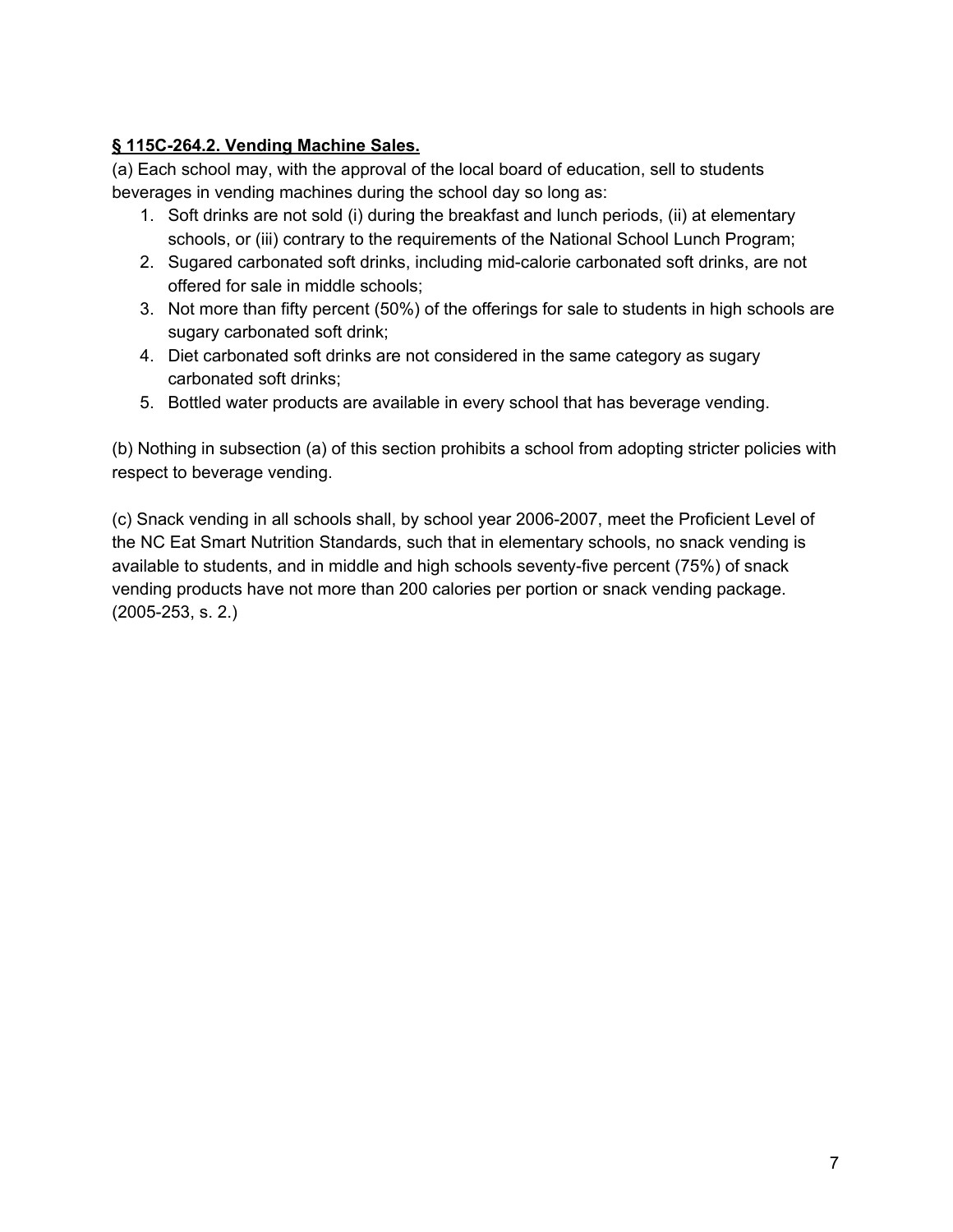## **§ 115C-264.2. Vending Machine Sales.**

(a) Each school may, with the approval of the local board of education, sell to students beverages in vending machines during the school day so long as:

- 1. Soft drinks are not sold (i) during the breakfast and lunch periods, (ii) at elementary schools, or (iii) contrary to the requirements of the National School Lunch Program;
- 2. Sugared carbonated soft drinks, including mid-calorie carbonated soft drinks, are not offered for sale in middle schools;
- 3. Not more than fifty percent (50%) of the offerings for sale to students in high schools are sugary carbonated soft drink;
- 4. Diet carbonated soft drinks are not considered in the same category as sugary carbonated soft drinks;
- 5. Bottled water products are available in every school that has beverage vending.

(b) Nothing in subsection (a) of this section prohibits a school from adopting stricter policies with respect to beverage vending.

(c) Snack vending in all schools shall, by school year 2006-2007, meet the Proficient Level of the NC Eat Smart Nutrition Standards, such that in elementary schools, no snack vending is available to students, and in middle and high schools seventy-five percent (75%) of snack vending products have not more than 200 calories per portion or snack vending package. (2005-253, s. 2.)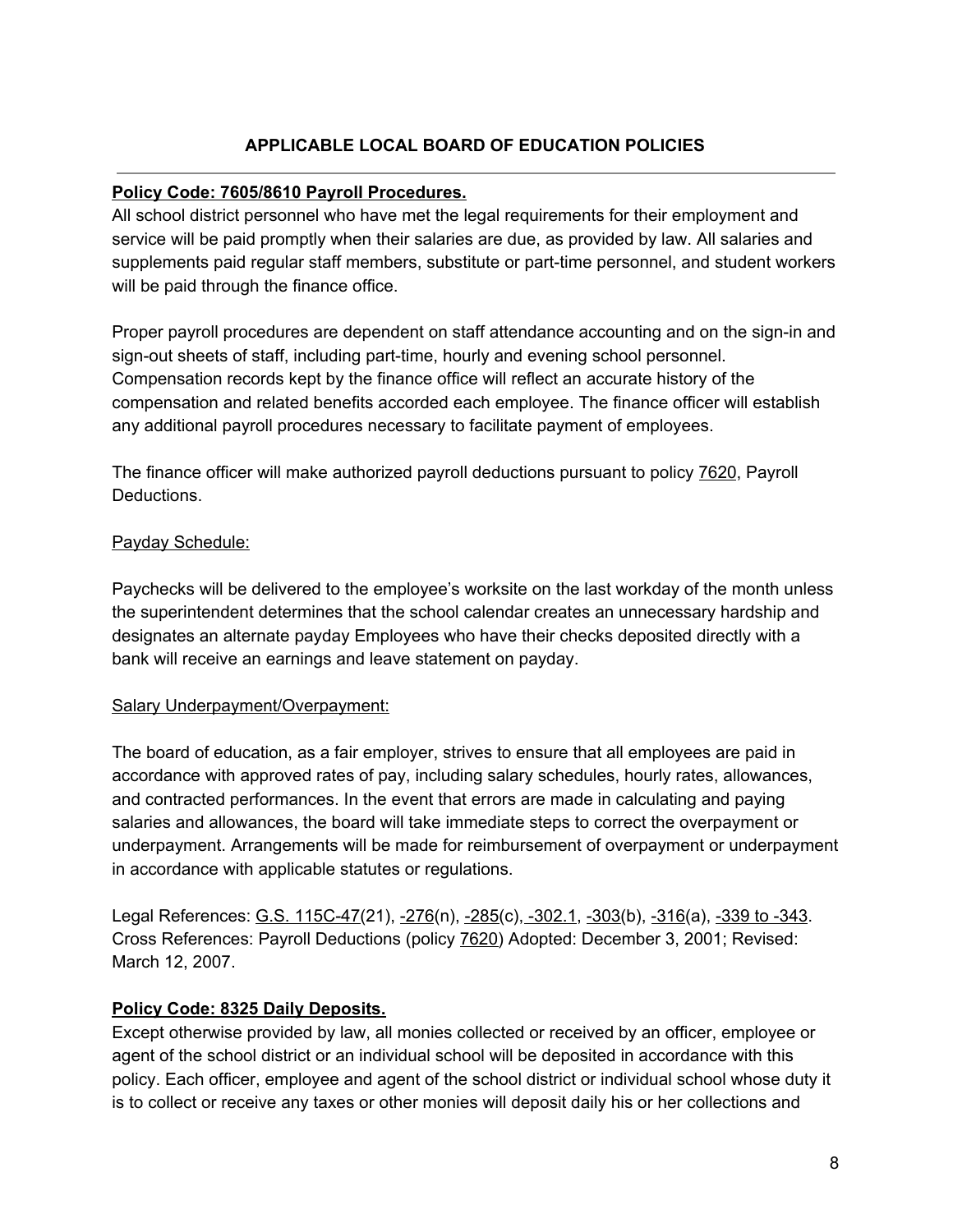## **APPLICABLE LOCAL BOARD OF EDUCATION POLICIES**

### **Policy Code: 7605/8610 Payroll Procedures.**

All school district personnel who have met the legal requirements for their employment and service will be paid promptly when their salaries are due, as provided by law. All salaries and supplements paid regular staff members, substitute or part-time personnel, and student workers will be paid through the finance office.

Proper payroll procedures are dependent on staff attendance accounting and on the sign-in and sign-out sheets of staff, including part-time, hourly and evening school personnel. Compensation records kept by the finance office will reflect an accurate history of the compensation and related benefits accorded each employee. The finance officer will establish any additional payroll procedures necessary to facilitate payment of employees.

The finance officer will make authorized payroll deductions pursuant to policy 7620, Payroll Deductions.

### Payday Schedule:

Paychecks will be delivered to the employee's worksite on the last workday of the month unless the superintendent determines that the school calendar creates an unnecessary hardship and designates an alternate payday Employees who have their checks deposited directly with a bank will receive an earnings and leave statement on payday.

#### Salary Underpayment/Overpayment:

The board of education, as a fair employer, strives to ensure that all employees are paid in accordance with approved rates of pay, including salary schedules, hourly rates, allowances, and contracted performances. In the event that errors are made in calculating and paying salaries and allowances, the board will take immediate steps to correct the overpayment or underpayment. Arrangements will be made for reimbursement of overpayment or underpayment in accordance with applicable statutes or regulations.

Legal References: G.S. 115C-47(21), -276(n), -285(c), -302.1, -303(b), -316(a), -339 to -343. Cross References: Payroll Deductions (policy 7620) Adopted: December 3, 2001; Revised: March 12, 2007.

### **Policy Code: 8325 Daily Deposits.**

Except otherwise provided by law, all monies collected or received by an officer, employee or agent of the school district or an individual school will be deposited in accordance with this policy. Each officer, employee and agent of the school district or individual school whose duty it is to collect or receive any taxes or other monies will deposit daily his or her collections and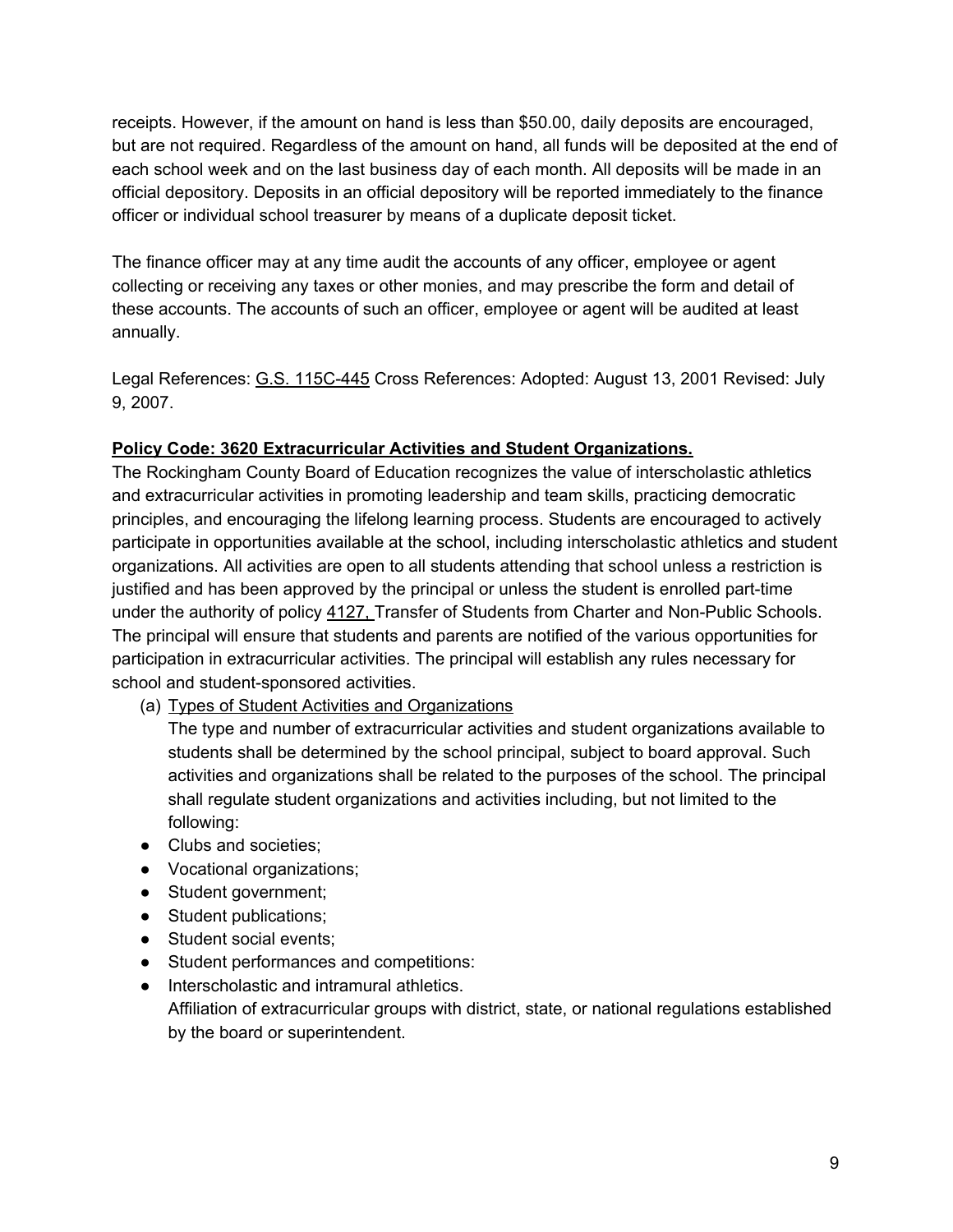receipts. However, if the amount on hand is less than \$50.00, daily deposits are encouraged, but are not required. Regardless of the amount on hand, all funds will be deposited at the end of each school week and on the last business day of each month. All deposits will be made in an official depository. Deposits in an official depository will be reported immediately to the finance officer or individual school treasurer by means of a duplicate deposit ticket.

The finance officer may at any time audit the accounts of any officer, employee or agent collecting or receiving any taxes or other monies, and may prescribe the form and detail of these accounts. The accounts of such an officer, employee or agent will be audited at least annually.

Legal References: G.S. 115C-445 Cross References: Adopted: August 13, 2001 Revised: July 9, 2007.

### **Policy Code: 3620 Extracurricular Activities and Student Organizations.**

The Rockingham County Board of Education recognizes the value of interscholastic athletics and extracurricular activities in promoting leadership and team skills, practicing democratic principles, and encouraging the lifelong learning process. Students are encouraged to actively participate in opportunities available at the school, including interscholastic athletics and student organizations. All activities are open to all students attending that school unless a restriction is justified and has been approved by the principal or unless the student is enrolled part-time under the authority of policy 4127, Transfer of Students from Charter and Non-Public Schools. The principal will ensure that students and parents are notified of the various opportunities for participation in extracurricular activities. The principal will establish any rules necessary for school and student-sponsored activities.

(a) Types of Student Activities and Organizations

The type and number of extracurricular activities and student organizations available to students shall be determined by the school principal, subject to board approval. Such activities and organizations shall be related to the purposes of the school. The principal shall regulate student organizations and activities including, but not limited to the following:

- Clubs and societies;
- Vocational organizations;
- Student government;
- Student publications;
- Student social events;
- Student performances and competitions:
- Interscholastic and intramural athletics.

Affiliation of extracurricular groups with district, state, or national regulations established by the board or superintendent.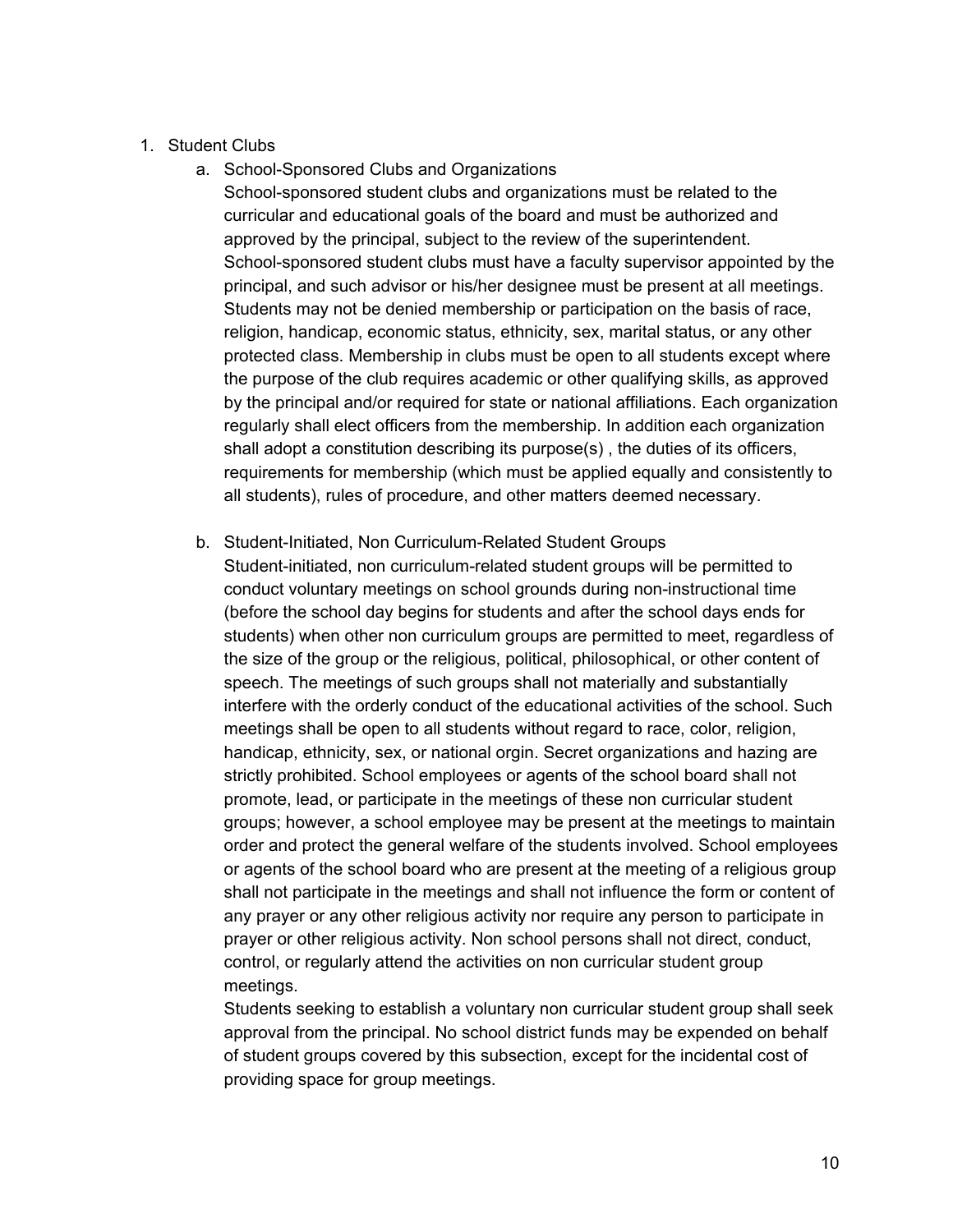### 1. Student Clubs

a. School-Sponsored Clubs and Organizations

School-sponsored student clubs and organizations must be related to the curricular and educational goals of the board and must be authorized and approved by the principal, subject to the review of the superintendent. School-sponsored student clubs must have a faculty supervisor appointed by the principal, and such advisor or his/her designee must be present at all meetings. Students may not be denied membership or participation on the basis of race, religion, handicap, economic status, ethnicity, sex, marital status, or any other protected class. Membership in clubs must be open to all students except where the purpose of the club requires academic or other qualifying skills, as approved by the principal and/or required for state or national affiliations. Each organization regularly shall elect officers from the membership. In addition each organization shall adopt a constitution describing its purpose(s) , the duties of its officers, requirements for membership (which must be applied equally and consistently to all students), rules of procedure, and other matters deemed necessary.

b. Student-Initiated, Non Curriculum-Related Student Groups

Student-initiated, non curriculum-related student groups will be permitted to conduct voluntary meetings on school grounds during non-instructional time (before the school day begins for students and after the school days ends for students) when other non curriculum groups are permitted to meet, regardless of the size of the group or the religious, political, philosophical, or other content of speech. The meetings of such groups shall not materially and substantially interfere with the orderly conduct of the educational activities of the school. Such meetings shall be open to all students without regard to race, color, religion, handicap, ethnicity, sex, or national orgin. Secret organizations and hazing are strictly prohibited. School employees or agents of the school board shall not promote, lead, or participate in the meetings of these non curricular student groups; however, a school employee may be present at the meetings to maintain order and protect the general welfare of the students involved. School employees or agents of the school board who are present at the meeting of a religious group shall not participate in the meetings and shall not influence the form or content of any prayer or any other religious activity nor require any person to participate in prayer or other religious activity. Non school persons shall not direct, conduct, control, or regularly attend the activities on non curricular student group meetings.

Students seeking to establish a voluntary non curricular student group shall seek approval from the principal. No school district funds may be expended on behalf of student groups covered by this subsection, except for the incidental cost of providing space for group meetings.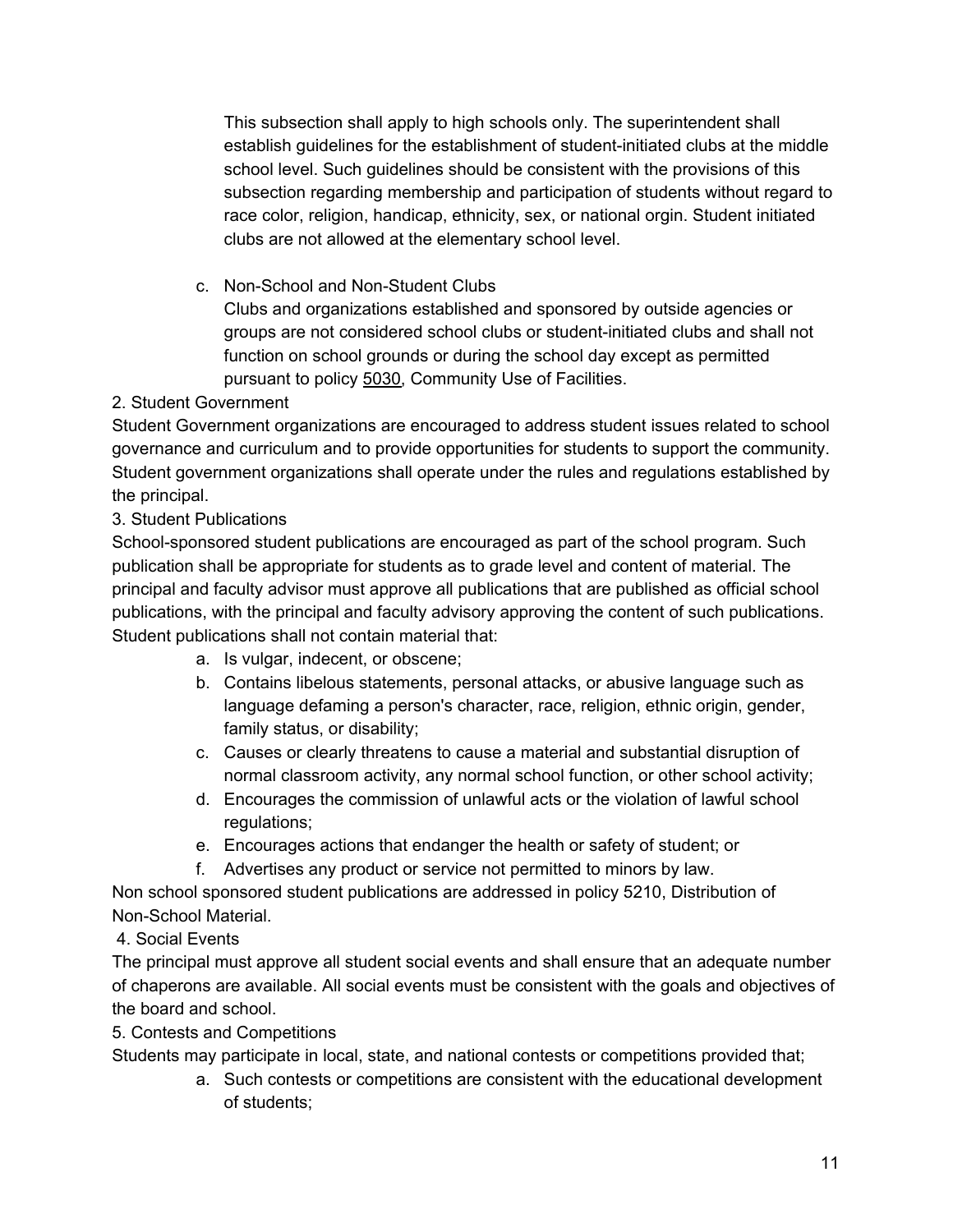This subsection shall apply to high schools only. The superintendent shall establish guidelines for the establishment of student-initiated clubs at the middle school level. Such guidelines should be consistent with the provisions of this subsection regarding membership and participation of students without regard to race color, religion, handicap, ethnicity, sex, or national orgin. Student initiated clubs are not allowed at the elementary school level.

c. Non-School and Non-Student Clubs

Clubs and organizations established and sponsored by outside agencies or groups are not considered school clubs or student-initiated clubs and shall not function on school grounds or during the school day except as permitted pursuant to policy 5030, Community Use of Facilities.

## 2. Student Government

Student Government organizations are encouraged to address student issues related to school governance and curriculum and to provide opportunities for students to support the community. Student government organizations shall operate under the rules and regulations established by the principal.

## 3. Student Publications

School-sponsored student publications are encouraged as part of the school program. Such publication shall be appropriate for students as to grade level and content of material. The principal and faculty advisor must approve all publications that are published as official school publications, with the principal and faculty advisory approving the content of such publications. Student publications shall not contain material that:

- a. Is vulgar, indecent, or obscene;
- b. Contains libelous statements, personal attacks, or abusive language such as language defaming a person's character, race, religion, ethnic origin, gender, family status, or disability;
- c. Causes or clearly threatens to cause a material and substantial disruption of normal classroom activity, any normal school function, or other school activity;
- d. Encourages the commission of unlawful acts or the violation of lawful school regulations;
- e. Encourages actions that endanger the health or safety of student; or
- f. Advertises any product or service not permitted to minors by law.

Non school sponsored student publications are addressed in policy 5210, Distribution of Non-School Material.

## 4. Social Events

The principal must approve all student social events and shall ensure that an adequate number of chaperons are available. All social events must be consistent with the goals and objectives of the board and school.

5. Contests and Competitions

Students may participate in local, state, and national contests or competitions provided that;

a. Such contests or competitions are consistent with the educational development of students;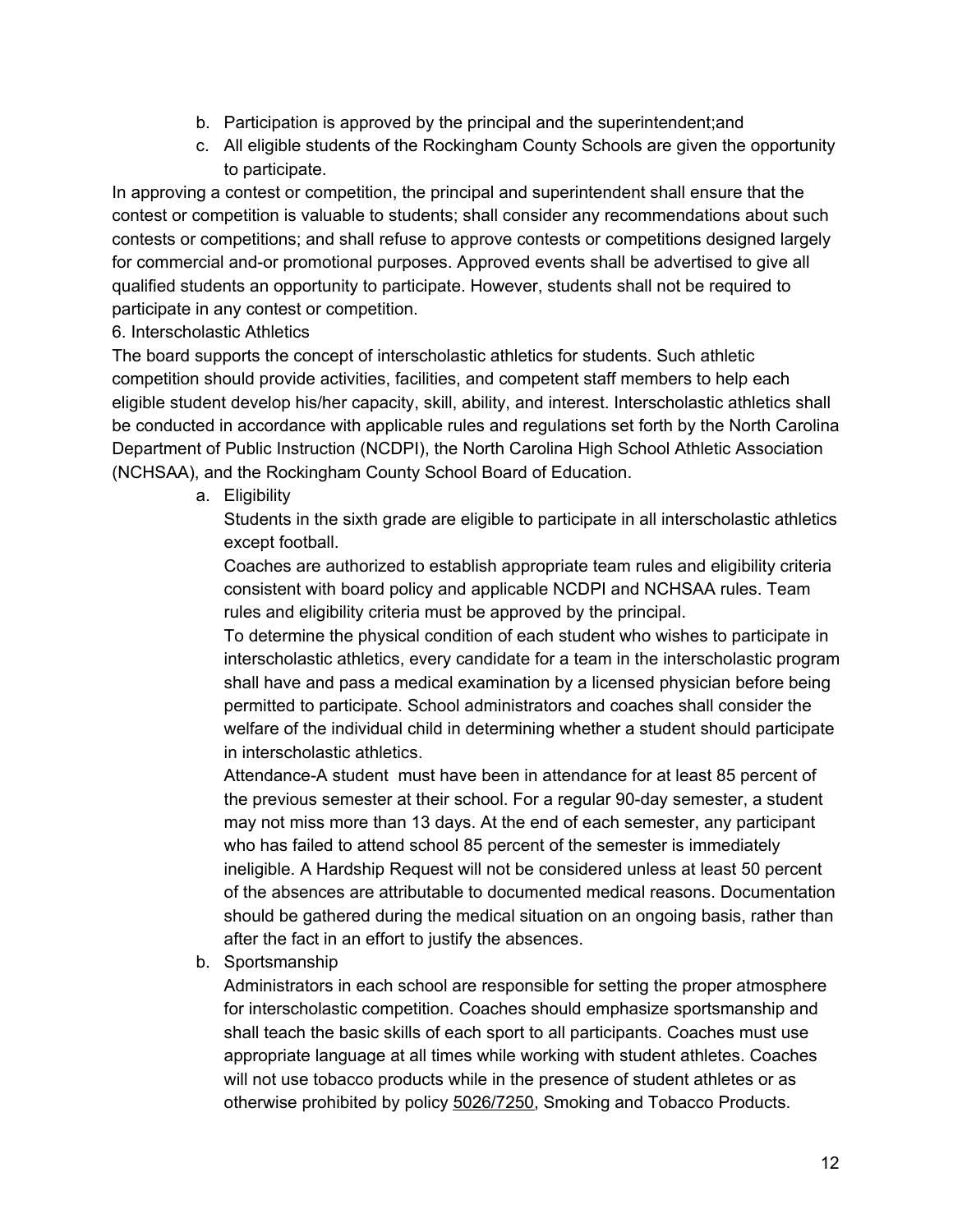- b. Participation is approved by the principal and the superintendent;and
- c. All eligible students of the Rockingham County Schools are given the opportunity to participate.

In approving a contest or competition, the principal and superintendent shall ensure that the contest or competition is valuable to students; shall consider any recommendations about such contests or competitions; and shall refuse to approve contests or competitions designed largely for commercial and-or promotional purposes. Approved events shall be advertised to give all qualified students an opportunity to participate. However, students shall not be required to participate in any contest or competition.

6. Interscholastic Athletics

The board supports the concept of interscholastic athletics for students. Such athletic competition should provide activities, facilities, and competent staff members to help each eligible student develop his/her capacity, skill, ability, and interest. Interscholastic athletics shall be conducted in accordance with applicable rules and regulations set forth by the North Carolina Department of Public Instruction (NCDPI), the North Carolina High School Athletic Association (NCHSAA), and the Rockingham County School Board of Education.

a. Eligibility

Students in the sixth grade are eligible to participate in all interscholastic athletics except football.

Coaches are authorized to establish appropriate team rules and eligibility criteria consistent with board policy and applicable NCDPI and NCHSAA rules. Team rules and eligibility criteria must be approved by the principal.

To determine the physical condition of each student who wishes to participate in interscholastic athletics, every candidate for a team in the interscholastic program shall have and pass a medical examination by a licensed physician before being permitted to participate. School administrators and coaches shall consider the welfare of the individual child in determining whether a student should participate in interscholastic athletics.

Attendance-A student must have been in attendance for at least 85 percent of the previous semester at their school. For a regular 90-day semester, a student may not miss more than 13 days. At the end of each semester, any participant who has failed to attend school 85 percent of the semester is immediately ineligible. A Hardship Request will not be considered unless at least 50 percent of the absences are attributable to documented medical reasons. Documentation should be gathered during the medical situation on an ongoing basis, rather than after the fact in an effort to justify the absences.

b. Sportsmanship

Administrators in each school are responsible for setting the proper atmosphere for interscholastic competition. Coaches should emphasize sportsmanship and shall teach the basic skills of each sport to all participants. Coaches must use appropriate language at all times while working with student athletes. Coaches will not use tobacco products while in the presence of student athletes or as otherwise prohibited by policy 5026/7250, Smoking and Tobacco Products.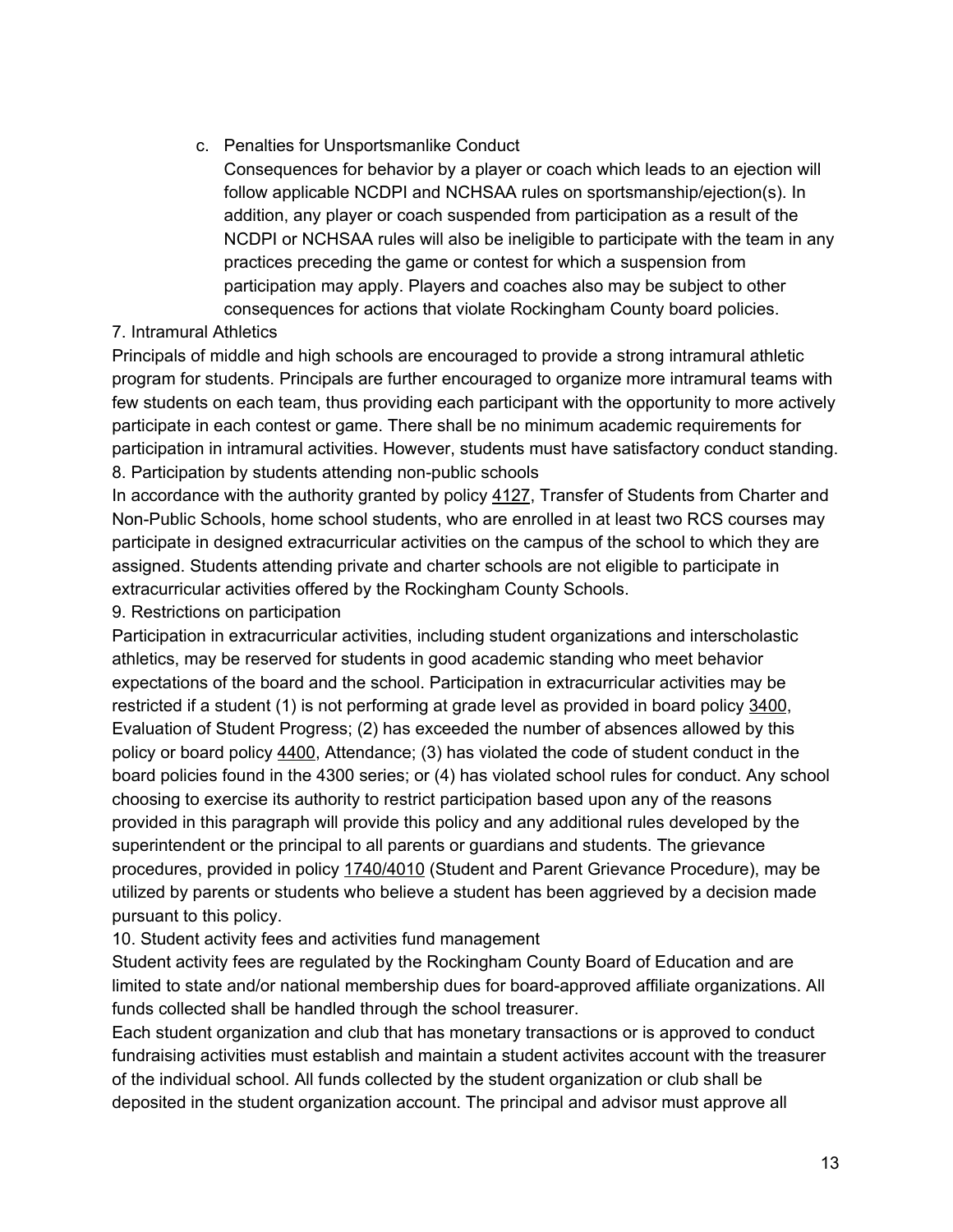c. Penalties for Unsportsmanlike Conduct

Consequences for behavior by a player or coach which leads to an ejection will follow applicable NCDPI and NCHSAA rules on sportsmanship/ejection(s). In addition, any player or coach suspended from participation as a result of the NCDPI or NCHSAA rules will also be ineligible to participate with the team in any practices preceding the game or contest for which a suspension from participation may apply. Players and coaches also may be subject to other consequences for actions that violate Rockingham County board policies.

## 7. Intramural Athletics

Principals of middle and high schools are encouraged to provide a strong intramural athletic program for students. Principals are further encouraged to organize more intramural teams with few students on each team, thus providing each participant with the opportunity to more actively participate in each contest or game. There shall be no minimum academic requirements for participation in intramural activities. However, students must have satisfactory conduct standing. 8. Participation by students attending non-public schools

In accordance with the authority granted by policy 4127, Transfer of Students from Charter and Non-Public Schools, home school students, who are enrolled in at least two RCS courses may participate in designed extracurricular activities on the campus of the school to which they are assigned. Students attending private and charter schools are not eligible to participate in extracurricular activities offered by the Rockingham County Schools.

9. Restrictions on participation

Participation in extracurricular activities, including student organizations and interscholastic athletics, may be reserved for students in good academic standing who meet behavior expectations of the board and the school. Participation in extracurricular activities may be restricted if a student (1) is not performing at grade level as provided in board policy 3400, Evaluation of Student Progress; (2) has exceeded the number of absences allowed by this policy or board policy  $4400$ , Attendance; (3) has violated the code of student conduct in the board policies found in the 4300 series; or (4) has violated school rules for conduct. Any school choosing to exercise its authority to restrict participation based upon any of the reasons provided in this paragraph will provide this policy and any additional rules developed by the superintendent or the principal to all parents or guardians and students. The grievance procedures, provided in policy 1740/4010 (Student and Parent Grievance Procedure), may be utilized by parents or students who believe a student has been aggrieved by a decision made pursuant to this policy.

10. Student activity fees and activities fund management

Student activity fees are regulated by the Rockingham County Board of Education and are limited to state and/or national membership dues for board-approved affiliate organizations. All funds collected shall be handled through the school treasurer.

Each student organization and club that has monetary transactions or is approved to conduct fundraising activities must establish and maintain a student activites account with the treasurer of the individual school. All funds collected by the student organization or club shall be deposited in the student organization account. The principal and advisor must approve all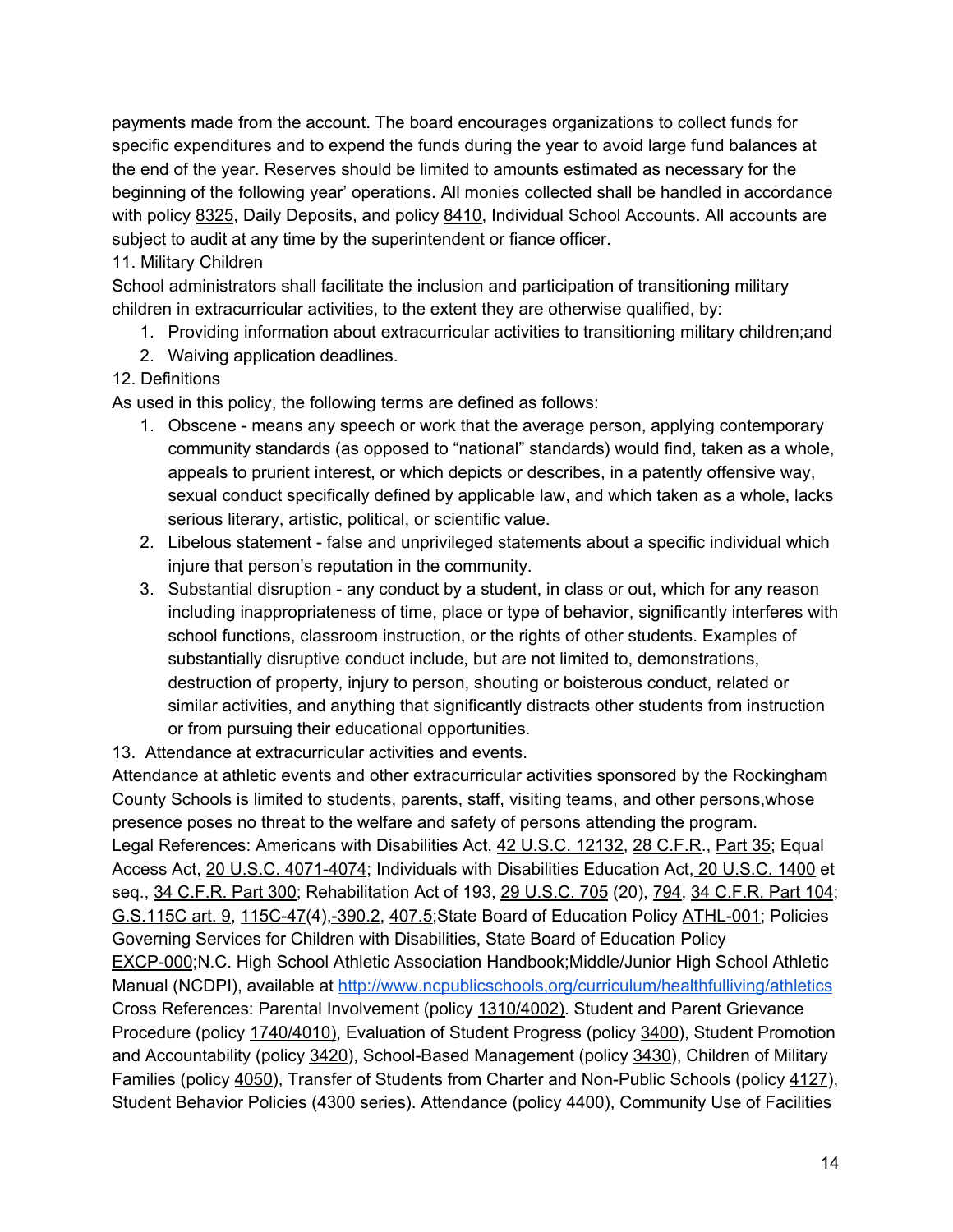payments made from the account. The board encourages organizations to collect funds for specific expenditures and to expend the funds during the year to avoid large fund balances at the end of the year. Reserves should be limited to amounts estimated as necessary for the beginning of the following year' operations. All monies collected shall be handled in accordance with policy 8325, Daily Deposits, and policy 8410, Individual School Accounts. All accounts are subject to audit at any time by the superintendent or fiance officer.

## 11. Military Children

School administrators shall facilitate the inclusion and participation of transitioning military children in extracurricular activities, to the extent they are otherwise qualified, by:

- 1. Providing information about extracurricular activities to transitioning military children;and
- 2. Waiving application deadlines.

## 12. Definitions

As used in this policy, the following terms are defined as follows:

- 1. Obscene means any speech or work that the average person, applying contemporary community standards (as opposed to "national" standards) would find, taken as a whole, appeals to prurient interest, or which depicts or describes, in a patently offensive way, sexual conduct specifically defined by applicable law, and which taken as a whole, lacks serious literary, artistic, political, or scientific value.
- 2. Libelous statement false and unprivileged statements about a specific individual which injure that person's reputation in the community.
- 3. Substantial disruption any conduct by a student, in class or out, which for any reason including inappropriateness of time, place or type of behavior, significantly interferes with school functions, classroom instruction, or the rights of other students. Examples of substantially disruptive conduct include, but are not limited to, demonstrations, destruction of property, injury to person, shouting or boisterous conduct, related or similar activities, and anything that significantly distracts other students from instruction or from pursuing their educational opportunities.

13. Attendance at extracurricular activities and events.

Attendance at athletic events and other extracurricular activities sponsored by the Rockingham County Schools is limited to students, parents, staff, visiting teams, and other persons,whose presence poses no threat to the welfare and safety of persons attending the program. Legal References: Americans with Disabilities Act, 42 U.S.C. 12132, 28 C.F.R., Part 35; Equal Access Act, 20 U.S.C. 4071-4074; Individuals with Disabilities Education Act, 20 U.S.C. 1400 et seq., 34 C.F.R. Part 300; Rehabilitation Act of 193, 29 U.S.C. 705 (20), 794, 34 C.F.R. Part 104; G.S.115C art. 9, 115C-47(4),-390.2, 407.5;State Board of Education Policy ATHL-001; Policies Governing Services for Children with Disabilities, State Board of Education Policy EXCP-000;N.C. High School Athletic Association Handbook;Middle/Junior High School Athletic Manual (NCDPI), available at http://www.ncpublicschools,org/curriculum/healthfulliving/athletics Cross References: Parental Involvement (policy 1310/4002). Student and Parent Grievance Procedure (policy 1740/4010), Evaluation of Student Progress (policy 3400), Student Promotion and Accountability (policy 3420), School-Based Management (policy 3430), Children of Military Families (policy 4050), Transfer of Students from Charter and Non-Public Schools (policy 4127), Student Behavior Policies (4300 series). Attendance (policy 4400), Community Use of Facilities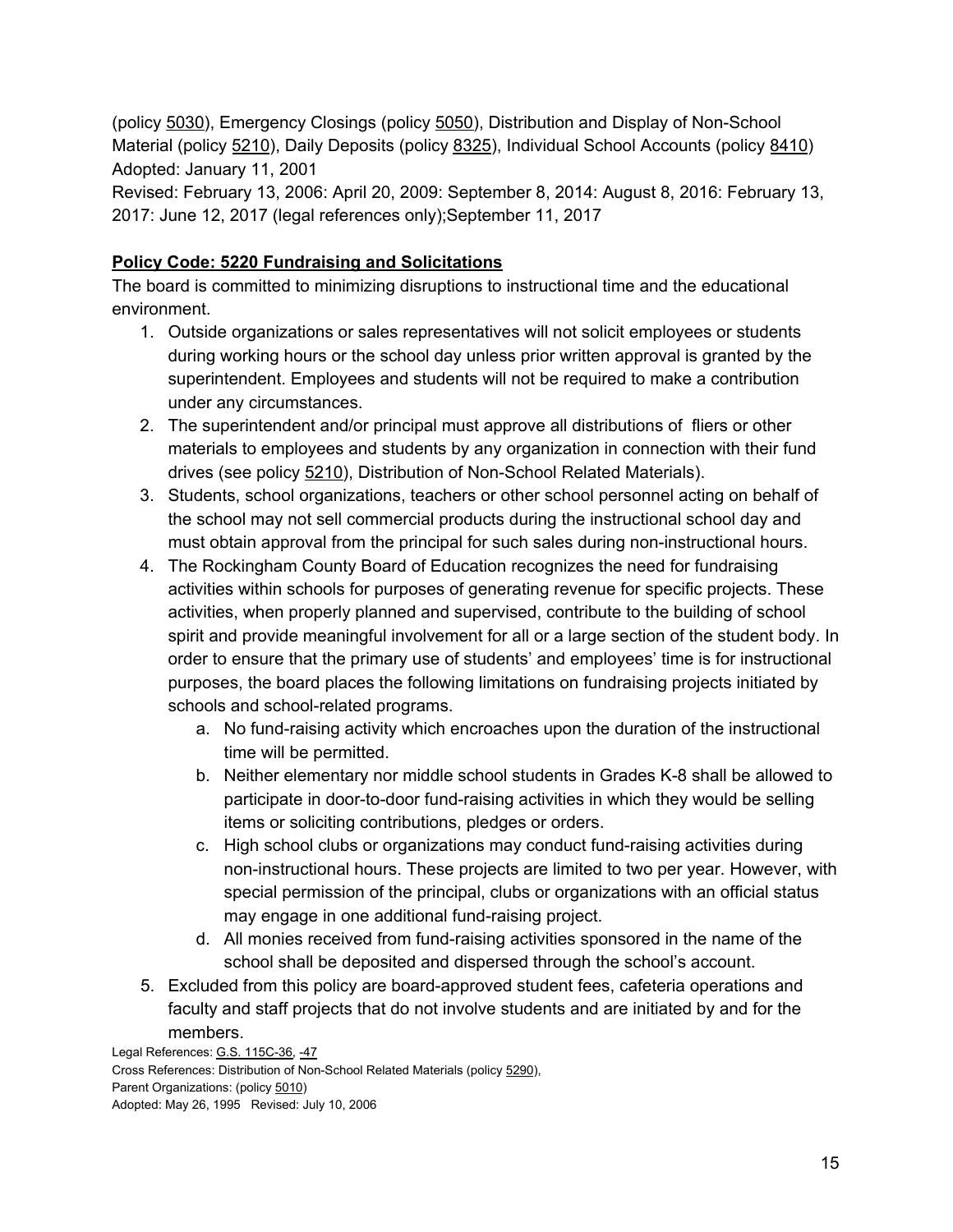(policy 5030), Emergency Closings (policy 5050), Distribution and Display of Non-School Material (policy 5210), Daily Deposits (policy 8325), Individual School Accounts (policy 8410) Adopted: January 11, 2001

Revised: February 13, 2006: April 20, 2009: September 8, 2014: August 8, 2016: February 13, 2017: June 12, 2017 (legal references only);September 11, 2017

## **Policy Code: 5220 Fundraising and Solicitations**

The board is committed to minimizing disruptions to instructional time and the educational environment.

- 1. Outside organizations or sales representatives will not solicit employees or students during working hours or the school day unless prior written approval is granted by the superintendent. Employees and students will not be required to make a contribution under any circumstances.
- 2. The superintendent and/or principal must approve all distributions of fliers or other materials to employees and students by any organization in connection with their fund drives (see policy 5210), Distribution of Non-School Related Materials).
- 3. Students, school organizations, teachers or other school personnel acting on behalf of the school may not sell commercial products during the instructional school day and must obtain approval from the principal for such sales during non-instructional hours.
- 4. The Rockingham County Board of Education recognizes the need for fundraising activities within schools for purposes of generating revenue for specific projects. These activities, when properly planned and supervised, contribute to the building of school spirit and provide meaningful involvement for all or a large section of the student body. In order to ensure that the primary use of students' and employees' time is for instructional purposes, the board places the following limitations on fundraising projects initiated by schools and school-related programs.
	- a. No fund-raising activity which encroaches upon the duration of the instructional time will be permitted.
	- b. Neither elementary nor middle school students in Grades K-8 shall be allowed to participate in door-to-door fund-raising activities in which they would be selling items or soliciting contributions, pledges or orders.
	- c. High school clubs or organizations may conduct fund-raising activities during non-instructional hours. These projects are limited to two per year. However, with special permission of the principal, clubs or organizations with an official status may engage in one additional fund-raising project.
	- d. All monies received from fund-raising activities sponsored in the name of the school shall be deposited and dispersed through the school's account.
- 5. Excluded from this policy are board-approved student fees, cafeteria operations and faculty and staff projects that do not involve students and are initiated by and for the members.

Legal References: G.S. 115C-36, -47 Cross References: Distribution of Non-School Related Materials (policy 5290), Parent Organizations: (policy 5010) Adopted: May 26, 1995 Revised: July 10, 2006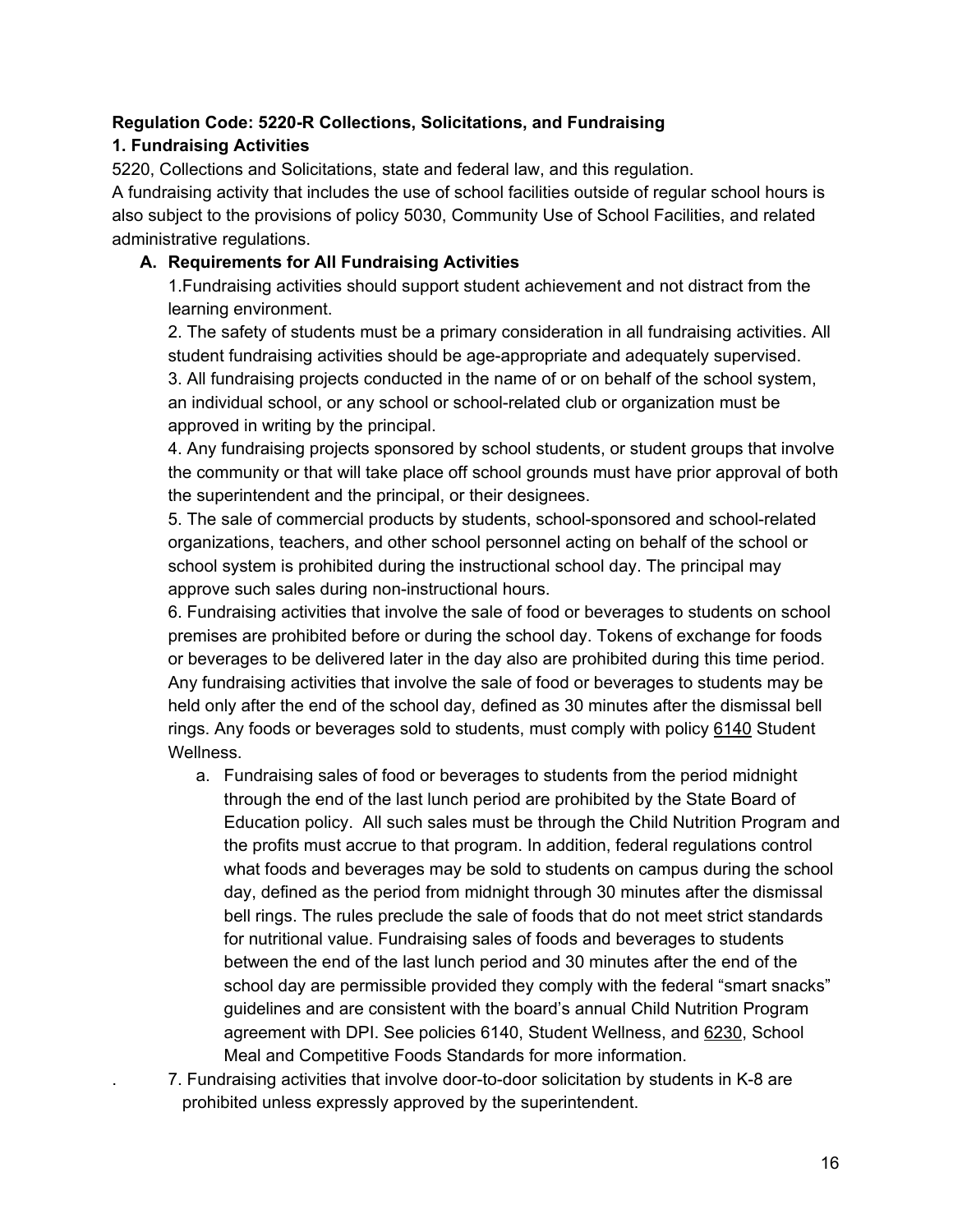### **Regulation Code: 5220-R Collections, Solicitations, and Fundraising**

## **1. Fundraising Activities**

5220, Collections and Solicitations, state and federal law, and this regulation.

A fundraising activity that includes the use of school facilities outside of regular school hours is also subject to the provisions of policy 5030, Community Use of School Facilities, and related administrative regulations.

## **A. Requirements for All Fundraising Activities**

1.Fundraising activities should support student achievement and not distract from the learning environment.

2. The safety of students must be a primary consideration in all fundraising activities. All student fundraising activities should be age-appropriate and adequately supervised. 3. All fundraising projects conducted in the name of or on behalf of the school system, an individual school, or any school or school-related club or organization must be approved in writing by the principal.

4. Any fundraising projects sponsored by school students, or student groups that involve the community or that will take place off school grounds must have prior approval of both the superintendent and the principal, or their designees.

5. The sale of commercial products by students, school-sponsored and school-related organizations, teachers, and other school personnel acting on behalf of the school or school system is prohibited during the instructional school day. The principal may approve such sales during non-instructional hours.

6. Fundraising activities that involve the sale of food or beverages to students on school premises are prohibited before or during the school day. Tokens of exchange for foods or beverages to be delivered later in the day also are prohibited during this time period. Any fundraising activities that involve the sale of food or beverages to students may be held only after the end of the school day, defined as 30 minutes after the dismissal bell rings. Any foods or beverages sold to students, must comply with policy 6140 Student Wellness.

- a. Fundraising sales of food or beverages to students from the period midnight through the end of the last lunch period are prohibited by the State Board of Education policy. All such sales must be through the Child Nutrition Program and the profits must accrue to that program. In addition, federal regulations control what foods and beverages may be sold to students on campus during the school day, defined as the period from midnight through 30 minutes after the dismissal bell rings. The rules preclude the sale of foods that do not meet strict standards for nutritional value. Fundraising sales of foods and beverages to students between the end of the last lunch period and 30 minutes after the end of the school day are permissible provided they comply with the federal "smart snacks" guidelines and are consistent with the board's annual Child Nutrition Program agreement with DPI. See policies 6140, Student Wellness, and 6230, School Meal and Competitive Foods Standards for more information.
- . 7. Fundraising activities that involve door-to-door solicitation by students in K-8 are prohibited unless expressly approved by the superintendent.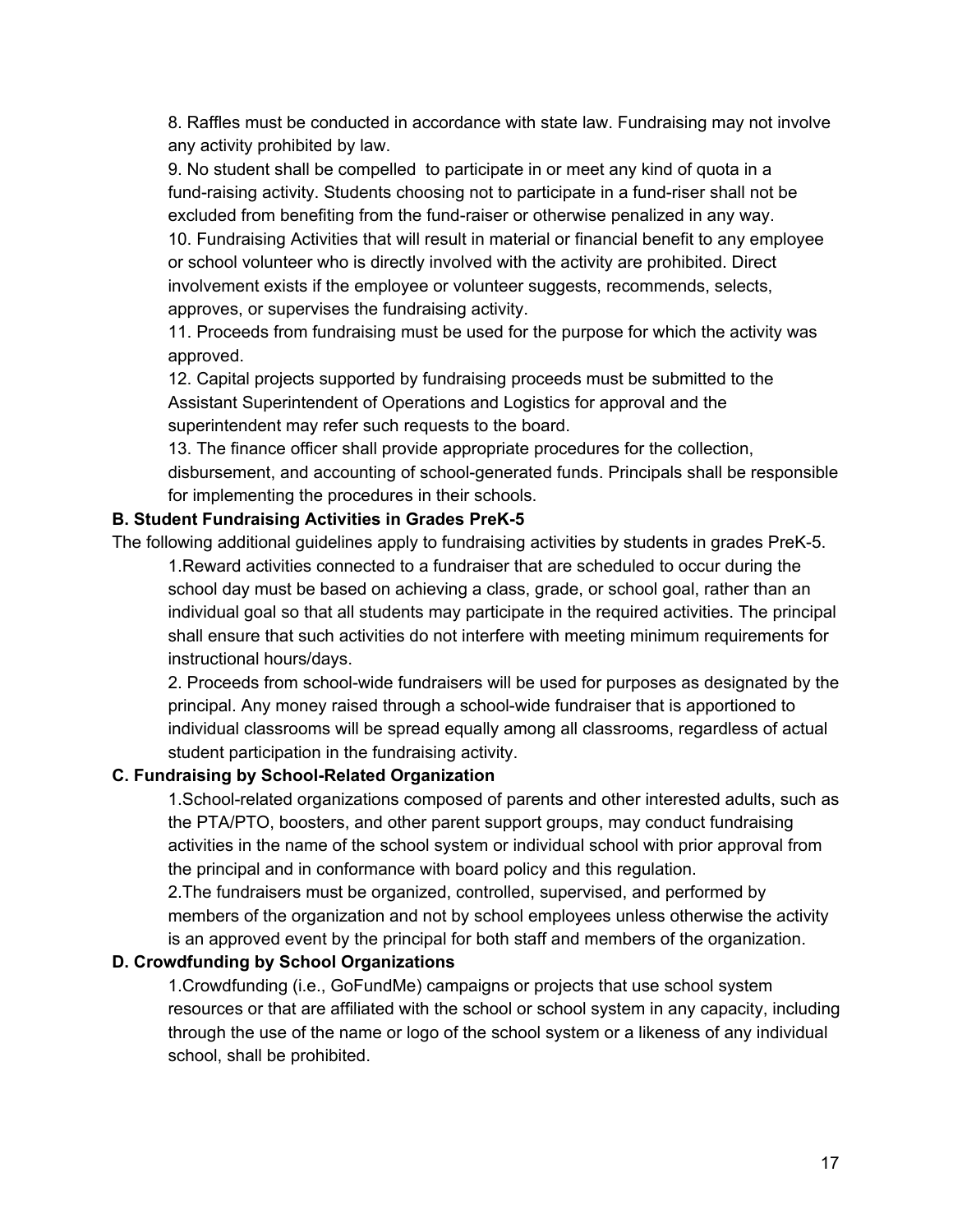8. Raffles must be conducted in accordance with state law. Fundraising may not involve any activity prohibited by law.

9. No student shall be compelled to participate in or meet any kind of quota in a fund-raising activity. Students choosing not to participate in a fund-riser shall not be excluded from benefiting from the fund-raiser or otherwise penalized in any way. 10. Fundraising Activities that will result in material or financial benefit to any employee or school volunteer who is directly involved with the activity are prohibited. Direct involvement exists if the employee or volunteer suggests, recommends, selects,

approves, or supervises the fundraising activity.

11. Proceeds from fundraising must be used for the purpose for which the activity was approved.

12. Capital projects supported by fundraising proceeds must be submitted to the Assistant Superintendent of Operations and Logistics for approval and the superintendent may refer such requests to the board.

13. The finance officer shall provide appropriate procedures for the collection, disbursement, and accounting of school-generated funds. Principals shall be responsible for implementing the procedures in their schools.

### **B. Student Fundraising Activities in Grades PreK-5**

The following additional guidelines apply to fundraising activities by students in grades PreK-5. 1.Reward activities connected to a fundraiser that are scheduled to occur during the school day must be based on achieving a class, grade, or school goal, rather than an individual goal so that all students may participate in the required activities. The principal shall ensure that such activities do not interfere with meeting minimum requirements for

## instructional hours/days.

2. Proceeds from school-wide fundraisers will be used for purposes as designated by the principal. Any money raised through a school-wide fundraiser that is apportioned to individual classrooms will be spread equally among all classrooms, regardless of actual student participation in the fundraising activity.

### **C. Fundraising by School-Related Organization**

1.School-related organizations composed of parents and other interested adults, such as the PTA/PTO, boosters, and other parent support groups, may conduct fundraising activities in the name of the school system or individual school with prior approval from the principal and in conformance with board policy and this regulation.

2.The fundraisers must be organized, controlled, supervised, and performed by members of the organization and not by school employees unless otherwise the activity is an approved event by the principal for both staff and members of the organization.

### **D. Crowdfunding by School Organizations**

1.Crowdfunding (i.e., GoFundMe) campaigns or projects that use school system resources or that are affiliated with the school or school system in any capacity, including through the use of the name or logo of the school system or a likeness of any individual school, shall be prohibited.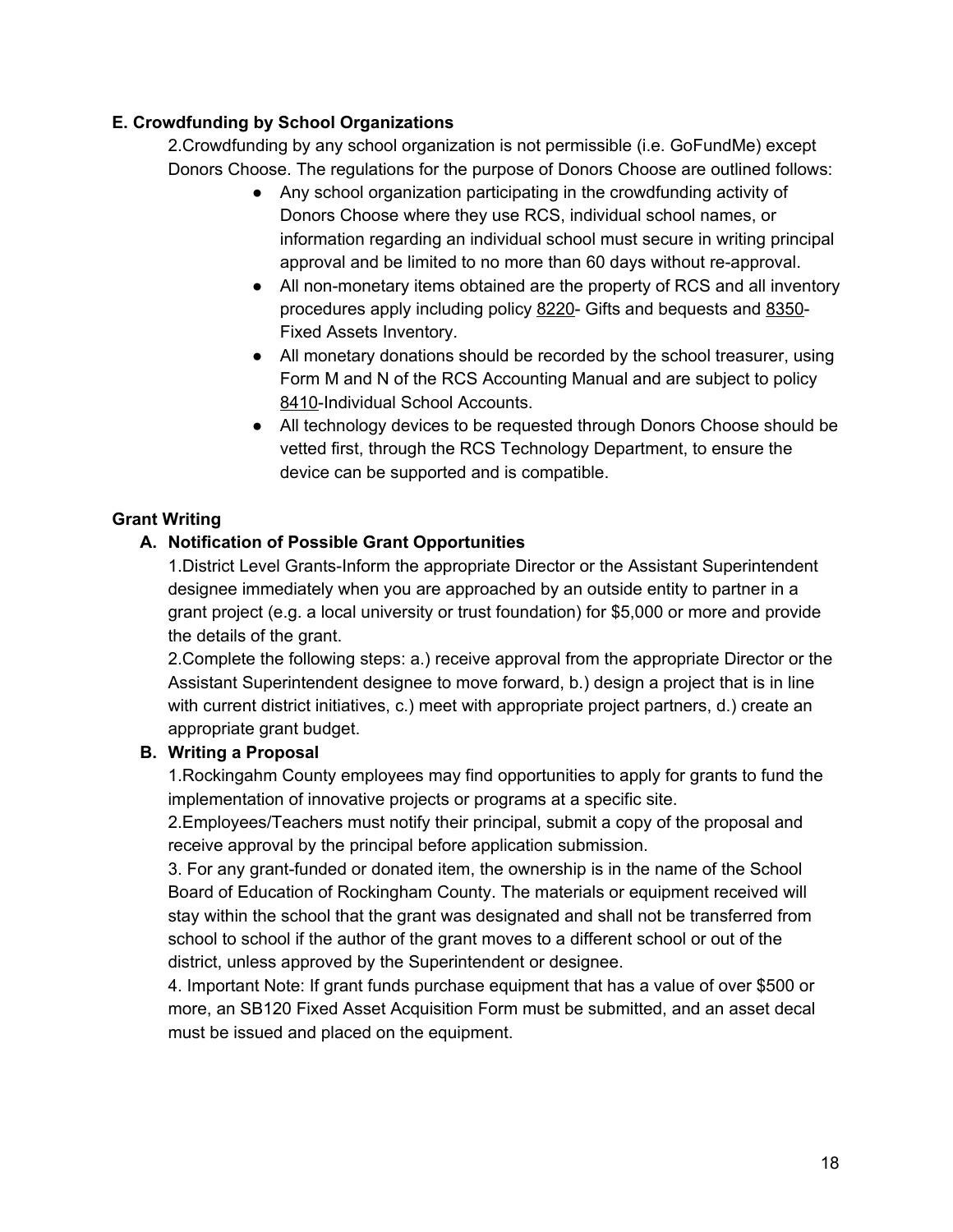### **E. Crowdfunding by School Organizations**

2.Crowdfunding by any school organization is not permissible (i.e. GoFundMe) except Donors Choose. The regulations for the purpose of Donors Choose are outlined follows:

- Any school organization participating in the crowdfunding activity of Donors Choose where they use RCS, individual school names, or information regarding an individual school must secure in writing principal approval and be limited to no more than 60 days without re-approval.
- All non-monetary items obtained are the property of RCS and all inventory procedures apply including policy 8220- Gifts and bequests and 8350- Fixed Assets Inventory.
- All monetary donations should be recorded by the school treasurer, using Form M and N of the RCS Accounting Manual and are subject to policy 8410-Individual School Accounts.
- All technology devices to be requested through Donors Choose should be vetted first, through the RCS Technology Department, to ensure the device can be supported and is compatible.

## **Grant Writing**

## **A. Notification of Possible Grant Opportunities**

1.District Level Grants-Inform the appropriate Director or the Assistant Superintendent designee immediately when you are approached by an outside entity to partner in a grant project (e.g. a local university or trust foundation) for \$5,000 or more and provide the details of the grant.

2.Complete the following steps: a.) receive approval from the appropriate Director or the Assistant Superintendent designee to move forward, b.) design a project that is in line with current district initiatives, c.) meet with appropriate project partners, d.) create an appropriate grant budget.

### **B. Writing a Proposal**

1.Rockingahm County employees may find opportunities to apply for grants to fund the implementation of innovative projects or programs at a specific site.

2.Employees/Teachers must notify their principal, submit a copy of the proposal and receive approval by the principal before application submission.

3. For any grant-funded or donated item, the ownership is in the name of the School Board of Education of Rockingham County. The materials or equipment received will stay within the school that the grant was designated and shall not be transferred from school to school if the author of the grant moves to a different school or out of the district, unless approved by the Superintendent or designee.

4. Important Note: If grant funds purchase equipment that has a value of over \$500 or more, an SB120 Fixed Asset Acquisition Form must be submitted, and an asset decal must be issued and placed on the equipment.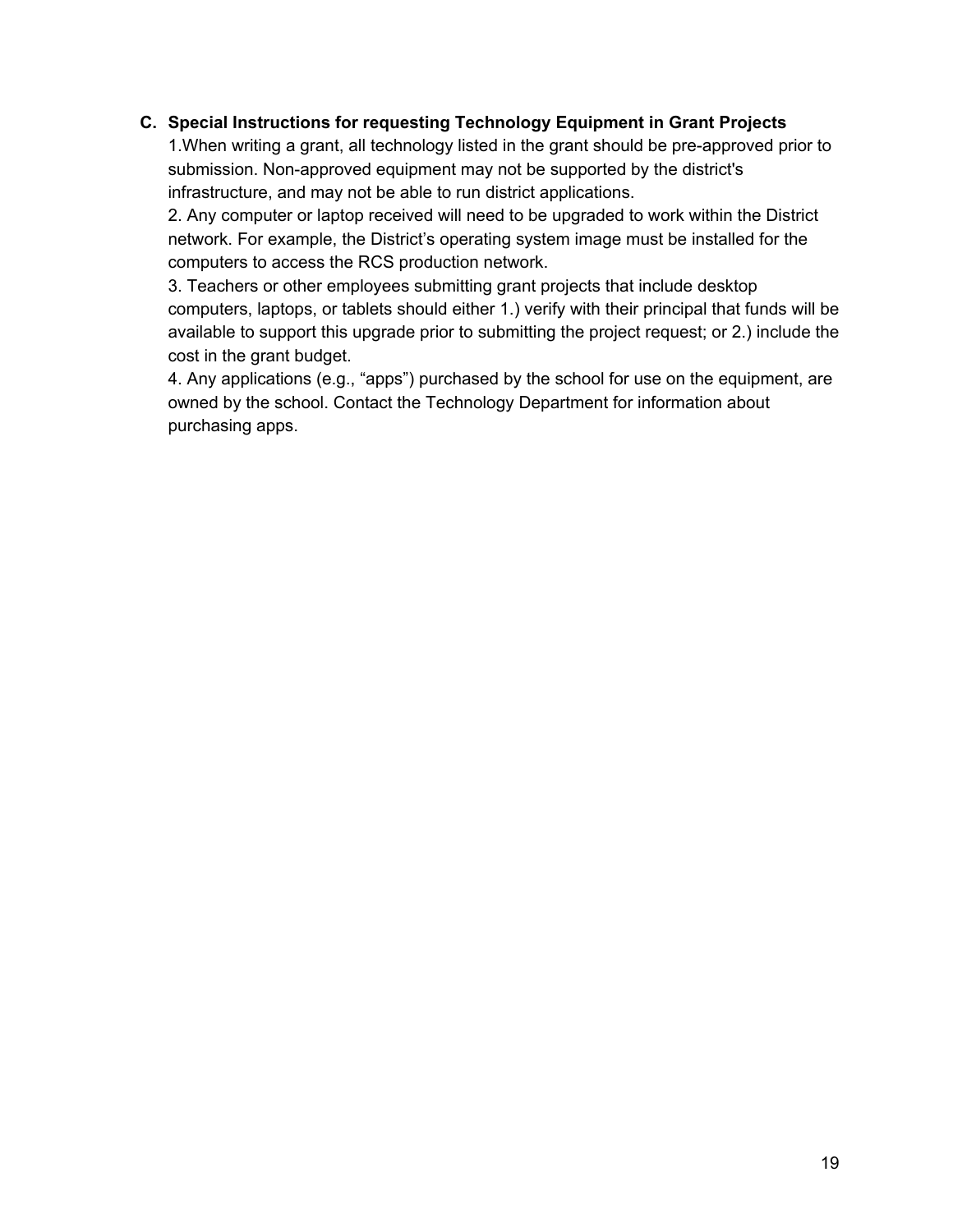### **C. Special Instructions for requesting Technology Equipment in Grant Projects**

1.When writing a grant, all technology listed in the grant should be pre-approved prior to submission. Non-approved equipment may not be supported by the district's infrastructure, and may not be able to run district applications.

2. Any computer or laptop received will need to be upgraded to work within the District network. For example, the District's operating system image must be installed for the computers to access the RCS production network.

3. Teachers or other employees submitting grant projects that include desktop computers, laptops, or tablets should either 1.) verify with their principal that funds will be available to support this upgrade prior to submitting the project request; or 2.) include the cost in the grant budget.

4. Any applications (e.g., "apps") purchased by the school for use on the equipment, are owned by the school. Contact the Technology Department for information about purchasing apps.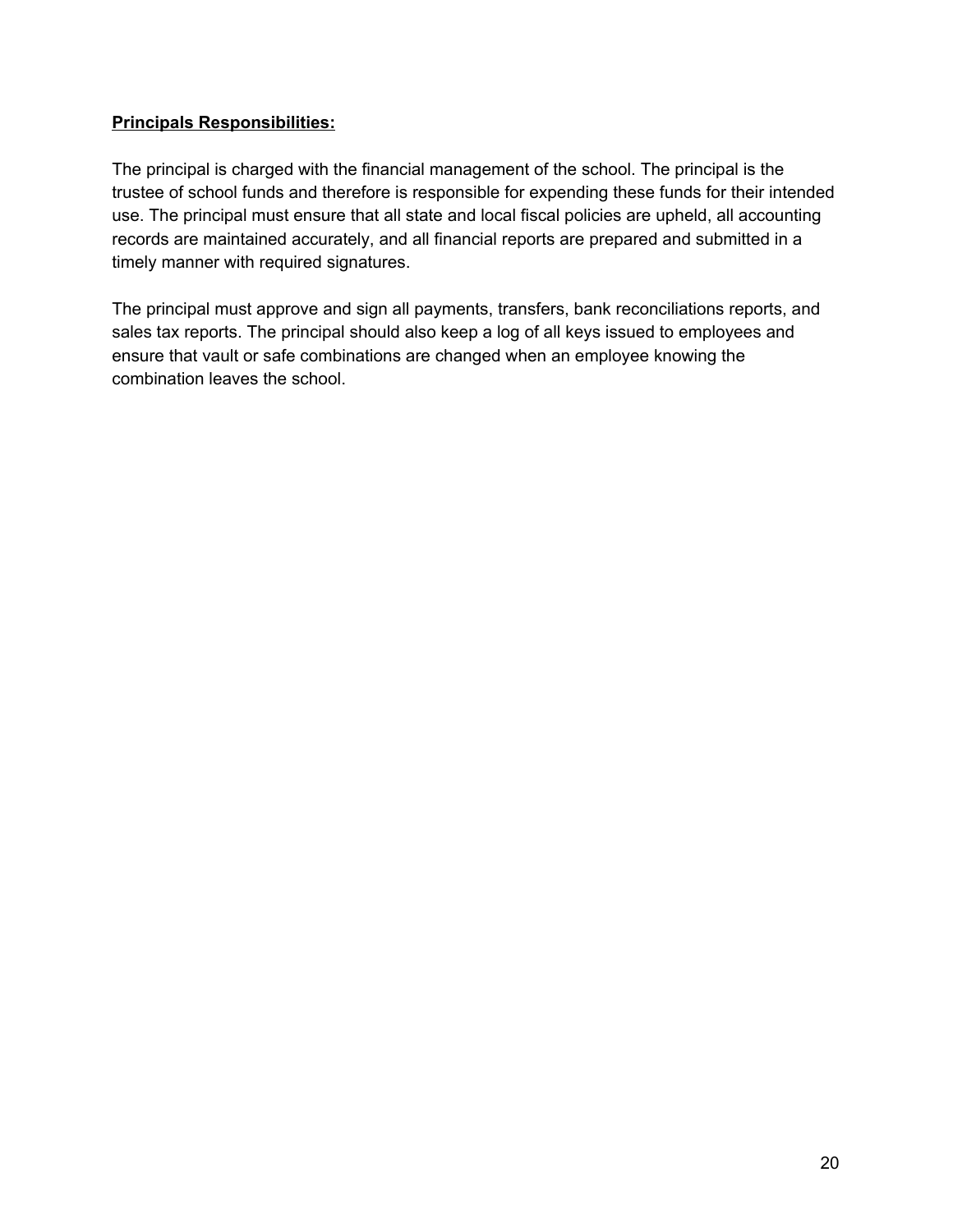### **Principals Responsibilities:**

The principal is charged with the financial management of the school. The principal is the trustee of school funds and therefore is responsible for expending these funds for their intended use. The principal must ensure that all state and local fiscal policies are upheld, all accounting records are maintained accurately, and all financial reports are prepared and submitted in a timely manner with required signatures.

The principal must approve and sign all payments, transfers, bank reconciliations reports, and sales tax reports. The principal should also keep a log of all keys issued to employees and ensure that vault or safe combinations are changed when an employee knowing the combination leaves the school.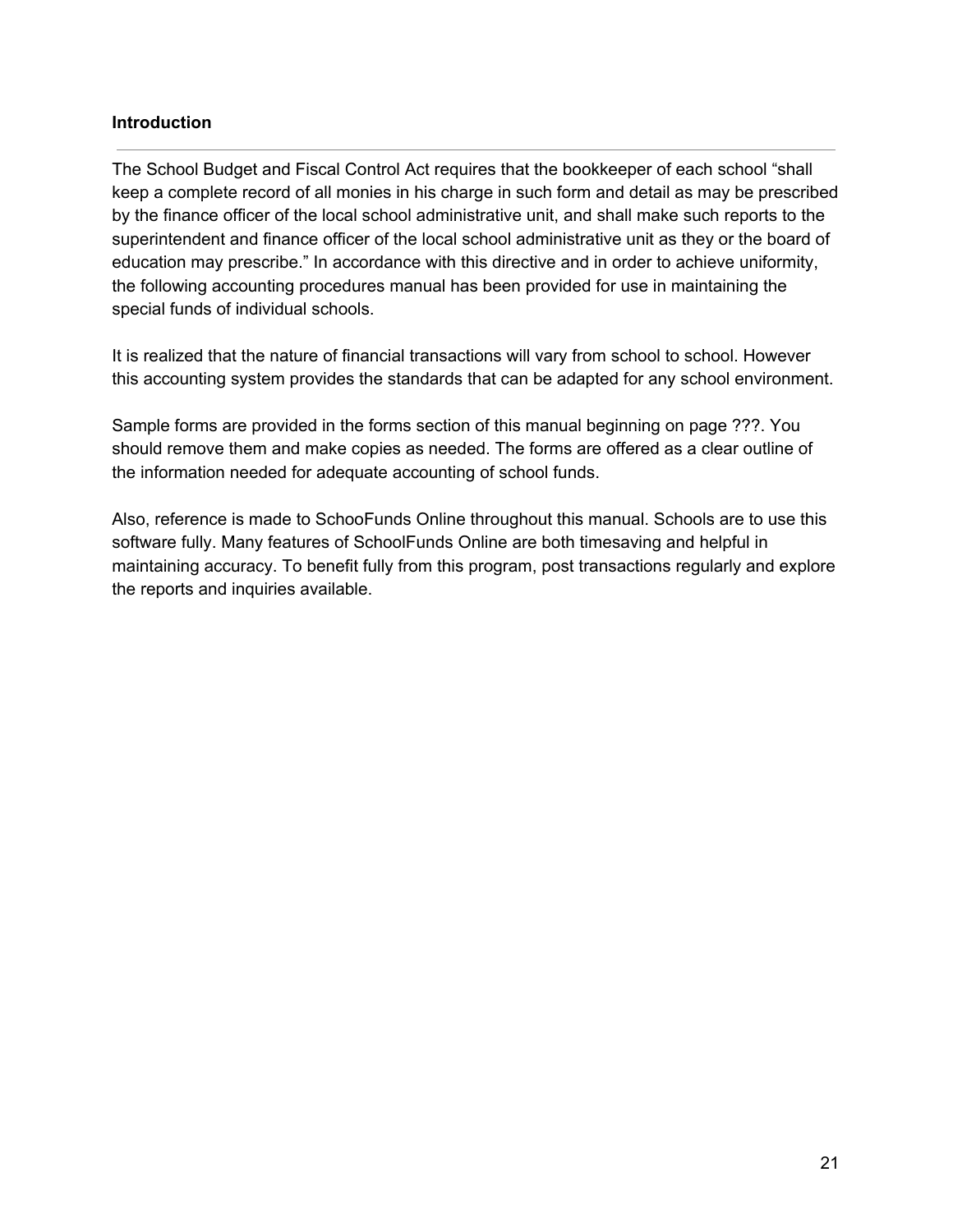### **Introduction**

The School Budget and Fiscal Control Act requires that the bookkeeper of each school "shall keep a complete record of all monies in his charge in such form and detail as may be prescribed by the finance officer of the local school administrative unit, and shall make such reports to the superintendent and finance officer of the local school administrative unit as they or the board of education may prescribe." In accordance with this directive and in order to achieve uniformity, the following accounting procedures manual has been provided for use in maintaining the special funds of individual schools.

It is realized that the nature of financial transactions will vary from school to school. However this accounting system provides the standards that can be adapted for any school environment.

Sample forms are provided in the forms section of this manual beginning on page ???. You should remove them and make copies as needed. The forms are offered as a clear outline of the information needed for adequate accounting of school funds.

Also, reference is made to SchooFunds Online throughout this manual. Schools are to use this software fully. Many features of SchoolFunds Online are both timesaving and helpful in maintaining accuracy. To benefit fully from this program, post transactions regularly and explore the reports and inquiries available.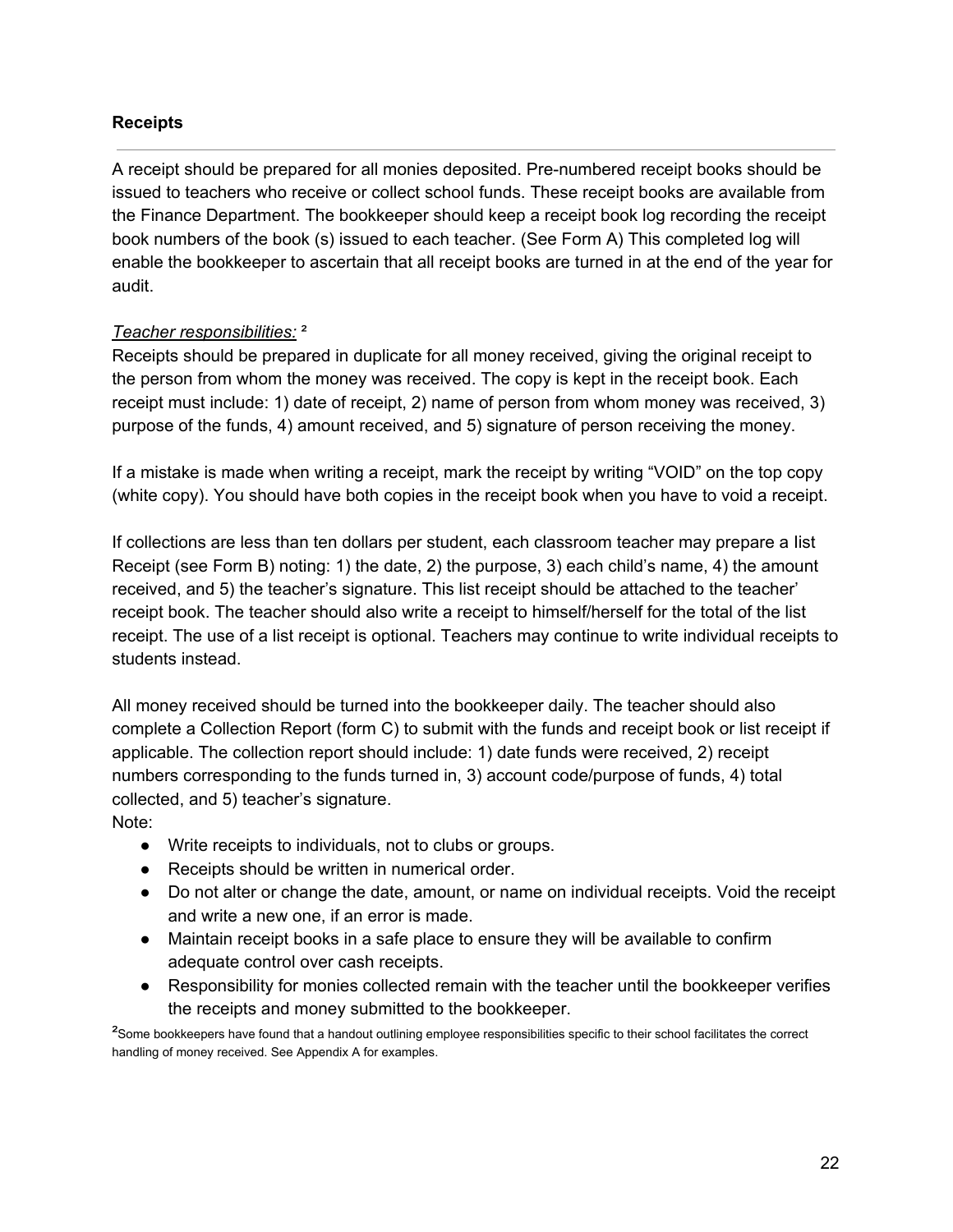### **Receipts**

A receipt should be prepared for all monies deposited. Pre-numbered receipt books should be issued to teachers who receive or collect school funds. These receipt books are available from the Finance Department. The bookkeeper should keep a receipt book log recording the receipt book numbers of the book (s) issued to each teacher. (See Form A) This completed log will enable the bookkeeper to ascertain that all receipt books are turned in at the end of the year for audit.

### *Teacher responsibilities:* ²

Receipts should be prepared in duplicate for all money received, giving the original receipt to the person from whom the money was received. The copy is kept in the receipt book. Each receipt must include: 1) date of receipt, 2) name of person from whom money was received, 3) purpose of the funds, 4) amount received, and 5) signature of person receiving the money.

If a mistake is made when writing a receipt, mark the receipt by writing "VOID" on the top copy (white copy). You should have both copies in the receipt book when you have to void a receipt.

If collections are less than ten dollars per student, each classroom teacher may prepare a Iist Receipt (see Form B) noting: 1) the date, 2) the purpose, 3) each child's name, 4) the amount received, and 5) the teacher's signature. This list receipt should be attached to the teacher' receipt book. The teacher should also write a receipt to himself/herself for the total of the list receipt. The use of a list receipt is optional. Teachers may continue to write individual receipts to students instead.

All money received should be turned into the bookkeeper daily. The teacher should also complete a Collection Report (form C) to submit with the funds and receipt book or list receipt if applicable. The collection report should include: 1) date funds were received, 2) receipt numbers corresponding to the funds turned in, 3) account code/purpose of funds, 4) total collected, and 5) teacher's signature.

Note:

- Write receipts to individuals, not to clubs or groups.
- Receipts should be written in numerical order.
- Do not alter or change the date, amount, or name on individual receipts. Void the receipt and write a new one, if an error is made.
- Maintain receipt books in a safe place to ensure they will be available to confirm adequate control over cash receipts.
- Responsibility for monies collected remain with the teacher until the bookkeeper verifies the receipts and money submitted to the bookkeeper.

<sup>2</sup>Some bookkeepers have found that a handout outlining employee responsibilities specific to their school facilitates the correct handling of money received. See Appendix A for examples.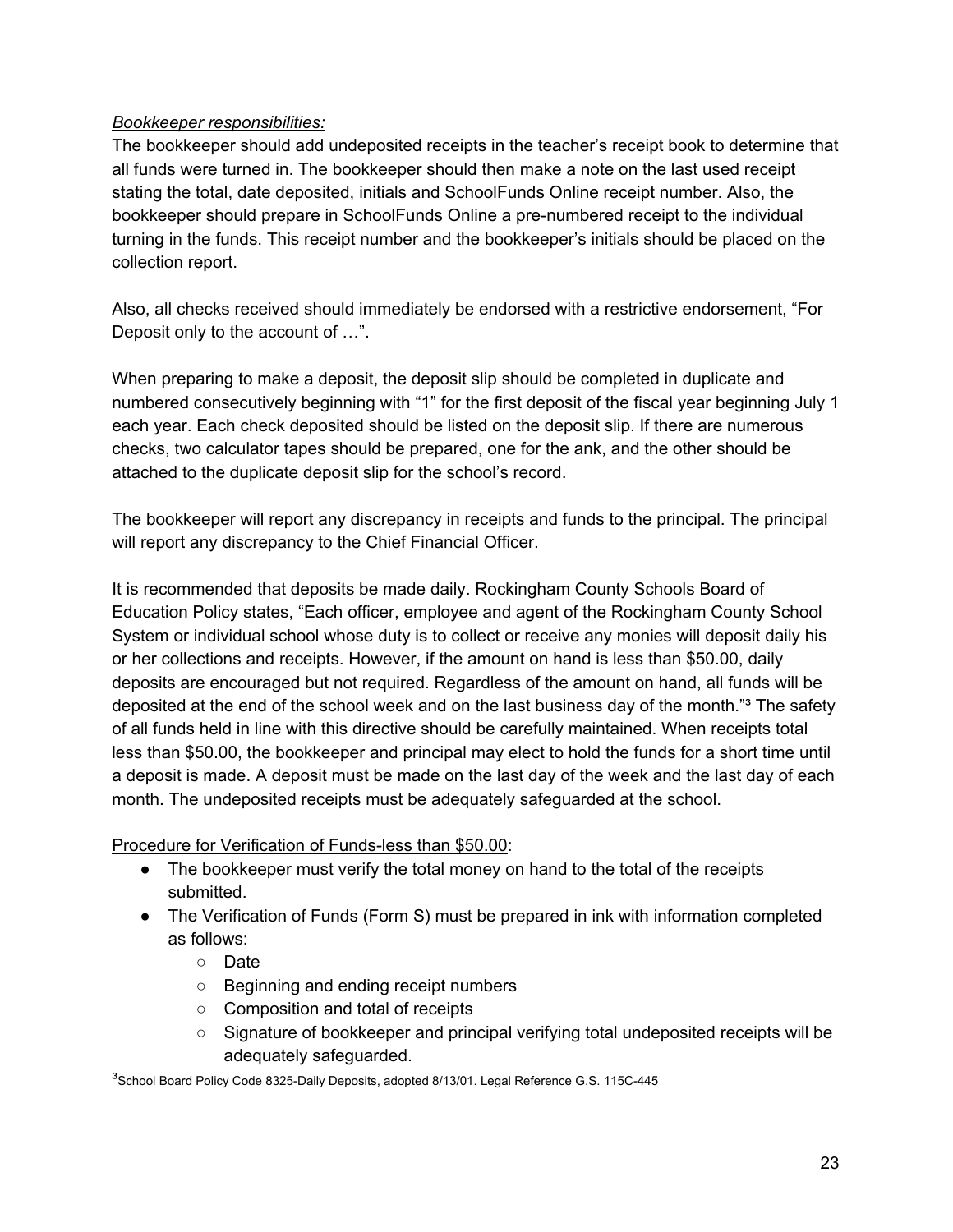### *Bookkeeper responsibilities:*

The bookkeeper should add undeposited receipts in the teacher's receipt book to determine that all funds were turned in. The bookkeeper should then make a note on the last used receipt stating the total, date deposited, initials and SchoolFunds Online receipt number. Also, the bookkeeper should prepare in SchoolFunds Online a pre-numbered receipt to the individual turning in the funds. This receipt number and the bookkeeper's initials should be placed on the collection report.

Also, all checks received should immediately be endorsed with a restrictive endorsement, "For Deposit only to the account of …".

When preparing to make a deposit, the deposit slip should be completed in duplicate and numbered consecutively beginning with "1" for the first deposit of the fiscal year beginning July 1 each year. Each check deposited should be listed on the deposit slip. If there are numerous checks, two calculator tapes should be prepared, one for the ank, and the other should be attached to the duplicate deposit slip for the school's record.

The bookkeeper will report any discrepancy in receipts and funds to the principal. The principal will report any discrepancy to the Chief Financial Officer.

It is recommended that deposits be made daily. Rockingham County Schools Board of Education Policy states, "Each officer, employee and agent of the Rockingham County School System or individual school whose duty is to collect or receive any monies will deposit daily his or her collections and receipts. However, if the amount on hand is less than \$50.00, daily deposits are encouraged but not required. Regardless of the amount on hand, all funds will be deposited at the end of the school week and on the last business day of the month."<sup>3</sup> The safety of all funds held in line with this directive should be carefully maintained. When receipts total less than \$50.00, the bookkeeper and principal may elect to hold the funds for a short time until a deposit is made. A deposit must be made on the last day of the week and the last day of each month. The undeposited receipts must be adequately safeguarded at the school.

Procedure for Verification of Funds-less than \$50.00:

- The bookkeeper must verify the total money on hand to the total of the receipts submitted.
- The Verification of Funds (Form S) must be prepared in ink with information completed as follows:
	- Date
	- Beginning and ending receipt numbers
	- Composition and total of receipts
	- Signature of bookkeeper and principal verifying total undeposited receipts will be adequately safeguarded.

<sup>3</sup>School Board Policy Code 8325-Daily Deposits, adopted 8/13/01. Legal Reference G.S. 115C-445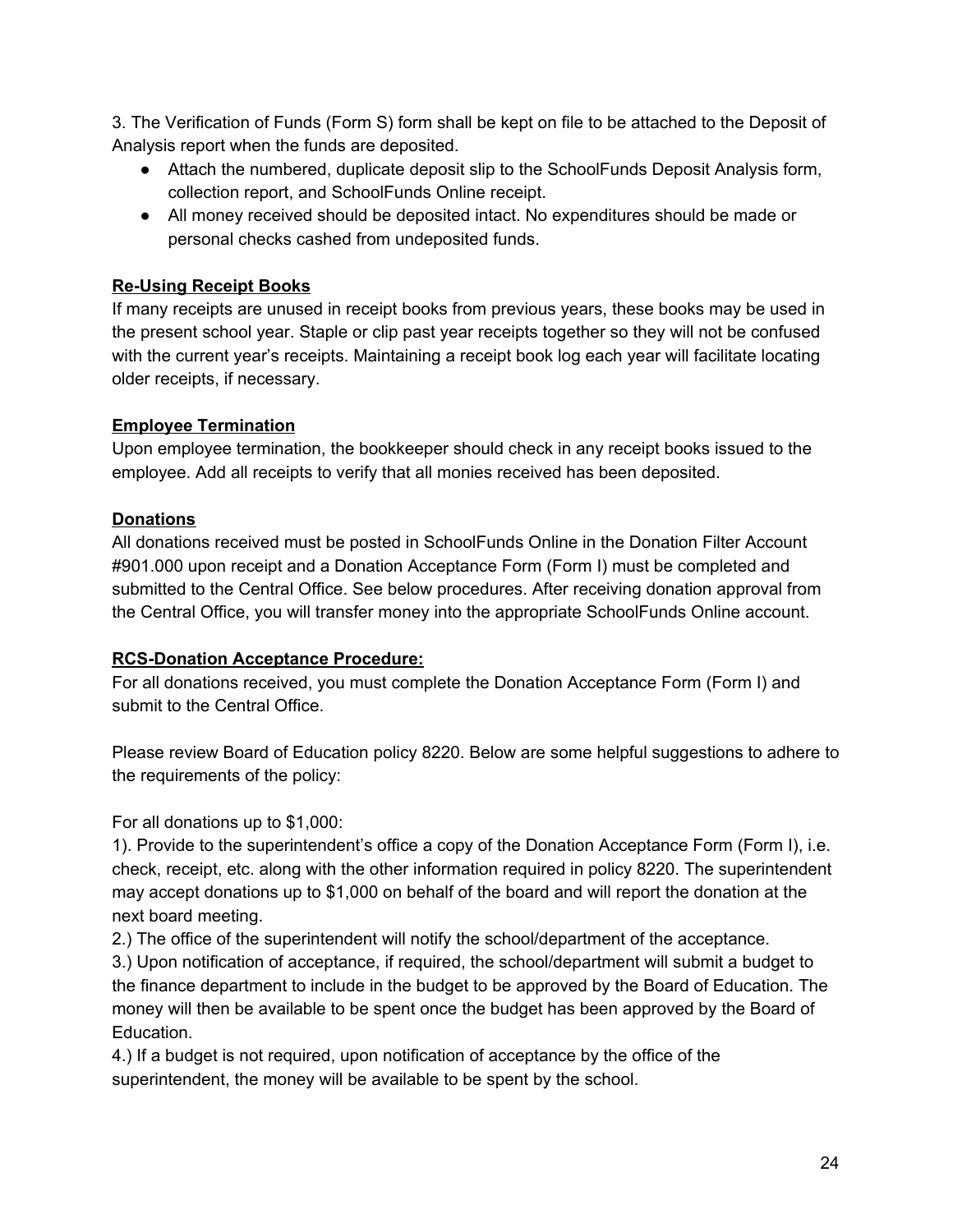3. The Verification of Funds (Form S) form shall be kept on file to be attached to the Deposit of Analysis report when the funds are deposited.

- Attach the numbered, duplicate deposit slip to the SchoolFunds Deposit Analysis form, collection report, and SchoolFunds Online receipt.
- All money received should be deposited intact. No expenditures should be made or personal checks cashed from undeposited funds.

## **Re-Using Receipt Books**

If many receipts are unused in receipt books from previous years, these books may be used in the present school year. Staple or clip past year receipts together so they will not be confused with the current year's receipts. Maintaining a receipt book log each year will facilitate locating older receipts, if necessary.

## **Employee Termination**

Upon employee termination, the bookkeeper should check in any receipt books issued to the employee. Add all receipts to verify that all monies received has been deposited.

## **Donations**

All donations received must be posted in SchoolFunds Online in the Donation Filter Account #901.000 upon receipt and a Donation Acceptance Form (Form I) must be completed and submitted to the Central Office. See below procedures. After receiving donation approval from the Central Office, you will transfer money into the appropriate SchoolFunds Online account.

## **RCS-Donation Acceptance Procedure:**

For all donations received, you must complete the Donation Acceptance Form (Form I) and submit to the Central Office.

Please review Board of Education policy 8220. Below are some helpful suggestions to adhere to the requirements of the policy:

For all donations up to \$1,000:

1). Provide to the superintendent's office a copy of the Donation Acceptance Form (Form I), i.e. check, receipt, etc. along with the other information required in policy 8220. The superintendent may accept donations up to \$1,000 on behalf of the board and will report the donation at the next board meeting.

2.) The office of the superintendent will notify the school/department of the acceptance.

3.) Upon notification of acceptance, if required, the school/department will submit a budget to the finance department to include in the budget to be approved by the Board of Education. The money will then be available to be spent once the budget has been approved by the Board of Education.

4.) If a budget is not required, upon notification of acceptance by the office of the superintendent, the money will be available to be spent by the school.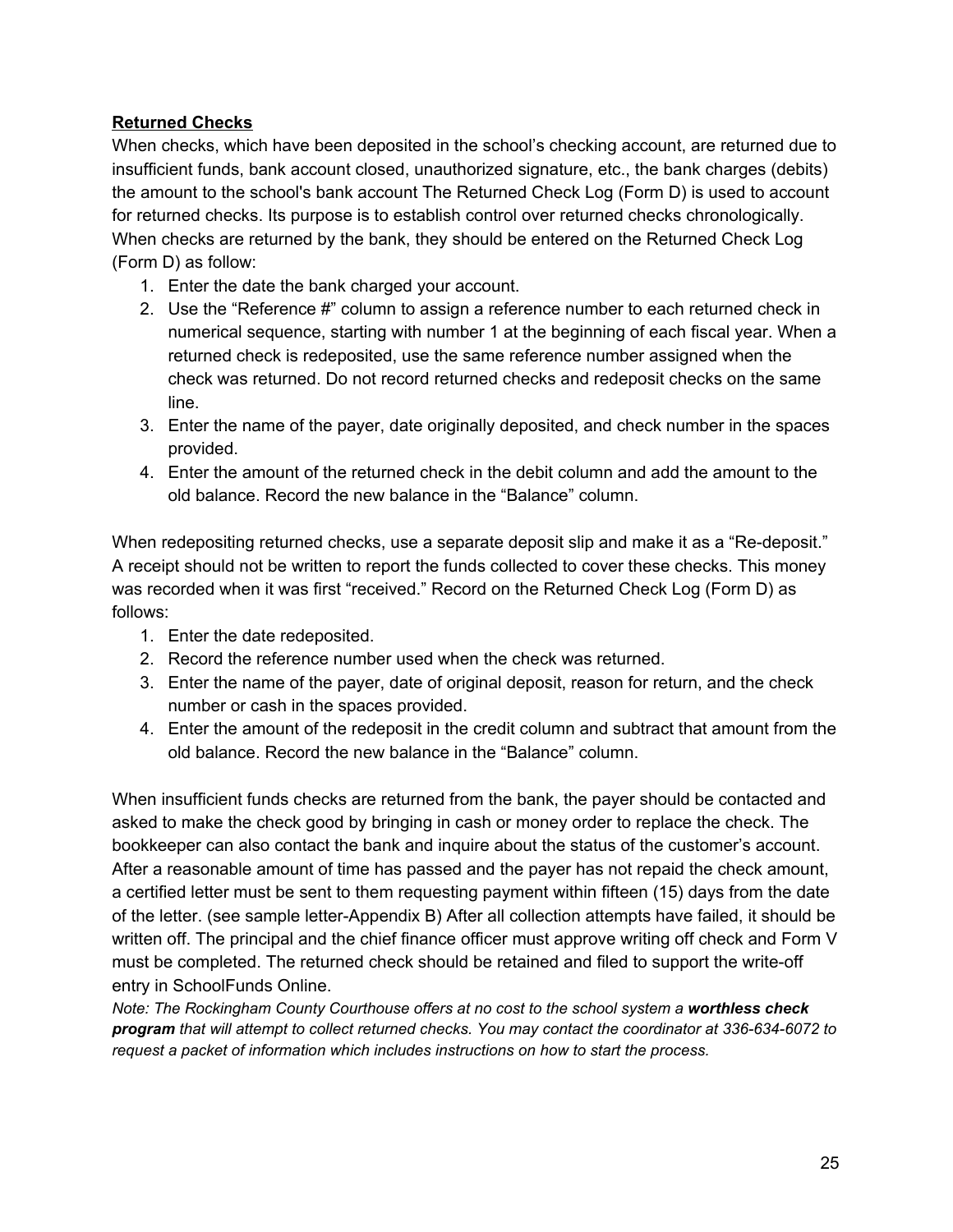### **Returned Checks**

When checks, which have been deposited in the school's checking account, are returned due to insufficient funds, bank account closed, unauthorized signature, etc., the bank charges (debits) the amount to the school's bank account The Returned Check Log (Form D) is used to account for returned checks. Its purpose is to establish control over returned checks chronologically. When checks are returned by the bank, they should be entered on the Returned Check Log (Form D) as follow:

- 1. Enter the date the bank charged your account.
- 2. Use the "Reference #" column to assign a reference number to each returned check in numerical sequence, starting with number 1 at the beginning of each fiscal year. When a returned check is redeposited, use the same reference number assigned when the check was returned. Do not record returned checks and redeposit checks on the same line.
- 3. Enter the name of the payer, date originally deposited, and check number in the spaces provided.
- 4. Enter the amount of the returned check in the debit column and add the amount to the old balance. Record the new balance in the "Balance" column.

When redepositing returned checks, use a separate deposit slip and make it as a "Re-deposit." A receipt should not be written to report the funds collected to cover these checks. This money was recorded when it was first "received." Record on the Returned Check Log (Form D) as follows:

- 1. Enter the date redeposited.
- 2. Record the reference number used when the check was returned.
- 3. Enter the name of the payer, date of original deposit, reason for return, and the check number or cash in the spaces provided.
- 4. Enter the amount of the redeposit in the credit column and subtract that amount from the old balance. Record the new balance in the "Balance" column.

When insufficient funds checks are returned from the bank, the payer should be contacted and asked to make the check good by bringing in cash or money order to replace the check. The bookkeeper can also contact the bank and inquire about the status of the customer's account. After a reasonable amount of time has passed and the payer has not repaid the check amount, a certified letter must be sent to them requesting payment within fifteen (15) days from the date of the letter. (see sample letter-Appendix B) After all collection attempts have failed, it should be written off. The principal and the chief finance officer must approve writing off check and Form V must be completed. The returned check should be retained and filed to support the write-off entry in SchoolFunds Online.

*Note: The Rockingham County Courthouse offers at no cost to the school system a worthless check program that will attempt to collect returned checks. You may contact the coordinator at 336-634-6072 to request a packet of information which includes instructions on how to start the process.*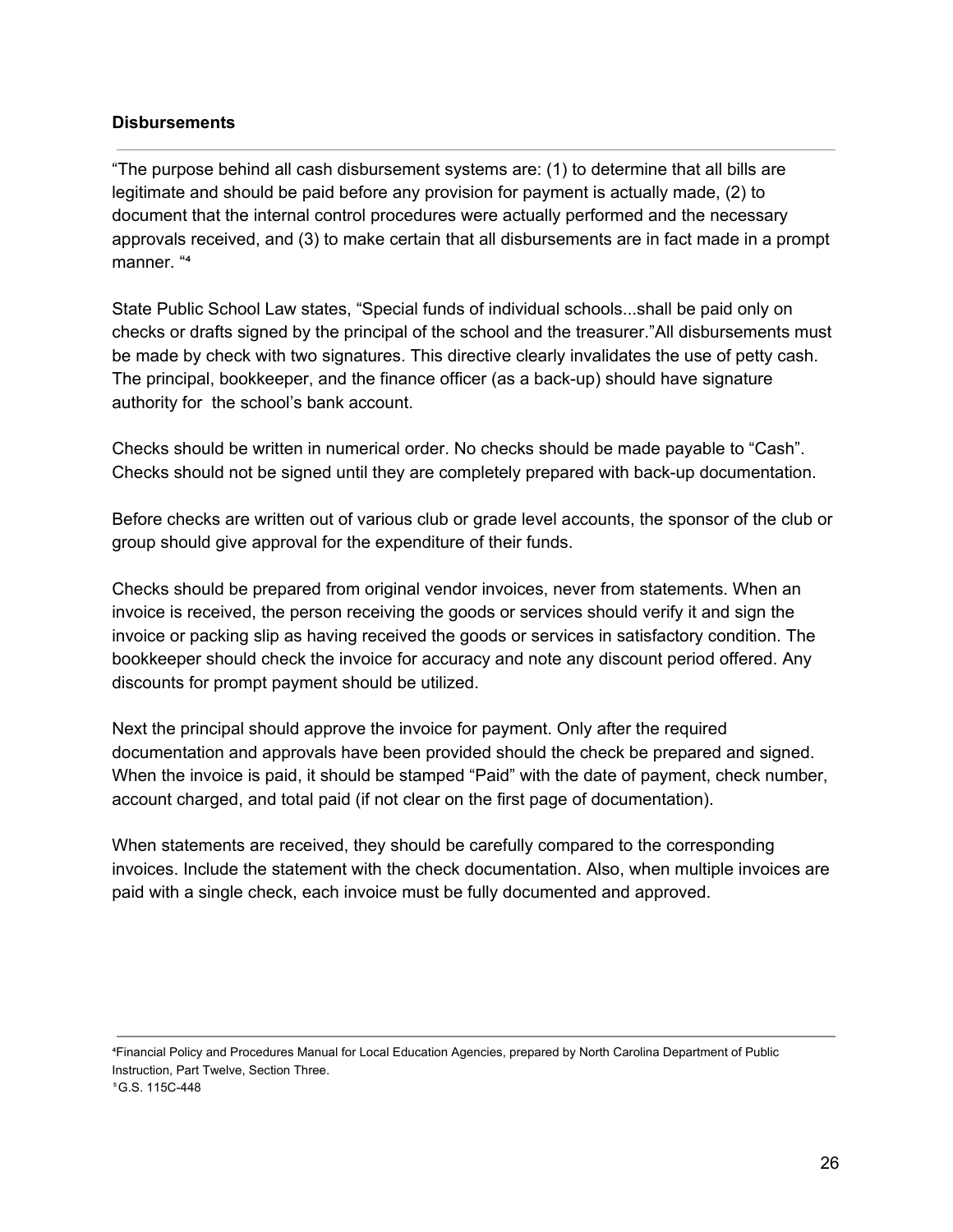#### **Disbursements**

"The purpose behind all cash disbursement systems are: (1) to determine that all bills are legitimate and should be paid before any provision for payment is actually made, (2) to document that the internal control procedures were actually performed and the necessary approvals received, and (3) to make certain that all disbursements are in fact made in a prompt manner. "4

State Public School Law states, "Special funds of individual schools...shall be paid only on checks or drafts signed by the principal of the school and the treasurer."All disbursements must be made by check with two signatures. This directive clearly invalidates the use of petty cash. The principal, bookkeeper, and the finance officer (as a back-up) should have signature authority for the school's bank account.

Checks should be written in numerical order. No checks should be made payable to "Cash". Checks should not be signed until they are completely prepared with back-up documentation.

Before checks are written out of various club or grade level accounts, the sponsor of the club or group should give approval for the expenditure of their funds.

Checks should be prepared from original vendor invoices, never from statements. When an invoice is received, the person receiving the goods or services should verify it and sign the invoice or packing slip as having received the goods or services in satisfactory condition. The bookkeeper should check the invoice for accuracy and note any discount period offered. Any discounts for prompt payment should be utilized.

Next the principal should approve the invoice for payment. Only after the required documentation and approvals have been provided should the check be prepared and signed. When the invoice is paid, it should be stamped "Paid" with the date of payment, check number, account charged, and total paid (if not clear on the first page of documentation).

When statements are received, they should be carefully compared to the corresponding invoices. Include the statement with the check documentation. Also, when multiple invoices are paid with a single check, each invoice must be fully documented and approved.

⁴Financial Policy and Procedures Manual for Local Education Agencies, prepared by North Carolina Department of Public Instruction, Part Twelve, Section Three. ⁵G.S. 115C-448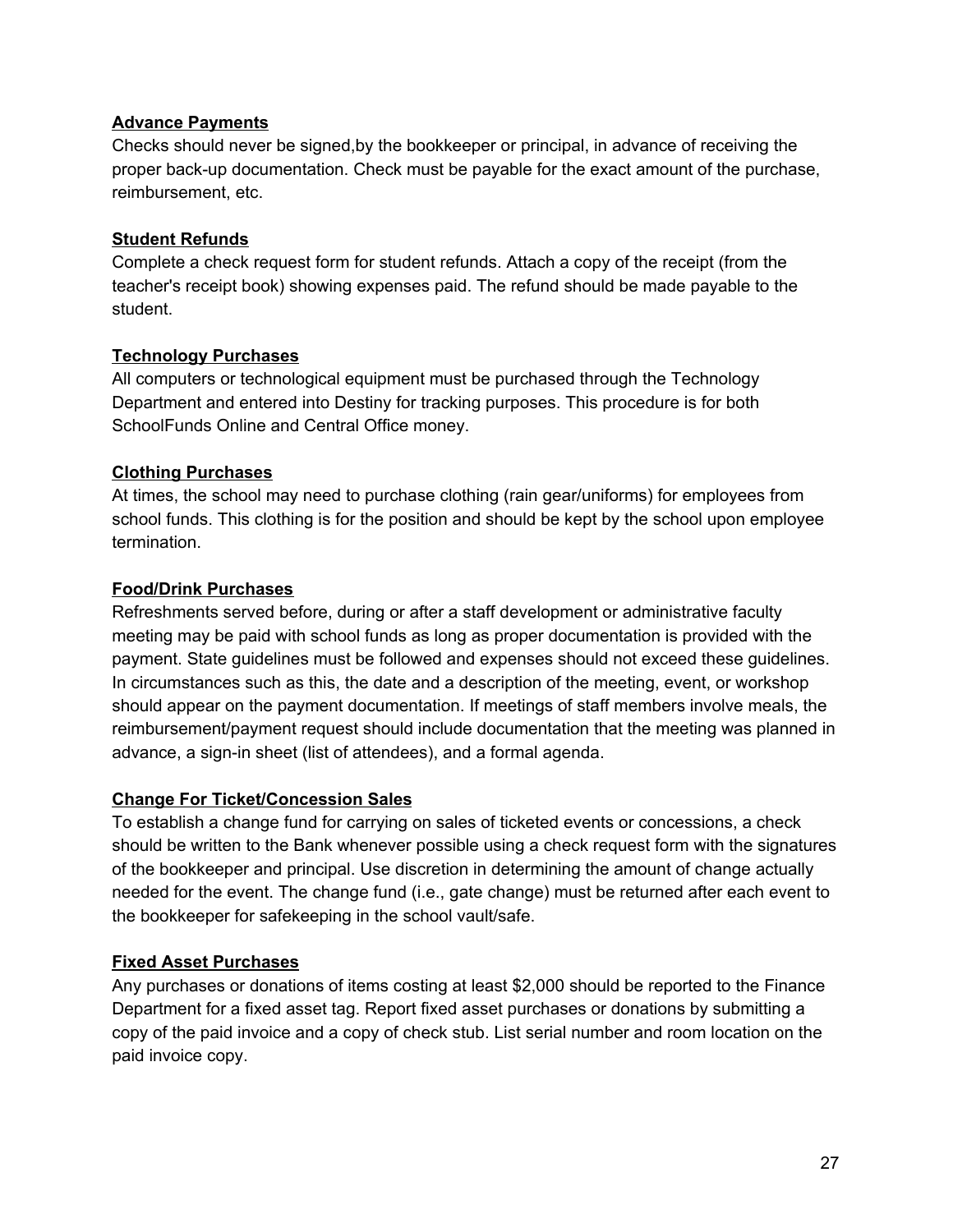### **Advance Payments**

Checks should never be signed,by the bookkeeper or principal, in advance of receiving the proper back-up documentation. Check must be payable for the exact amount of the purchase, reimbursement, etc.

### **Student Refunds**

Complete a check request form for student refunds. Attach a copy of the receipt (from the teacher's receipt book) showing expenses paid. The refund should be made payable to the student.

### **Technology Purchases**

All computers or technological equipment must be purchased through the Technology Department and entered into Destiny for tracking purposes. This procedure is for both SchoolFunds Online and Central Office money.

### **Clothing Purchases**

At times, the school may need to purchase clothing (rain gear/uniforms) for employees from school funds. This clothing is for the position and should be kept by the school upon employee termination.

### **Food/Drink Purchases**

Refreshments served before, during or after a staff development or administrative faculty meeting may be paid with school funds as long as proper documentation is provided with the payment. State guidelines must be followed and expenses should not exceed these guidelines. In circumstances such as this, the date and a description of the meeting, event, or workshop should appear on the payment documentation. If meetings of staff members involve meals, the reimbursement/payment request should include documentation that the meeting was planned in advance, a sign-in sheet (list of attendees), and a formal agenda.

### **Change For Ticket/Concession Sales**

To establish a change fund for carrying on sales of ticketed events or concessions, a check should be written to the Bank whenever possible using a check request form with the signatures of the bookkeeper and principal. Use discretion in determining the amount of change actually needed for the event. The change fund (i.e., gate change) must be returned after each event to the bookkeeper for safekeeping in the school vault/safe.

### **Fixed Asset Purchases**

Any purchases or donations of items costing at least \$2,000 should be reported to the Finance Department for a fixed asset tag. Report fixed asset purchases or donations by submitting a copy of the paid invoice and a copy of check stub. List serial number and room location on the paid invoice copy.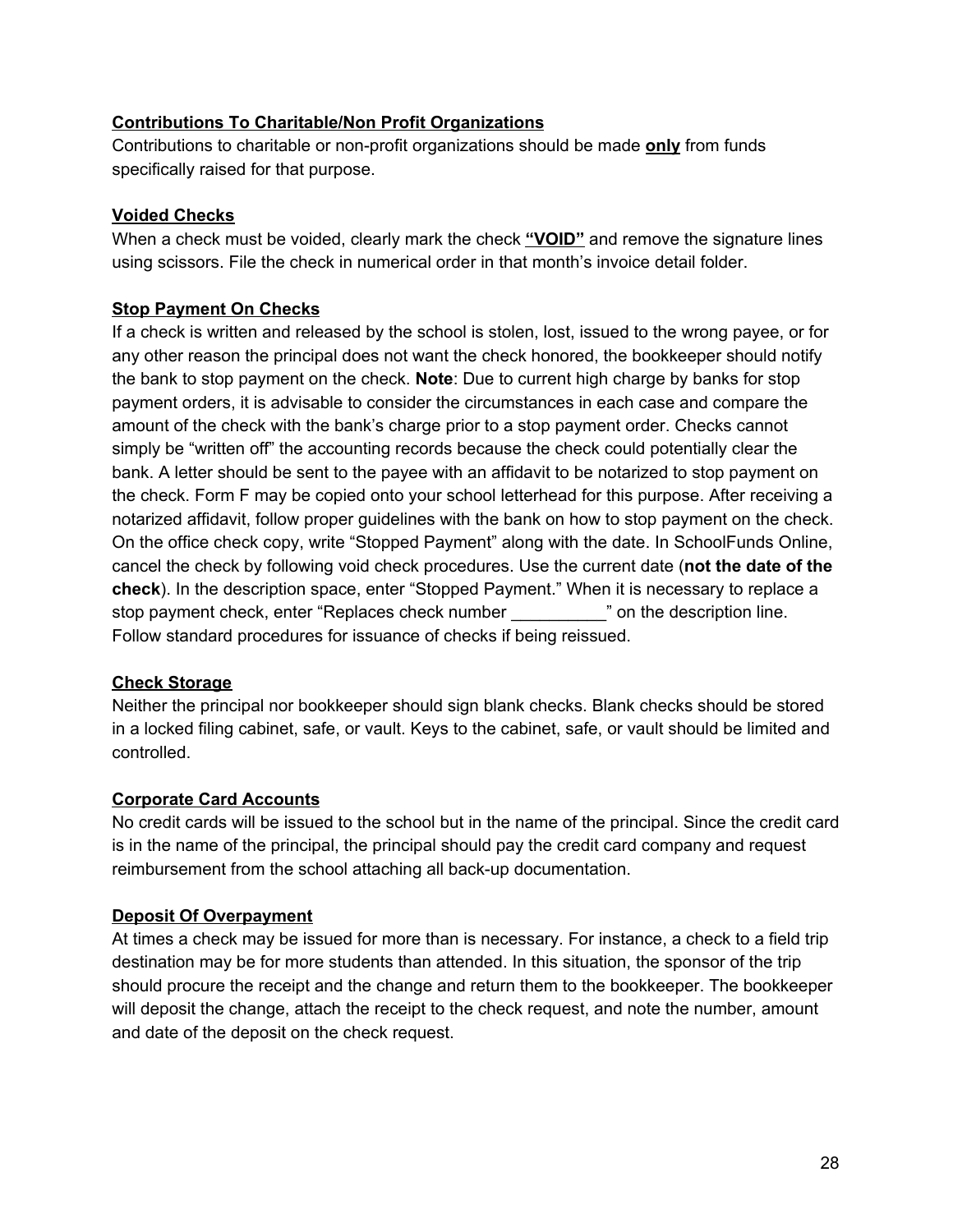### **Contributions To Charitable/Non Profit Organizations**

Contributions to charitable or non-profit organizations should be made **only** from funds specifically raised for that purpose.

### **Voided Checks**

When a check must be voided, clearly mark the check **"VOID"** and remove the signature lines using scissors. File the check in numerical order in that month's invoice detail folder.

### **Stop Payment On Checks**

If a check is written and released by the school is stolen, lost, issued to the wrong payee, or for any other reason the principal does not want the check honored, the bookkeeper should notify the bank to stop payment on the check. **Note**: Due to current high charge by banks for stop payment orders, it is advisable to consider the circumstances in each case and compare the amount of the check with the bank's charge prior to a stop payment order. Checks cannot simply be "written off" the accounting records because the check could potentially clear the bank. A letter should be sent to the payee with an affidavit to be notarized to stop payment on the check. Form F may be copied onto your school letterhead for this purpose. After receiving a notarized affidavit, follow proper guidelines with the bank on how to stop payment on the check. On the office check copy, write "Stopped Payment" along with the date. In SchoolFunds Online, cancel the check by following void check procedures. Use the current date (**not the date of the check**). In the description space, enter "Stopped Payment." When it is necessary to replace a stop payment check, enter "Replaces check number \_\_\_\_\_\_\_\_\_\_" on the description line. Follow standard procedures for issuance of checks if being reissued.

### **Check Storage**

Neither the principal nor bookkeeper should sign blank checks. Blank checks should be stored in a locked filing cabinet, safe, or vault. Keys to the cabinet, safe, or vault should be limited and controlled.

#### **Corporate Card Accounts**

No credit cards will be issued to the school but in the name of the principal. Since the credit card is in the name of the principal, the principal should pay the credit card company and request reimbursement from the school attaching all back-up documentation.

### **Deposit Of Overpayment**

At times a check may be issued for more than is necessary. For instance, a check to a field trip destination may be for more students than attended. In this situation, the sponsor of the trip should procure the receipt and the change and return them to the bookkeeper. The bookkeeper will deposit the change, attach the receipt to the check request, and note the number, amount and date of the deposit on the check request.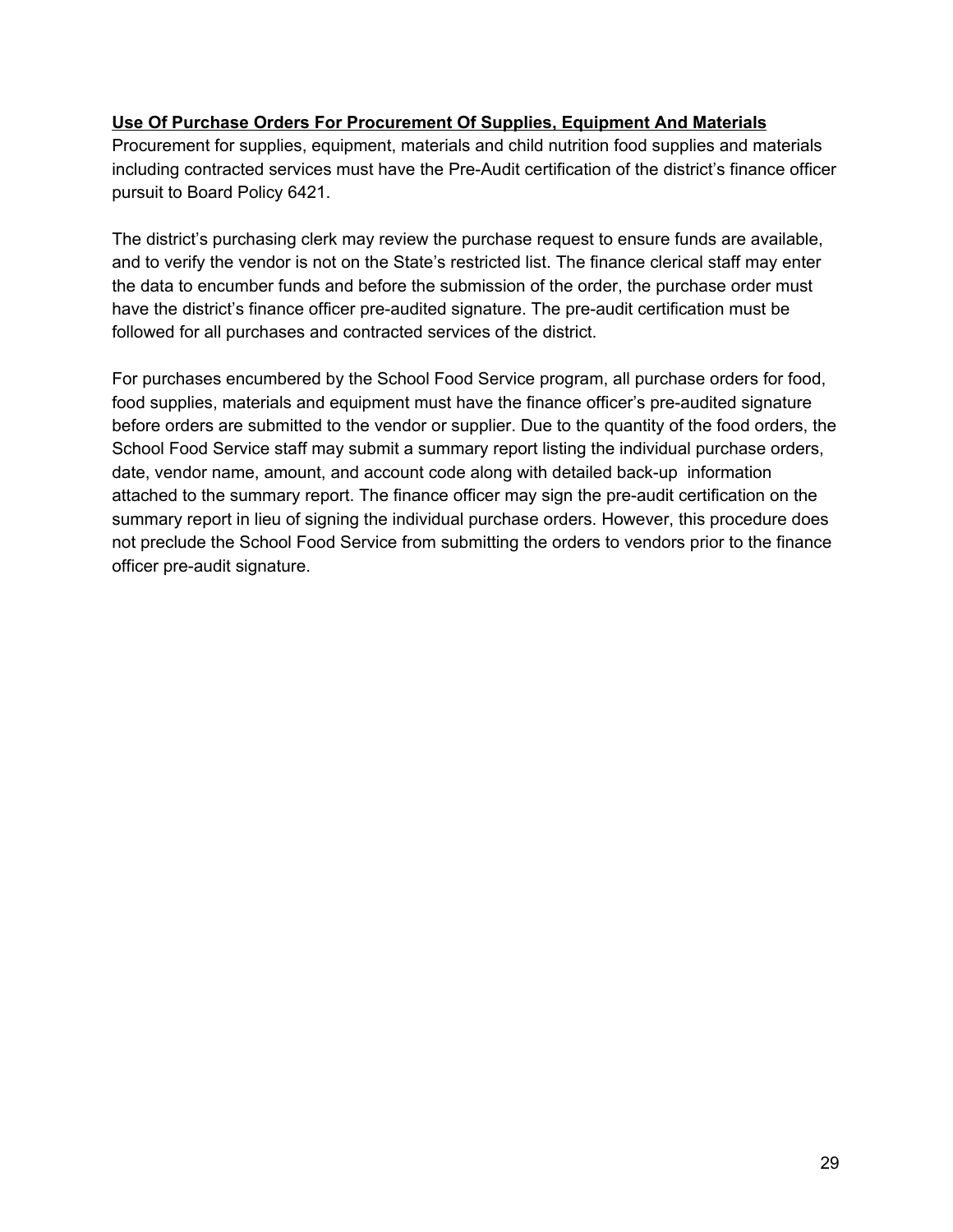### **Use Of Purchase Orders For Procurement Of Supplies, Equipment And Materials**

Procurement for supplies, equipment, materials and child nutrition food supplies and materials including contracted services must have the Pre-Audit certification of the district's finance officer pursuit to Board Policy 6421.

The district's purchasing clerk may review the purchase request to ensure funds are available, and to verify the vendor is not on the State's restricted list. The finance clerical staff may enter the data to encumber funds and before the submission of the order, the purchase order must have the district's finance officer pre-audited signature. The pre-audit certification must be followed for all purchases and contracted services of the district.

For purchases encumbered by the School Food Service program, all purchase orders for food, food supplies, materials and equipment must have the finance officer's pre-audited signature before orders are submitted to the vendor or supplier. Due to the quantity of the food orders, the School Food Service staff may submit a summary report listing the individual purchase orders, date, vendor name, amount, and account code along with detailed back-up information attached to the summary report. The finance officer may sign the pre-audit certification on the summary report in lieu of signing the individual purchase orders. However, this procedure does not preclude the School Food Service from submitting the orders to vendors prior to the finance officer pre-audit signature.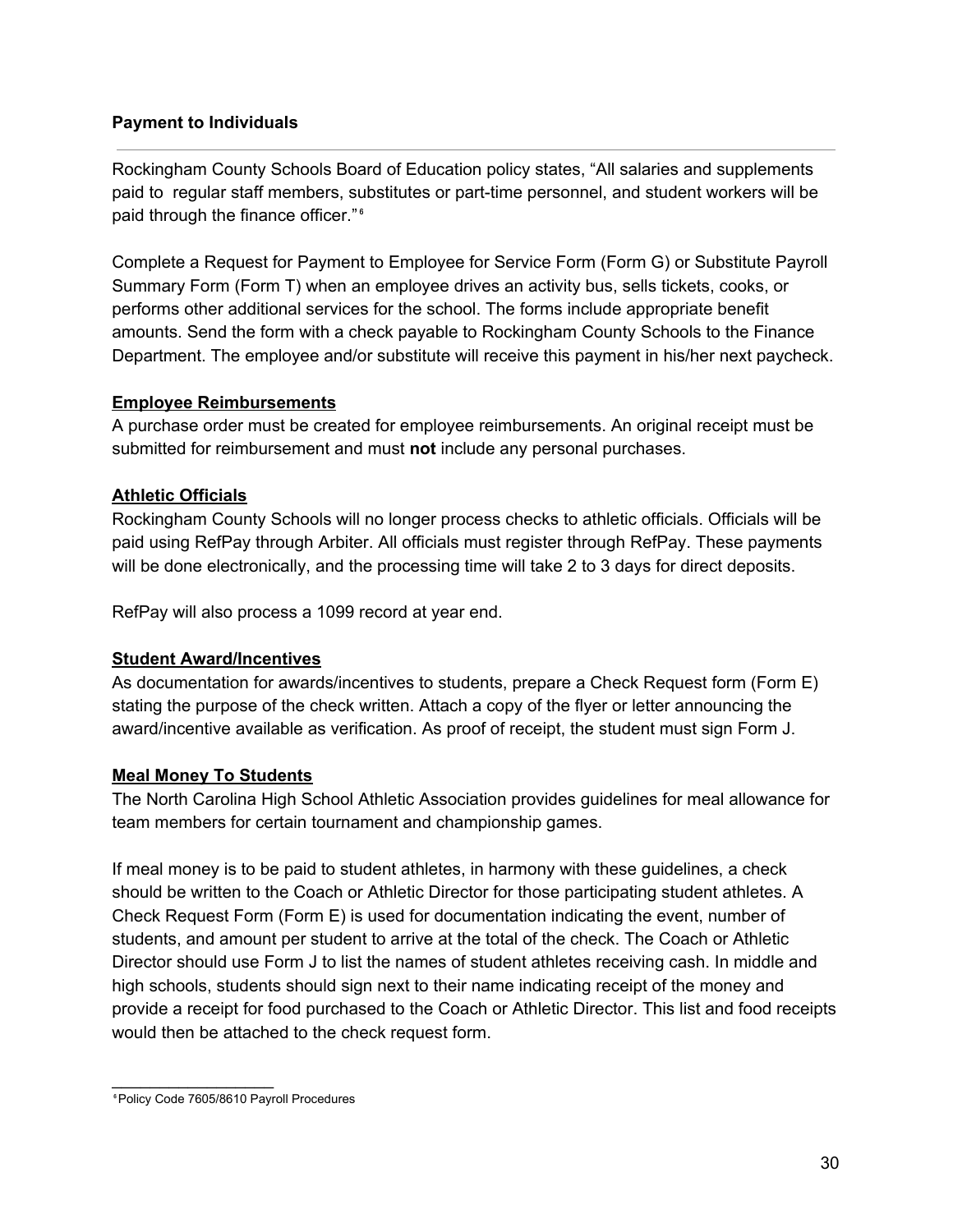### **Payment to Individuals**

Rockingham County Schools Board of Education policy states, "All salaries and supplements paid to regular staff members, substitutes or part-time personnel, and student workers will be paid through the finance officer."<sup>6</sup>

Complete a Request for Payment to Employee for Service Form (Form G) or Substitute Payroll Summary Form (Form T) when an employee drives an activity bus, sells tickets, cooks, or performs other additional services for the school. The forms include appropriate benefit amounts. Send the form with a check payable to Rockingham County Schools to the Finance Department. The employee and/or substitute will receive this payment in his/her next paycheck.

### **Employee Reimbursements**

A purchase order must be created for employee reimbursements. An original receipt must be submitted for reimbursement and must **not** include any personal purchases.

### **Athletic Officials**

Rockingham County Schools will no longer process checks to athletic officials. Officials will be paid using RefPay through Arbiter. All officials must register through RefPay. These payments will be done electronically, and the processing time will take 2 to 3 days for direct deposits.

RefPay will also process a 1099 record at year end.

#### **Student Award/Incentives**

As documentation for awards/incentives to students, prepare a Check Request form (Form E) stating the purpose of the check written. Attach a copy of the flyer or letter announcing the award/incentive available as verification. As proof of receipt, the student must sign Form J.

### **Meal Money To Students**

The North Carolina High School Athletic Association provides guidelines for meal allowance for team members for certain tournament and championship games.

If meal money is to be paid to student athletes, in harmony with these guidelines, a check should be written to the Coach or Athletic Director for those participating student athletes. A Check Request Form (Form E) is used for documentation indicating the event, number of students, and amount per student to arrive at the total of the check. The Coach or Athletic Director should use Form J to list the names of student athletes receiving cash. In middle and high schools, students should sign next to their name indicating receipt of the money and provide a receipt for food purchased to the Coach or Athletic Director. This list and food receipts would then be attached to the check request form.

 $\overline{\phantom{a}}$  . The set of the set of the set of the set of the set of the set of the set of the set of the set of the set of the set of the set of the set of the set of the set of the set of the set of the set of the set o

⁶Policy Code 7605/8610 Payroll Procedures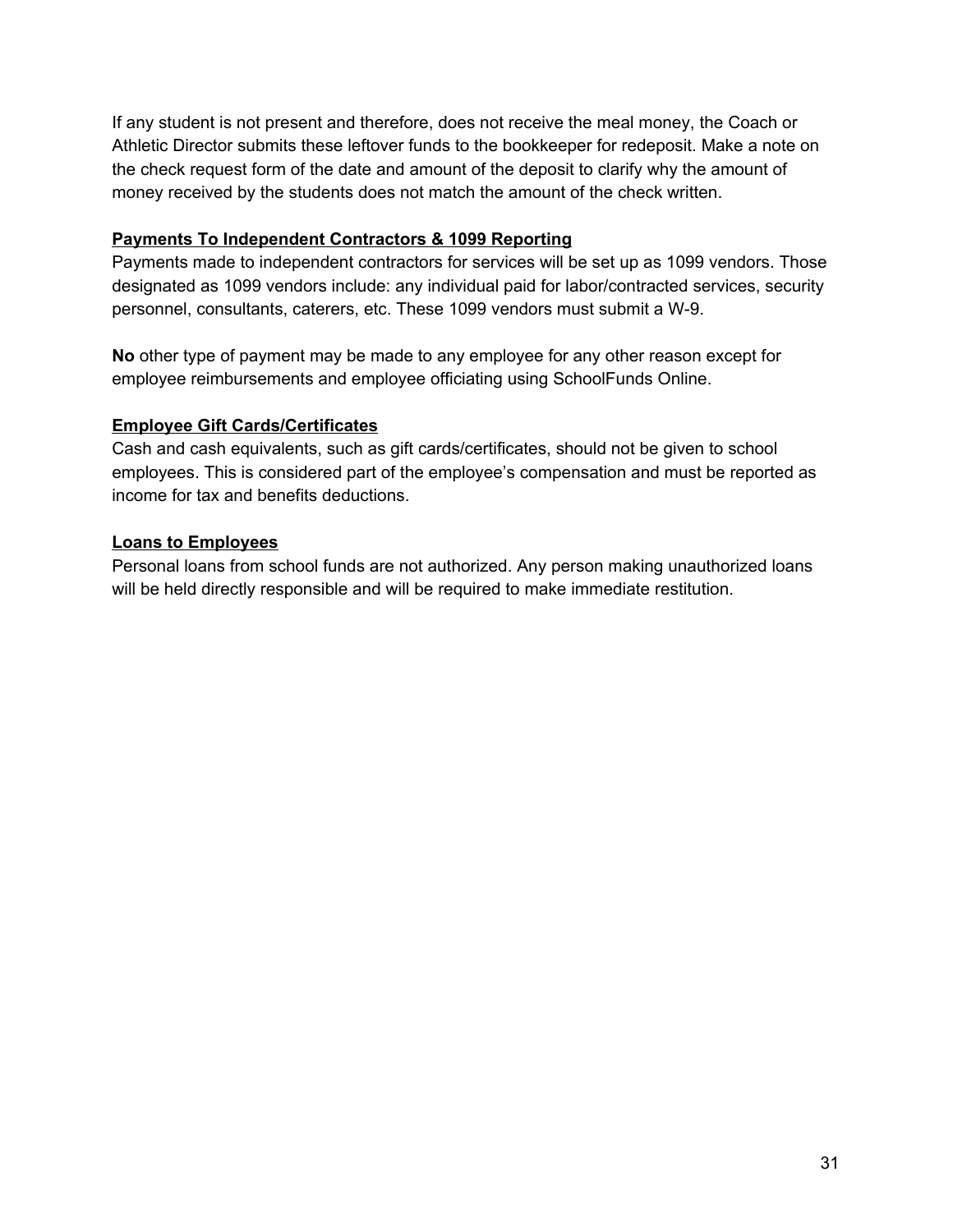If any student is not present and therefore, does not receive the meal money, the Coach or Athletic Director submits these leftover funds to the bookkeeper for redeposit. Make a note on the check request form of the date and amount of the deposit to clarify why the amount of money received by the students does not match the amount of the check written.

### **Payments To Independent Contractors & 1099 Reporting**

Payments made to independent contractors for services will be set up as 1099 vendors. Those designated as 1099 vendors include: any individual paid for labor/contracted services, security personnel, consultants, caterers, etc. These 1099 vendors must submit a W-9.

**No** other type of payment may be made to any employee for any other reason except for employee reimbursements and employee officiating using SchoolFunds Online.

### **Employee Gift Cards/Certificates**

Cash and cash equivalents, such as gift cards/certificates, should not be given to school employees. This is considered part of the employee's compensation and must be reported as income for tax and benefits deductions.

### **Loans to Employees**

Personal loans from school funds are not authorized. Any person making unauthorized loans will be held directly responsible and will be required to make immediate restitution.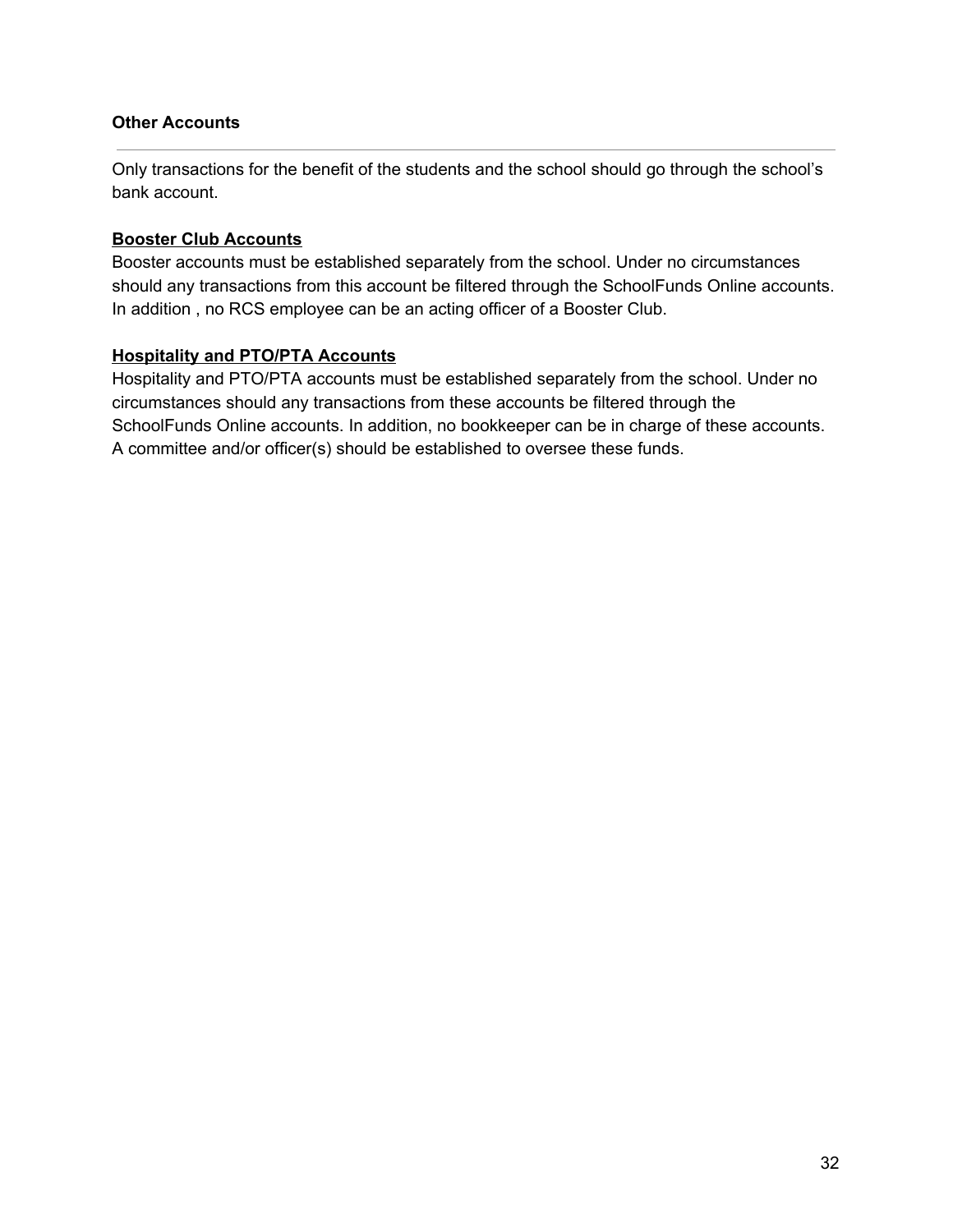#### **Other Accounts**

Only transactions for the benefit of the students and the school should go through the school's bank account.

### **Booster Club Accounts**

Booster accounts must be established separately from the school. Under no circumstances should any transactions from this account be filtered through the SchoolFunds Online accounts. In addition , no RCS employee can be an acting officer of a Booster Club.

### **Hospitality and PTO/PTA Accounts**

Hospitality and PTO/PTA accounts must be established separately from the school. Under no circumstances should any transactions from these accounts be filtered through the SchoolFunds Online accounts. In addition, no bookkeeper can be in charge of these accounts. A committee and/or officer(s) should be established to oversee these funds.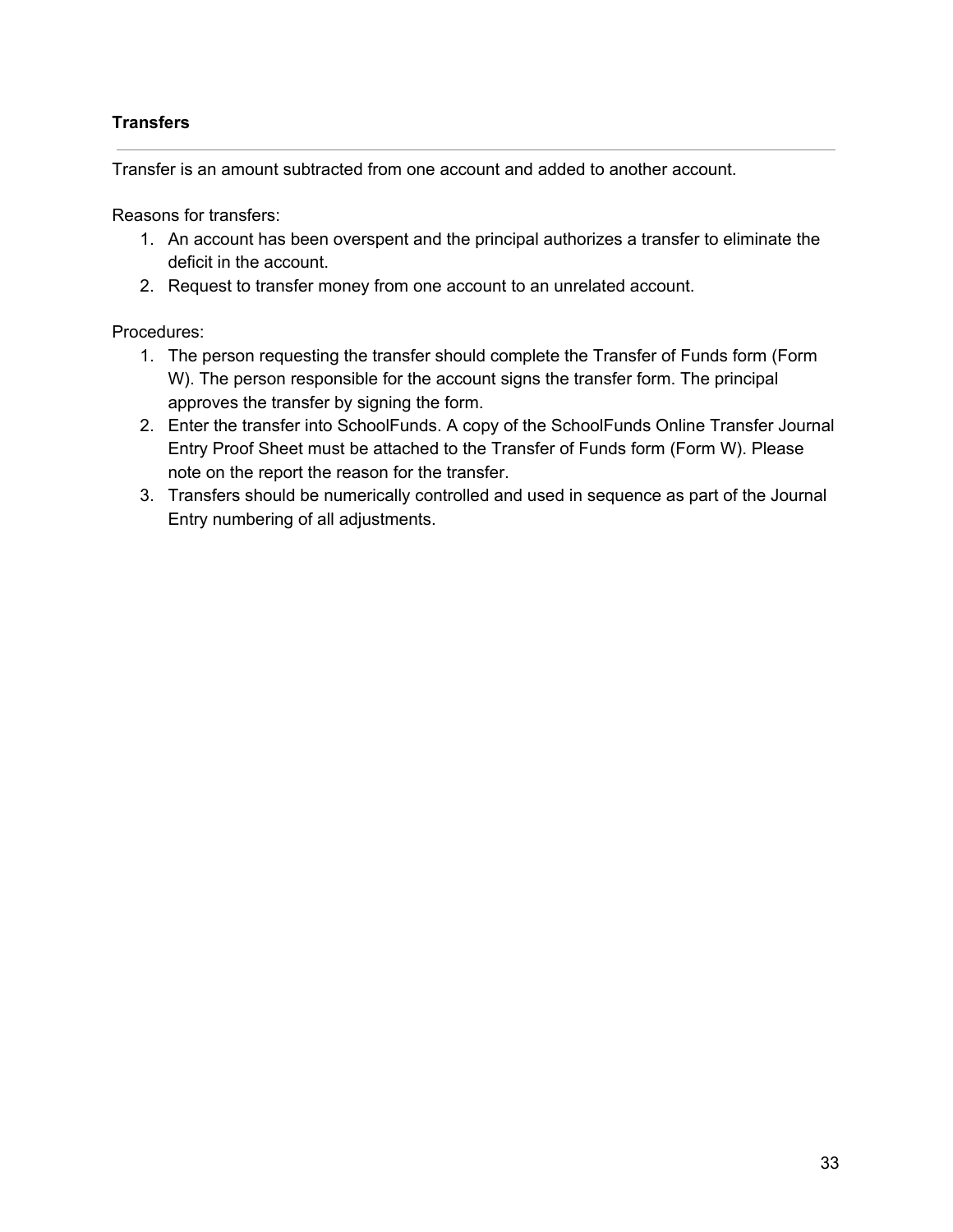### **Transfers**

Transfer is an amount subtracted from one account and added to another account.

Reasons for transfers:

- 1. An account has been overspent and the principal authorizes a transfer to eliminate the deficit in the account.
- 2. Request to transfer money from one account to an unrelated account.

### Procedures:

- 1. The person requesting the transfer should complete the Transfer of Funds form (Form W). The person responsible for the account signs the transfer form. The principal approves the transfer by signing the form.
- 2. Enter the transfer into SchoolFunds. A copy of the SchoolFunds Online Transfer Journal Entry Proof Sheet must be attached to the Transfer of Funds form (Form W). Please note on the report the reason for the transfer.
- 3. Transfers should be numerically controlled and used in sequence as part of the Journal Entry numbering of all adjustments.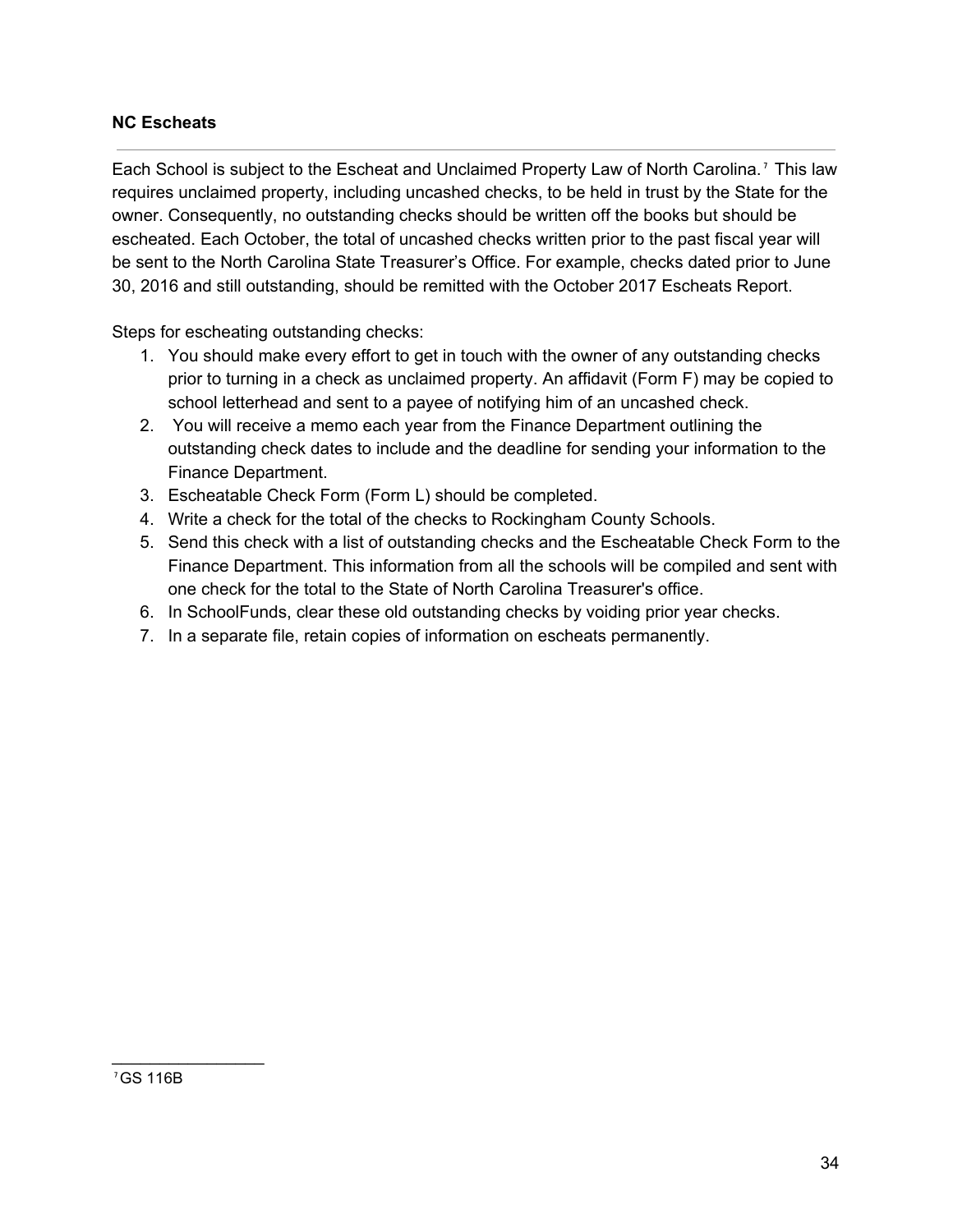### **NC Escheats**

Each School is subject to the Escheat and Unclaimed Property Law of North Carolina.<sup>7</sup> This law requires unclaimed property, including uncashed checks, to be held in trust by the State for the owner. Consequently, no outstanding checks should be written off the books but should be escheated. Each October, the total of uncashed checks written prior to the past fiscal year will be sent to the North Carolina State Treasurer's Office. For example, checks dated prior to June 30, 2016 and still outstanding, should be remitted with the October 2017 Escheats Report.

Steps for escheating outstanding checks:

- 1. You should make every effort to get in touch with the owner of any outstanding checks prior to turning in a check as unclaimed property. An affidavit (Form F) may be copied to school letterhead and sent to a payee of notifying him of an uncashed check.
- 2. You will receive a memo each year from the Finance Department outlining the outstanding check dates to include and the deadline for sending your information to the Finance Department.
- 3. Escheatable Check Form (Form L) should be completed.
- 4. Write a check for the total of the checks to Rockingham County Schools.
- 5. Send this check with a list of outstanding checks and the Escheatable Check Form to the Finance Department. This information from all the schools will be compiled and sent with one check for the total to the State of North Carolina Treasurer's office.
- 6. In SchoolFunds, clear these old outstanding checks by voiding prior year checks.
- 7. In a separate file, retain copies of information on escheats permanently.

 $\overline{\phantom{a}}$  . The set of the set of the set of the set of the set of the set of the set of the set of the set of the set of the set of the set of the set of the set of the set of the set of the set of the set of the set o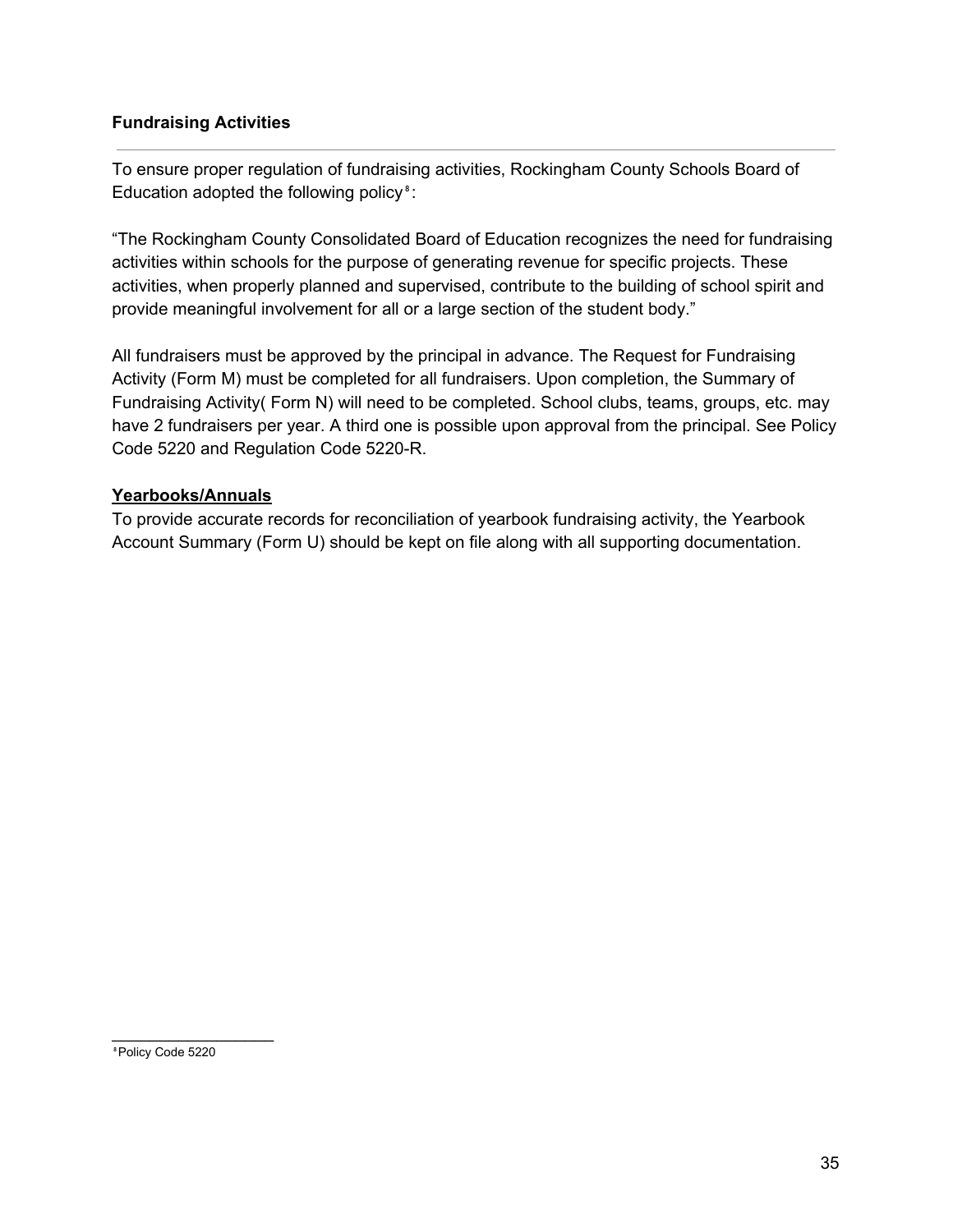### **Fundraising Activities**

To ensure proper regulation of fundraising activities, Rockingham County Schools Board of Education adopted the following policy<sup>8</sup>:

"The Rockingham County Consolidated Board of Education recognizes the need for fundraising activities within schools for the purpose of generating revenue for specific projects. These activities, when properly planned and supervised, contribute to the building of school spirit and provide meaningful involvement for all or a large section of the student body."

All fundraisers must be approved by the principal in advance. The Request for Fundraising Activity (Form M) must be completed for all fundraisers. Upon completion, the Summary of Fundraising Activity( Form N) will need to be completed. School clubs, teams, groups, etc. may have 2 fundraisers per year. A third one is possible upon approval from the principal. See Policy Code 5220 and Regulation Code 5220-R.

### **Yearbooks/Annuals**

To provide accurate records for reconciliation of yearbook fundraising activity, the Yearbook Account Summary (Form U) should be kept on file along with all supporting documentation.

⁸Policy Code 5220

 $\overline{\phantom{a}}$  . The set of the set of the set of the set of the set of the set of the set of the set of the set of the set of the set of the set of the set of the set of the set of the set of the set of the set of the set o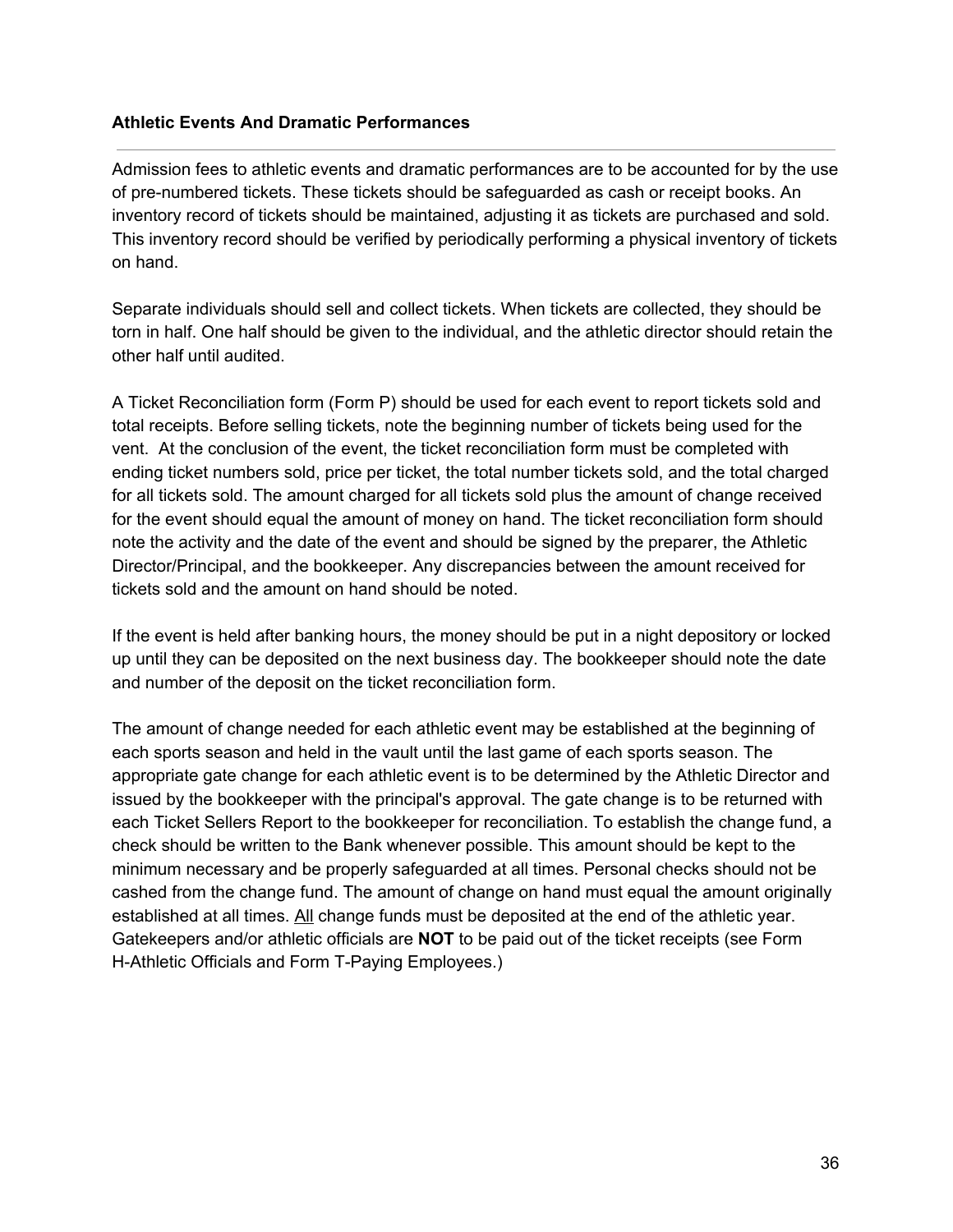#### **Athletic Events And Dramatic Performances**

Admission fees to athletic events and dramatic performances are to be accounted for by the use of pre-numbered tickets. These tickets should be safeguarded as cash or receipt books. An inventory record of tickets should be maintained, adjusting it as tickets are purchased and sold. This inventory record should be verified by periodically performing a physical inventory of tickets on hand.

Separate individuals should sell and collect tickets. When tickets are collected, they should be torn in half. One half should be given to the individual, and the athletic director should retain the other half until audited.

A Ticket Reconciliation form (Form P) should be used for each event to report tickets sold and total receipts. Before selling tickets, note the beginning number of tickets being used for the vent. At the conclusion of the event, the ticket reconciliation form must be completed with ending ticket numbers sold, price per ticket, the total number tickets sold, and the total charged for all tickets sold. The amount charged for all tickets sold plus the amount of change received for the event should equal the amount of money on hand. The ticket reconciliation form should note the activity and the date of the event and should be signed by the preparer, the Athletic Director/Principal, and the bookkeeper. Any discrepancies between the amount received for tickets sold and the amount on hand should be noted.

If the event is held after banking hours, the money should be put in a night depository or locked up until they can be deposited on the next business day. The bookkeeper should note the date and number of the deposit on the ticket reconciliation form.

The amount of change needed for each athletic event may be established at the beginning of each sports season and held in the vault until the last game of each sports season. The appropriate gate change for each athletic event is to be determined by the Athletic Director and issued by the bookkeeper with the principal's approval. The gate change is to be returned with each Ticket Sellers Report to the bookkeeper for reconciliation. To establish the change fund, a check should be written to the Bank whenever possible. This amount should be kept to the minimum necessary and be properly safeguarded at all times. Personal checks should not be cashed from the change fund. The amount of change on hand must equal the amount originally established at all times. All change funds must be deposited at the end of the athletic year. Gatekeepers and/or athletic officials are **NOT** to be paid out of the ticket receipts (see Form H-Athletic Officials and Form T-Paying Employees.)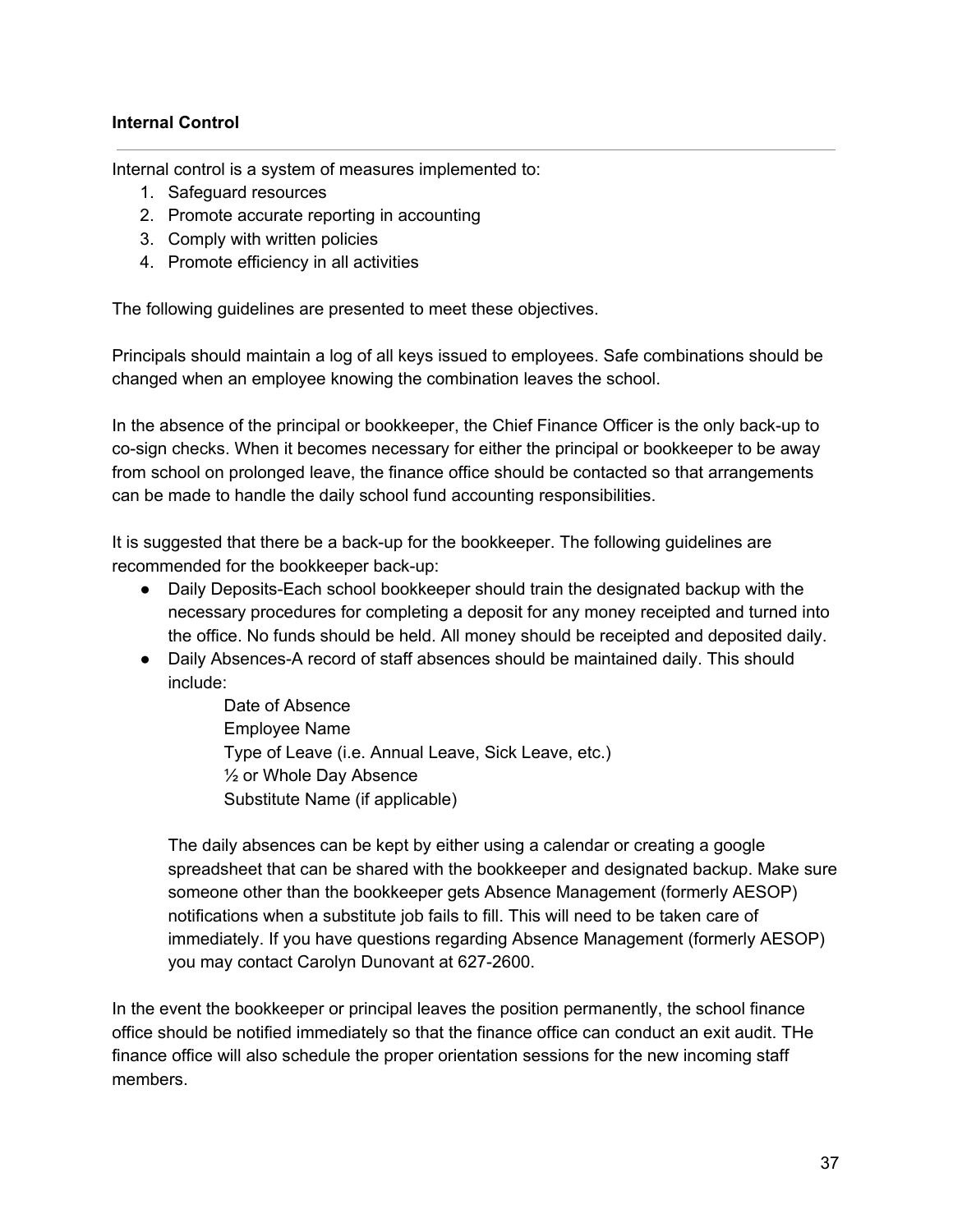### **Internal Control**

Internal control is a system of measures implemented to:

- 1. Safeguard resources
- 2. Promote accurate reporting in accounting
- 3. Comply with written policies
- 4. Promote efficiency in all activities

The following guidelines are presented to meet these objectives.

Principals should maintain a log of all keys issued to employees. Safe combinations should be changed when an employee knowing the combination leaves the school.

In the absence of the principal or bookkeeper, the Chief Finance Officer is the only back-up to co-sign checks. When it becomes necessary for either the principal or bookkeeper to be away from school on prolonged leave, the finance office should be contacted so that arrangements can be made to handle the daily school fund accounting responsibilities.

It is suggested that there be a back-up for the bookkeeper. The following guidelines are recommended for the bookkeeper back-up:

- Daily Deposits-Each school bookkeeper should train the designated backup with the necessary procedures for completing a deposit for any money receipted and turned into the office. No funds should be held. All money should be receipted and deposited daily.
- Daily Absences-A record of staff absences should be maintained daily. This should include:

Date of Absence Employee Name Type of Leave (i.e. Annual Leave, Sick Leave, etc.) ½ or Whole Day Absence Substitute Name (if applicable)

The daily absences can be kept by either using a calendar or creating a google spreadsheet that can be shared with the bookkeeper and designated backup. Make sure someone other than the bookkeeper gets Absence Management (formerly AESOP) notifications when a substitute job fails to fill. This will need to be taken care of immediately. If you have questions regarding Absence Management (formerly AESOP) you may contact Carolyn Dunovant at 627-2600.

In the event the bookkeeper or principal leaves the position permanently, the school finance office should be notified immediately so that the finance office can conduct an exit audit. THe finance office will also schedule the proper orientation sessions for the new incoming staff members.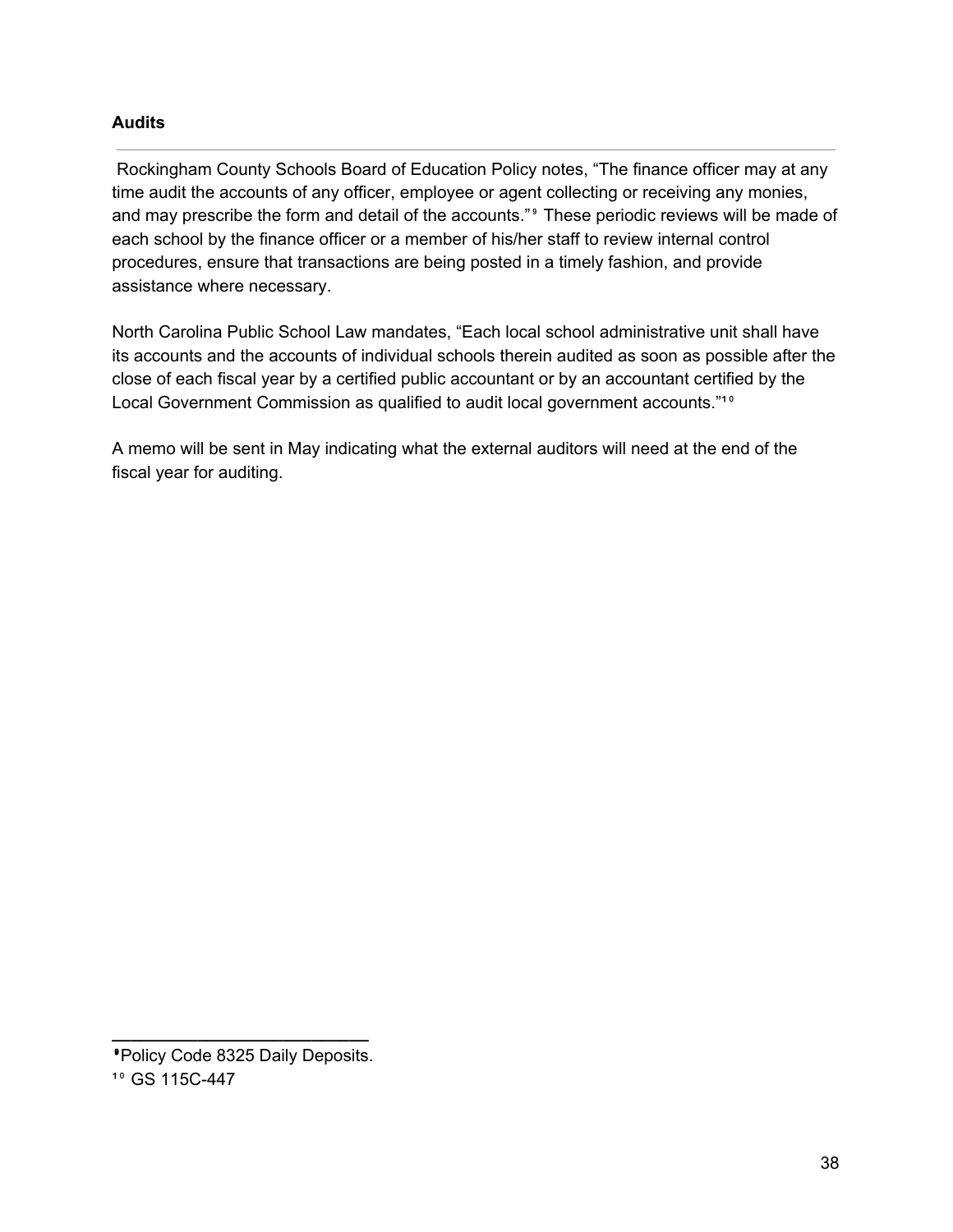### **Audits**

Rockingham County Schools Board of Education Policy notes, "The finance officer may at any time audit the accounts of any officer, employee or agent collecting or receiving any monies, and may prescribe the form and detail of the accounts."<sup>9</sup> These periodic reviews will be made of each school by the finance officer or a member of his/her staff to review internal control procedures, ensure that transactions are being posted in a timely fashion, and provide assistance where necessary.

North Carolina Public School Law mandates, "Each local school administrative unit shall have its accounts and the accounts of individual schools therein audited as soon as possible after the close of each fiscal year by a certified public accountant or by an accountant certified by the Local Government Commission as qualified to audit local government accounts."<sup>10</sup>

A memo will be sent in May indicating what the external auditors will need at the end of the fiscal year for auditing.

**\_\_\_\_\_\_\_\_\_\_\_\_\_\_\_\_\_\_\_\_\_\_\_\_\_\_\_**

⁹Policy Code 8325 Daily Deposits. <sup>10</sup> GS 115C-447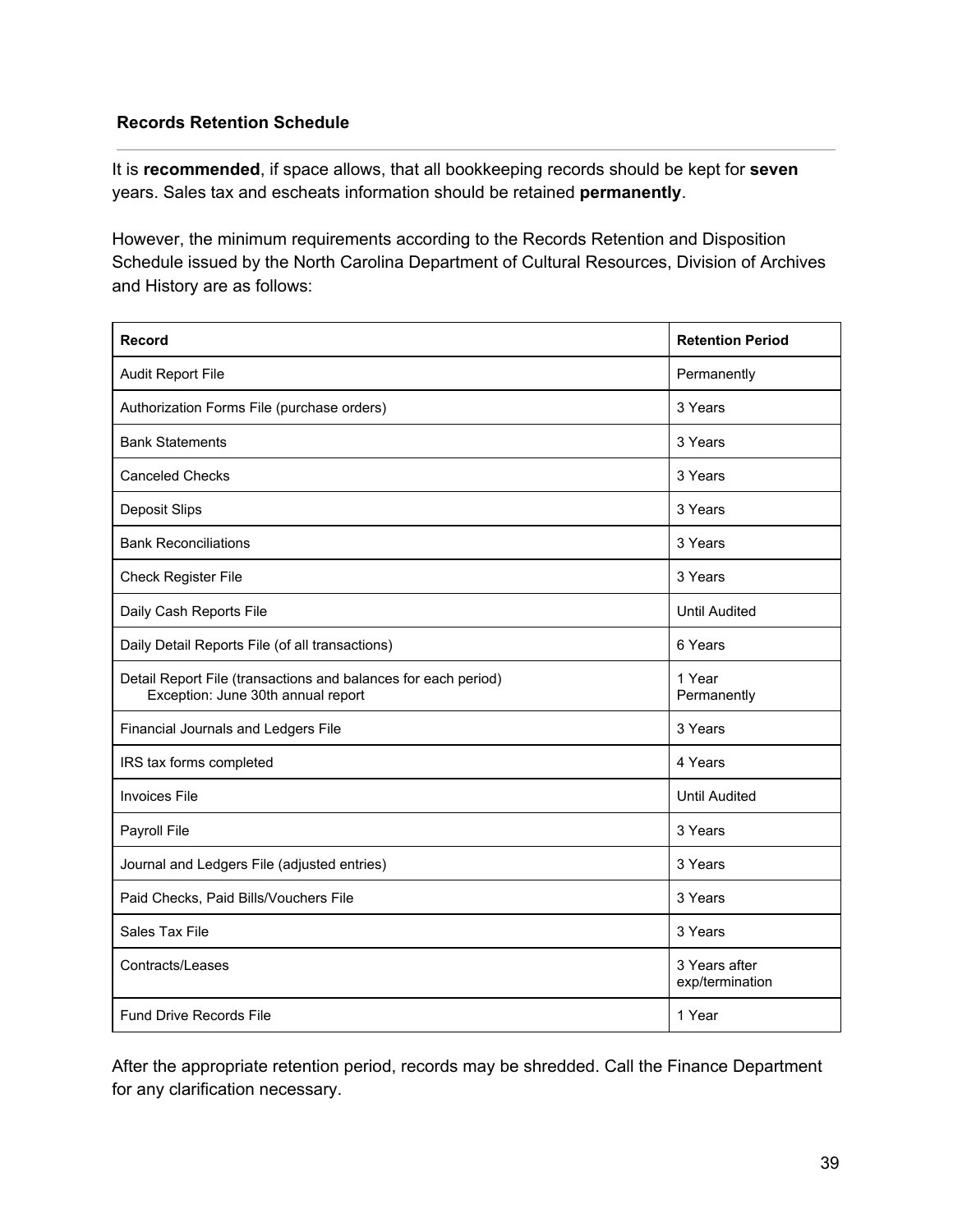### **Records Retention Schedule**

It is **recommended**, if space allows, that all bookkeeping records should be kept for **seven** years. Sales tax and escheats information should be retained **permanently**.

However, the minimum requirements according to the Records Retention and Disposition Schedule issued by the North Carolina Department of Cultural Resources, Division of Archives and History are as follows:

| <b>Record</b>                                                                                        | <b>Retention Period</b>          |
|------------------------------------------------------------------------------------------------------|----------------------------------|
| Audit Report File                                                                                    | Permanently                      |
| Authorization Forms File (purchase orders)                                                           | 3 Years                          |
| <b>Bank Statements</b>                                                                               | 3 Years                          |
| <b>Canceled Checks</b>                                                                               | 3 Years                          |
| Deposit Slips                                                                                        | 3 Years                          |
| <b>Bank Reconciliations</b>                                                                          | 3 Years                          |
| <b>Check Register File</b>                                                                           | 3 Years                          |
| Daily Cash Reports File                                                                              | <b>Until Audited</b>             |
| Daily Detail Reports File (of all transactions)                                                      | 6 Years                          |
| Detail Report File (transactions and balances for each period)<br>Exception: June 30th annual report | 1 Year<br>Permanently            |
| Financial Journals and Ledgers File                                                                  | 3 Years                          |
| IRS tax forms completed                                                                              | 4 Years                          |
| <b>Invoices File</b>                                                                                 | <b>Until Audited</b>             |
| Payroll File                                                                                         | 3 Years                          |
| Journal and Ledgers File (adjusted entries)                                                          | 3 Years                          |
| Paid Checks, Paid Bills/Vouchers File                                                                | 3 Years                          |
| Sales Tax File                                                                                       | 3 Years                          |
| Contracts/Leases                                                                                     | 3 Years after<br>exp/termination |
| <b>Fund Drive Records File</b>                                                                       | 1 Year                           |

After the appropriate retention period, records may be shredded. Call the Finance Department for any clarification necessary.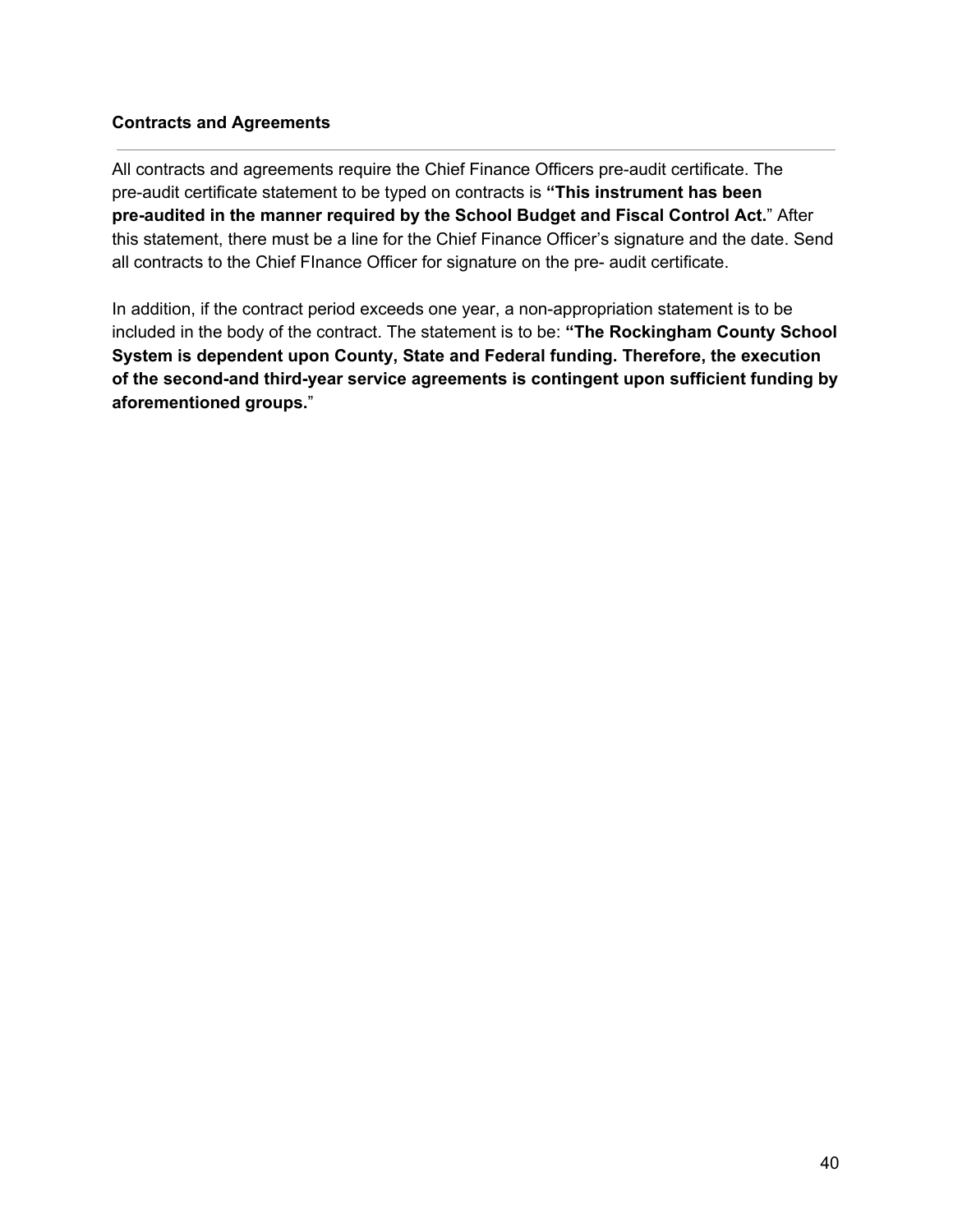### **Contracts and Agreements**

All contracts and agreements require the Chief Finance Officers pre-audit certificate. The pre-audit certificate statement to be typed on contracts is **"This instrument has been pre-audited in the manner required by the School Budget and Fiscal Control Act.**" After this statement, there must be a line for the Chief Finance Officer's signature and the date. Send all contracts to the Chief FInance Officer for signature on the pre- audit certificate.

In addition, if the contract period exceeds one year, a non-appropriation statement is to be included in the body of the contract. The statement is to be: **"The Rockingham County School System is dependent upon County, State and Federal funding. Therefore, the execution of the second-and third-year service agreements is contingent upon sufficient funding by aforementioned groups.**"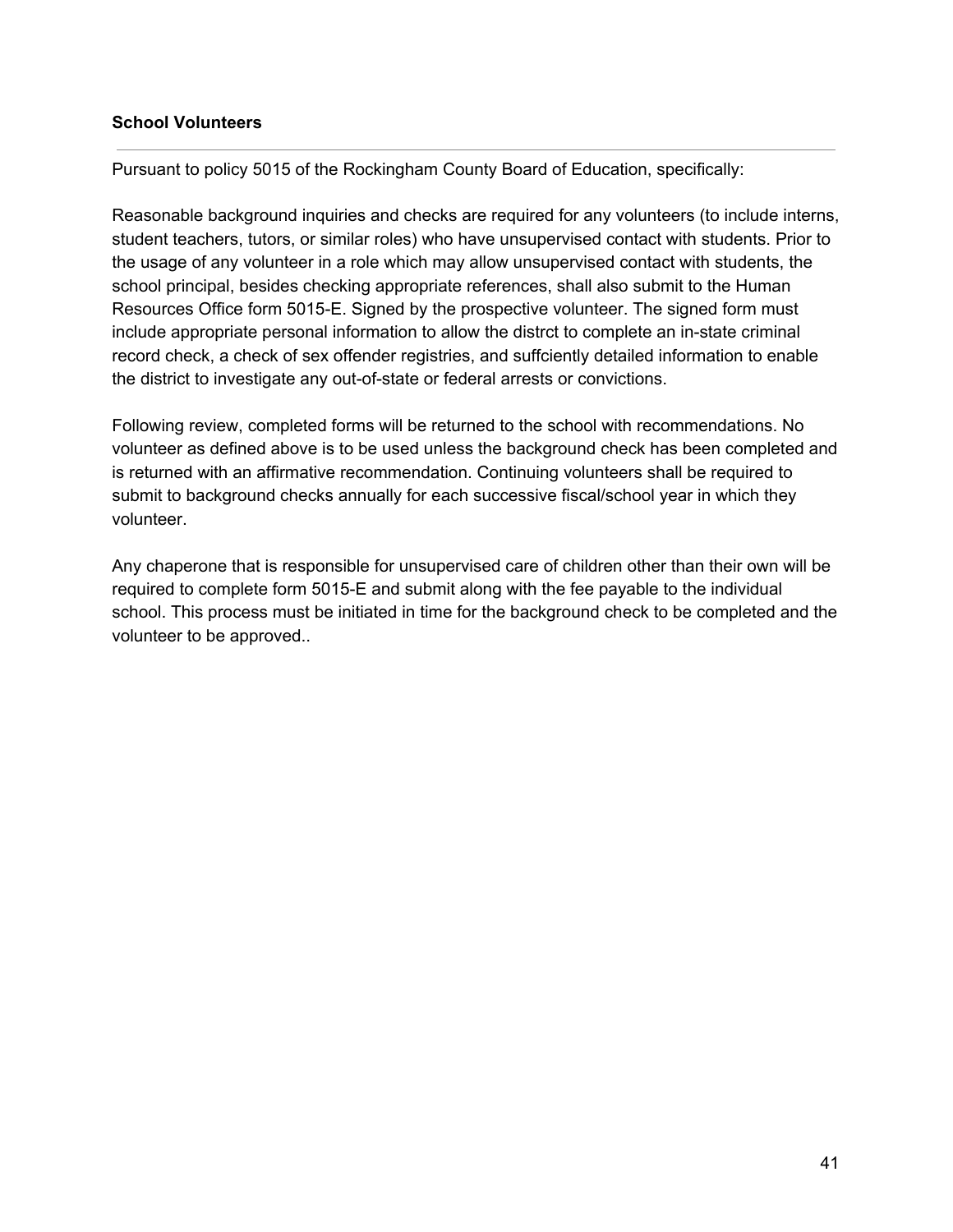#### **School Volunteers**

Pursuant to policy 5015 of the Rockingham County Board of Education, specifically:

Reasonable background inquiries and checks are required for any volunteers (to include interns, student teachers, tutors, or similar roles) who have unsupervised contact with students. Prior to the usage of any volunteer in a role which may allow unsupervised contact with students, the school principal, besides checking appropriate references, shall also submit to the Human Resources Office form 5015-E. Signed by the prospective volunteer. The signed form must include appropriate personal information to allow the distrct to complete an in-state criminal record check, a check of sex offender registries, and suffciently detailed information to enable the district to investigate any out-of-state or federal arrests or convictions.

Following review, completed forms will be returned to the school with recommendations. No volunteer as defined above is to be used unless the background check has been completed and is returned with an affirmative recommendation. Continuing volunteers shall be required to submit to background checks annually for each successive fiscal/school year in which they volunteer.

Any chaperone that is responsible for unsupervised care of children other than their own will be required to complete form 5015-E and submit along with the fee payable to the individual school. This process must be initiated in time for the background check to be completed and the volunteer to be approved..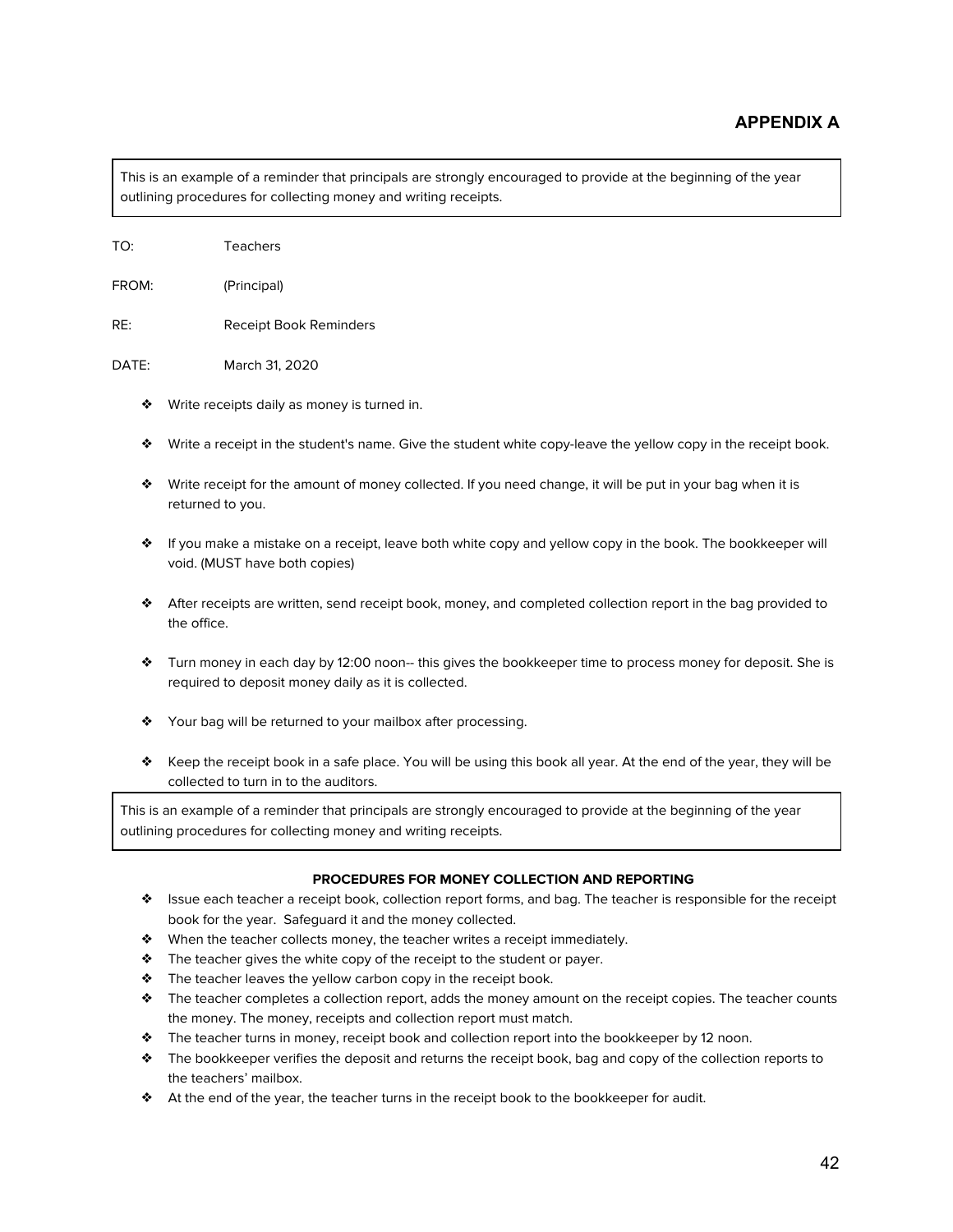This is an example of a reminder that principals are strongly encouraged to provide at the beginning of the year outlining procedures for collecting money and writing receipts.

FROM: (Principal)

RE: Receipt Book Reminders

DATE: March 31, 2020

- ❖ Write receipts daily as money is turned in.
- ❖ Write a receipt in the student's name. Give the student white copy-leave the yellow copy in the receipt book.
- ❖ Write receipt for the amount of money collected. If you need change, it will be put in your bag when it is returned to you.
- ❖ If you make a mistake on a receipt, leave both white copy and yellow copy in the book. The bookkeeper will void. (MUST have both copies)
- ❖ After receipts are written, send receipt book, money, and completed collection report in the bag provided to the office.
- ❖ Turn money in each day by 12:00 noon-- this gives the bookkeeper time to process money for deposit. She is required to deposit money daily as it is collected.
- ❖ Your bag will be returned to your mailbox after processing.
- ❖ Keep the receipt book in a safe place. You will be using this book all year. At the end of the year, they will be collected to turn in to the auditors.

This is an example of a reminder that principals are strongly encouraged to provide at the beginning of the year outlining procedures for collecting money and writing receipts.

#### **PROCEDURES FOR MONEY COLLECTION AND REPORTING**

- ❖ Issue each teacher a receipt book, collection report forms, and bag. The teacher is responsible for the receipt book for the year. Safeguard it and the money collected.
- ❖ When the teacher collects money, the teacher writes a receipt immediately.
- ❖ The teacher gives the white copy of the receipt to the student or payer.
- ❖ The teacher leaves the yellow carbon copy in the receipt book.
- ❖ The teacher completes a collection report, adds the money amount on the receipt copies. The teacher counts the money. The money, receipts and collection report must match.
- ❖ The teacher turns in money, receipt book and collection report into the bookkeeper by 12 noon.
- ❖ The bookkeeper verifies the deposit and returns the receipt book, bag and copy of the collection reports to the teachers' mailbox.
- ❖ At the end of the year, the teacher turns in the receipt book to the bookkeeper for audit.